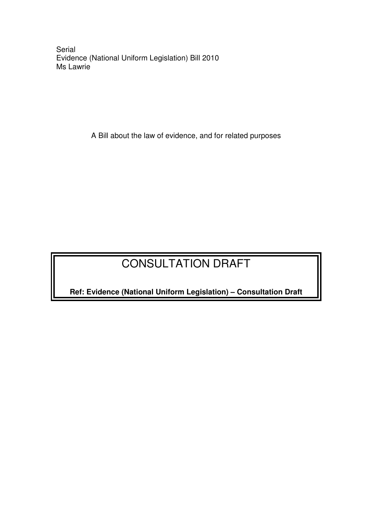Serial Evidence (National Uniform Legislation) Bill 2010 Ms Lawrie

A Bill about the law of evidence, and for related purposes

# CONSULTATION DRAFT

**Ref: Evidence (National Uniform Legislation) – Consultation Draft**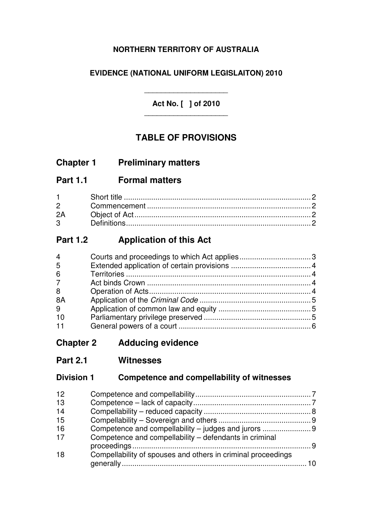## **NORTHERN TERRITORY OF AUSTRALIA**

## **EVIDENCE (NATIONAL UNIFORM LEGISLAITON) 2010**

**Act No. [ ] of 2010**  \_\_\_\_\_\_\_\_\_\_\_\_\_\_\_\_\_\_\_\_

\_\_\_\_\_\_\_\_\_\_\_\_\_\_\_\_\_\_\_\_

# **TABLE OF PROVISIONS**

| <b>Chapter 1</b> | <b>Preliminary matters</b> |
|------------------|----------------------------|
|------------------|----------------------------|

## **Part 1.1 Formal matters**

# **Part 1.2 Application of this Act**

| $\overline{4}$ |  |
|----------------|--|
| 5              |  |
| 6              |  |
| $7^{\circ}$    |  |
| 8              |  |
| <b>8A</b>      |  |
| 9              |  |
| 10             |  |
| 11             |  |

## **Chapter 2 Adducing evidence**

**Part 2.1 Witnesses**

## **Division 1 Competence and compellability of witnesses**

| 12<br>13 |                                                              |  |
|----------|--------------------------------------------------------------|--|
| 14       |                                                              |  |
| 15       |                                                              |  |
| 16       |                                                              |  |
| 17       | Competence and compellability – defendants in criminal       |  |
| 18       | Compellability of spouses and others in criminal proceedings |  |
|          |                                                              |  |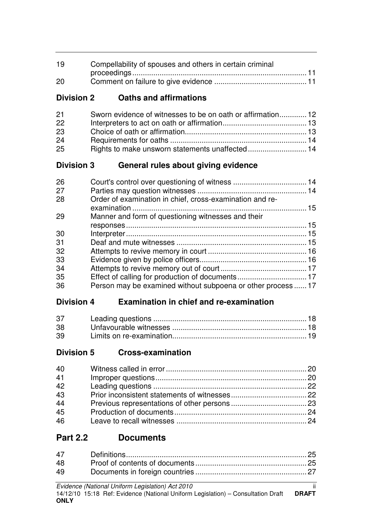| 19<br>20                   | Compellability of spouses and others in certain criminal                |       |
|----------------------------|-------------------------------------------------------------------------|-------|
| <b>Division 2</b>          | <b>Oaths and affirmations</b>                                           |       |
| 21<br>22<br>23<br>24<br>25 | Sworn evidence of witnesses to be on oath or affirmation 12             |       |
| <b>Division 3</b>          | General rules about giving evidence                                     |       |
| 26<br>27<br>28             | Order of examination in chief, cross-examination and re-<br>ovomination | 1 E . |

| 29 | Manner and form of questioning witnesses and their           |  |
|----|--------------------------------------------------------------|--|
|    |                                                              |  |
| 30 |                                                              |  |
| 31 |                                                              |  |
| 32 |                                                              |  |
| 33 |                                                              |  |
| 34 |                                                              |  |
| 35 |                                                              |  |
| 36 | Person may be examined without subpoena or other process  17 |  |

# **Division 4 Examination in chief and re-examination**

| 38 |  |
|----|--|
| 39 |  |

# **Division 5 Cross-examination**

# **Part 2.2 Documents**

| 48 |  |
|----|--|
| 49 |  |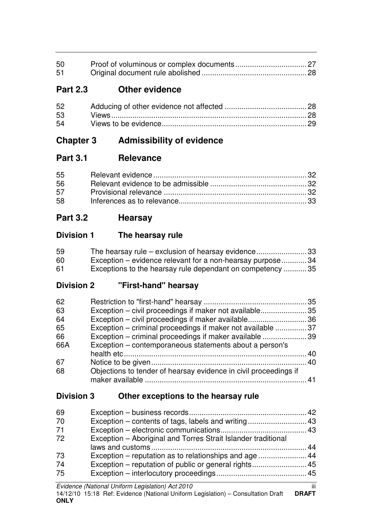| 50 |  |
|----|--|
| 51 |  |

# **Part 2.3 Other evidence**

| 53 |  |
|----|--|
| 54 |  |

# **Chapter 3 Admissibility of evidence**

# **Part 3.1 Relevance**

| 55 |  |
|----|--|
| 56 |  |
| 57 |  |
| 58 |  |

# **Part 3.2 Hearsay**

# **Division 1 The hearsay rule**

| 59 | The hearsay rule – exclusion of hearsay evidence33        |  |
|----|-----------------------------------------------------------|--|
| 60 | Exception – evidence relevant for a non-hearsay purpose34 |  |
| 61 | Exceptions to the hearsay rule dependant on competency 35 |  |

# **Division 2 "First-hand" hearsay**

| 62  |                                                                  |  |
|-----|------------------------------------------------------------------|--|
| 63  | Exception – civil proceedings if maker not available35           |  |
| 64  | Exception – civil proceedings if maker available36               |  |
| 65  | Exception - criminal proceedings if maker not available  37      |  |
| 66  | Exception – criminal proceedings if maker available 39           |  |
| 66A | Exception – contemporaneous statements about a person's          |  |
|     |                                                                  |  |
| 67  |                                                                  |  |
| 68  | Objections to tender of hearsay evidence in civil proceedings if |  |
|     |                                                                  |  |

# **Division 3 Other exceptions to the hearsay rule**

| 69 |                                                               |  |
|----|---------------------------------------------------------------|--|
| 70 |                                                               |  |
| 71 |                                                               |  |
| 72 | Exception - Aboriginal and Torres Strait Islander traditional |  |
|    |                                                               |  |
| 73 |                                                               |  |
| 74 | Exception – reputation of public or general rights 45         |  |
| 75 |                                                               |  |
|    |                                                               |  |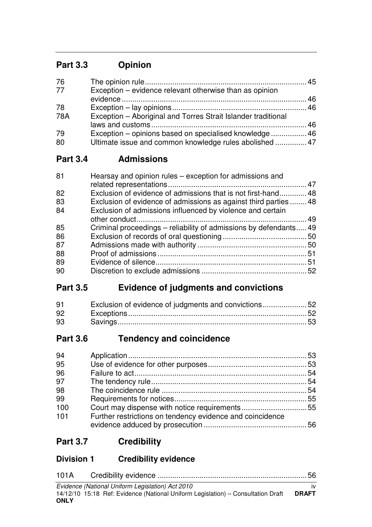# **Part 3.3 Opinion**

| Exception – evidence relevant otherwise than as opinion       |                                                         |
|---------------------------------------------------------------|---------------------------------------------------------|
|                                                               |                                                         |
|                                                               |                                                         |
| Exception - Aboriginal and Torres Strait Islander traditional |                                                         |
|                                                               |                                                         |
|                                                               |                                                         |
| Ultimate issue and common knowledge rules abolished  47       |                                                         |
|                                                               | Exception – opinions based on specialised knowledge  46 |

# **Part 3.4 Admissions**

| 81 | Hearsay and opinion rules – exception for admissions and         |  |
|----|------------------------------------------------------------------|--|
|    |                                                                  |  |
| 82 | Exclusion of evidence of admissions that is not first-hand 48    |  |
| 83 | Exclusion of evidence of admissions as against third parties  48 |  |
| 84 | Exclusion of admissions influenced by violence and certain       |  |
|    |                                                                  |  |
| 85 | Criminal proceedings – reliability of admissions by defendants49 |  |
| 86 |                                                                  |  |
| 87 |                                                                  |  |
| 88 |                                                                  |  |
| 89 |                                                                  |  |
| 90 |                                                                  |  |

# **Part 3.5 Evidence of judgments and convictions**

| 91 | Exclusion of evidence of judgments and convictions52 |  |
|----|------------------------------------------------------|--|
| 92 |                                                      |  |
| 93 |                                                      |  |

# **Part 3.6 Tendency and coincidence**

| 94  |                                                           |  |
|-----|-----------------------------------------------------------|--|
| 95  |                                                           |  |
| 96  |                                                           |  |
| 97  |                                                           |  |
| 98  |                                                           |  |
| 99  |                                                           |  |
| 100 |                                                           |  |
| 101 | Further restrictions on tendency evidence and coincidence |  |
|     |                                                           |  |
|     |                                                           |  |

# **Part 3.7 Credibility**

# **Division 1 Credibility evidence**

| 101A        |                                                                                                                                      |              |
|-------------|--------------------------------------------------------------------------------------------------------------------------------------|--------------|
|             | Evidence (National Uniform Legislation) Act 2010<br>14/12/10 15:18 Ref: Evidence (National Uniform Legislation) – Consultation Draft | <b>DRAFT</b> |
| <b>ONLY</b> |                                                                                                                                      |              |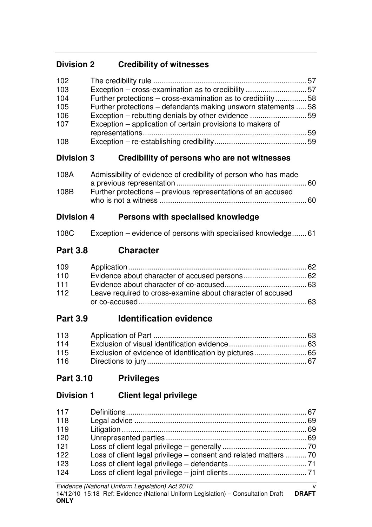# **Division 2 Credibility of witnesses**

| 102<br>103<br>104<br>105<br>106<br>107<br>108 | Exception – cross-examination as to credibility 57<br>Further protections - cross-examination as to credibility58<br>Further protections - defendants making unsworn statements  58<br>Exception – rebutting denials by other evidence 59<br>Exception – application of certain provisions to makers of |  |
|-----------------------------------------------|---------------------------------------------------------------------------------------------------------------------------------------------------------------------------------------------------------------------------------------------------------------------------------------------------------|--|
| <b>Division 3</b>                             | Credibility of persons who are not witnesses                                                                                                                                                                                                                                                            |  |
| 108A<br>108B                                  | Admissibility of evidence of credibility of person who has made<br>Further protections - previous representations of an accused                                                                                                                                                                         |  |
| <b>Division 4</b>                             | Persons with specialised knowledge                                                                                                                                                                                                                                                                      |  |
| 108C                                          | Exception – evidence of persons with specialised knowledge61                                                                                                                                                                                                                                            |  |
| <b>Part 3.8</b>                               | <b>Character</b>                                                                                                                                                                                                                                                                                        |  |
| 109<br>110<br>111<br>112                      | Leave required to cross-examine about character of accused                                                                                                                                                                                                                                              |  |
| <b>Part 3.9</b>                               | <b>Identification evidence</b>                                                                                                                                                                                                                                                                          |  |
| $\sim$ $\sim$ $\sim$                          |                                                                                                                                                                                                                                                                                                         |  |

| 113 |  |
|-----|--|
| 114 |  |
| 115 |  |
| 116 |  |
|     |  |

# **Part 3.10 Privileges**

# **Division 1 Client legal privilege**

| 117<br>118<br>119<br>120<br>121<br>122<br>123 | Loss of client legal privilege – consent and related matters  70 |  |
|-----------------------------------------------|------------------------------------------------------------------|--|
| 124                                           |                                                                  |  |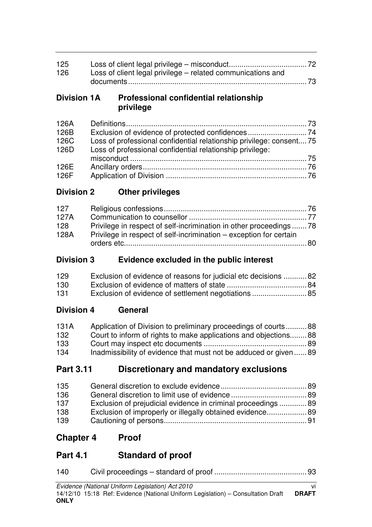| 125 |                                                             |  |
|-----|-------------------------------------------------------------|--|
| 126 | Loss of client legal privilege – related communications and |  |
|     |                                                             |  |

## **Division 1A Professional confidential relationship privilege**

| 126A |                                                                      |  |
|------|----------------------------------------------------------------------|--|
| 126B |                                                                      |  |
| 126C | Loss of professional confidential relationship privilege: consent 75 |  |
| 126D | Loss of professional confidential relationship privilege:            |  |
|      |                                                                      |  |
| 126E |                                                                      |  |
| 126F |                                                                      |  |

# **Division 2 Other privileges**

| 127  |                                                                     |  |
|------|---------------------------------------------------------------------|--|
| 127A |                                                                     |  |
| 128  | Privilege in respect of self-incrimination in other proceedings  78 |  |
| 128A | Privilege in respect of self-incrimination – exception for certain  |  |
|      |                                                                     |  |

# **Division 3 Evidence excluded in the public interest**

| 129 | Exclusion of evidence of reasons for judicial etc decisions 82 |  |
|-----|----------------------------------------------------------------|--|
| 130 |                                                                |  |
| 131 | Exclusion of evidence of settlement negotiations  85           |  |

# **Division 4 General**

| 131A | Application of Division to preliminary proceedings of courts88  |  |
|------|-----------------------------------------------------------------|--|
| 132  | Court to inform of rights to make applications and objections88 |  |
| 133  |                                                                 |  |
| 134  | Inadmissibility of evidence that must not be adduced or given89 |  |

# **Part 3.11 Discretionary and mandatory exclusions**

| 135 |                                                               |  |
|-----|---------------------------------------------------------------|--|
| 136 |                                                               |  |
| 137 | Exclusion of prejudicial evidence in criminal proceedings  89 |  |
| 138 | Exclusion of improperly or illegally obtained evidence 89     |  |
| 139 |                                                               |  |

# **Chapter 4 Proof**

# **Part 4.1 Standard of proof**

| 140 |  |  |
|-----|--|--|
|-----|--|--|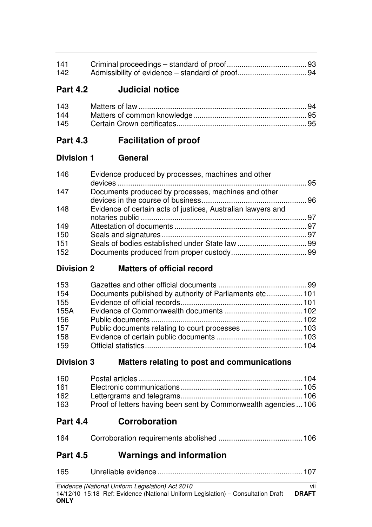| 141 |  |
|-----|--|
| 142 |  |

# **Part 4.2 Judicial notice**

# **Part 4.3 Facilitation of proof**

# **Division 1 General**

| 146 | Evidence produced by processes, machines and other           |  |
|-----|--------------------------------------------------------------|--|
| 147 | Documents produced by processes, machines and other          |  |
| 148 | Evidence of certain acts of justices, Australian lawyers and |  |
| 149 |                                                              |  |
| 150 |                                                              |  |
| 151 |                                                              |  |
| 152 |                                                              |  |
|     |                                                              |  |

# **Division 2 Matters of official record**

| 153  |                                                         |  |
|------|---------------------------------------------------------|--|
| 154  | Documents published by authority of Parliaments etc 101 |  |
| 155  |                                                         |  |
| 155A |                                                         |  |
| 156  |                                                         |  |
| 157  |                                                         |  |
| 158  |                                                         |  |
| 159  |                                                         |  |

# **Division 3 Matters relating to post and communications**

| 160 |                                                                 |  |
|-----|-----------------------------------------------------------------|--|
| 161 |                                                                 |  |
| 162 |                                                                 |  |
| 163 | Proof of letters having been sent by Commonwealth agencies  106 |  |

# **Part 4.4 Corroboration**

| 164 |  |
|-----|--|
|     |  |

# **Part 4.5 Warnings and information**

| 165 |  |
|-----|--|
|     |  |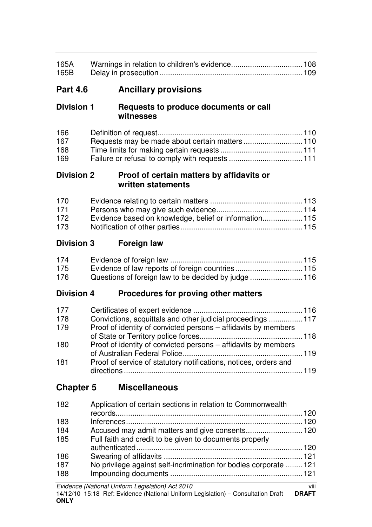# **Part 4.6 Ancillary provisions**

## **Division 1 Requests to produce documents or call witnesses**

| 166 |  |
|-----|--|
| 167 |  |
| 168 |  |
| 169 |  |

## **Division 2 Proof of certain matters by affidavits or written statements**

| 170 |                                                        |  |
|-----|--------------------------------------------------------|--|
| 171 |                                                        |  |
| 172 | Evidence based on knowledge, belief or information 115 |  |
| 173 |                                                        |  |

## **Division 3 Foreign law**

| 174 |  |
|-----|--|
| 175 |  |
| 176 |  |

## **Division 4 Procedures for proving other matters**

| 177 |                                                                  |  |
|-----|------------------------------------------------------------------|--|
| 178 | Convictions, acquittals and other judicial proceedings  117      |  |
| 179 | Proof of identity of convicted persons - affidavits by members   |  |
|     |                                                                  |  |
| 180 | Proof of identity of convicted persons - affidavits by members   |  |
|     |                                                                  |  |
| 181 | Proof of service of statutory notifications, notices, orders and |  |
|     |                                                                  |  |

# **Chapter 5 Miscellaneous**

| 182 | Application of certain sections in relation to Commonwealth       |  |
|-----|-------------------------------------------------------------------|--|
|     |                                                                   |  |
| 183 |                                                                   |  |
| 184 |                                                                   |  |
| 185 | Full faith and credit to be given to documents properly           |  |
|     |                                                                   |  |
| 186 |                                                                   |  |
| 187 | No privilege against self-incrimination for bodies corporate  121 |  |
| 188 |                                                                   |  |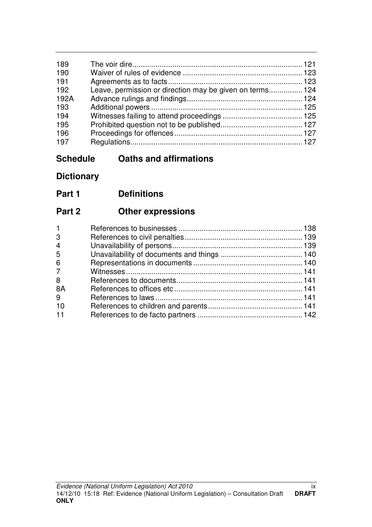| 189<br>190<br>191<br>192<br>192A<br>193<br>194<br>195<br>196 | Leave, permission or direction may be given on terms 124 |  |
|--------------------------------------------------------------|----------------------------------------------------------|--|
| 197                                                          |                                                          |  |
|                                                              |                                                          |  |

# **Schedule Oaths and affirmations**

# **Dictionary**

# **Part 2 Other expressions**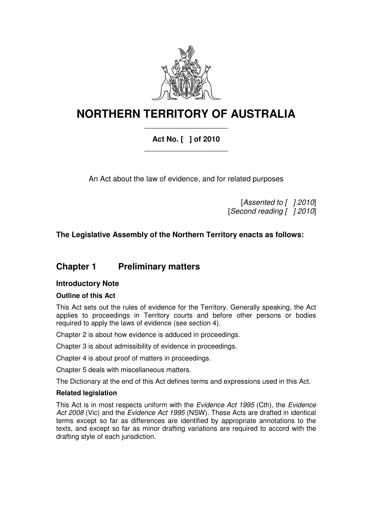

# **NORTHERN TERRITORY OF AUSTRALIA** \_\_\_\_\_\_\_\_\_\_\_\_\_\_\_\_\_\_\_\_

### **Act No. [ ] of 2010**  \_\_\_\_\_\_\_\_\_\_\_\_\_\_\_\_\_\_\_\_

An Act about the law of evidence, and for related purposes

[Assented to [ ] 2010] [Second reading [ ] 2010]

## **The Legislative Assembly of the Northern Territory enacts as follows:**

## **Chapter 1 Preliminary matters**

#### **Introductory Note**

#### **Outline of this Act**

This Act sets out the rules of evidence for the Territory. Generally speaking, the Act applies to proceedings in Territory courts and before other persons or bodies required to apply the laws of evidence (see section 4).

Chapter 2 is about how evidence is adduced in proceedings.

Chapter 3 is about admissibility of evidence in proceedings.

Chapter 4 is about proof of matters in proceedings.

Chapter 5 deals with miscellaneous matters.

The Dictionary at the end of this Act defines terms and expressions used in this Act.

#### **Related legislation**

This Act is in most respects uniform with the *Evidence Act 1995* (Cth), the *Evidence* Act 2008 (Vic) and the Evidence Act 1995 (NSW). These Acts are drafted in identical terms except so far as differences are identified by appropriate annotations to the texts, and except so far as minor drafting variations are required to accord with the drafting style of each jurisdiction.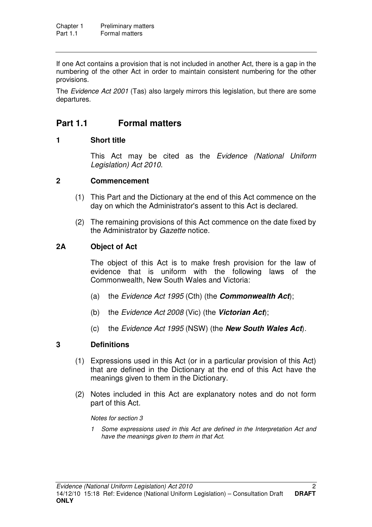If one Act contains a provision that is not included in another Act, there is a gap in the numbering of the other Act in order to maintain consistent numbering for the other provisions.

The *Evidence Act 2001* (Tas) also largely mirrors this legislation, but there are some departures.

## **Part 1.1 Formal matters**

#### **1 Short title**

This Act may be cited as the Evidence (National Uniform Legislation) Act 2010.

#### **2 Commencement**

- (1) This Part and the Dictionary at the end of this Act commence on the day on which the Administrator's assent to this Act is declared.
- (2) The remaining provisions of this Act commence on the date fixed by the Administrator by Gazette notice.

### **2A Object of Act**

The object of this Act is to make fresh provision for the law of evidence that is uniform with the following laws of the Commonwealth, New South Wales and Victoria:

- (a) the Evidence Act 1995 (Cth) (the **Commonwealth Act**);
- (b) the Evidence Act 2008 (Vic) (the **Victorian Act**);
- (c) the Evidence Act 1995 (NSW) (the **New South Wales Act**).

### **3 Definitions**

- (1) Expressions used in this Act (or in a particular provision of this Act) that are defined in the Dictionary at the end of this Act have the meanings given to them in the Dictionary.
- (2) Notes included in this Act are explanatory notes and do not form part of this Act.

Notes for section 3

1 Some expressions used in this Act are defined in the Interpretation Act and have the meanings given to them in that Act.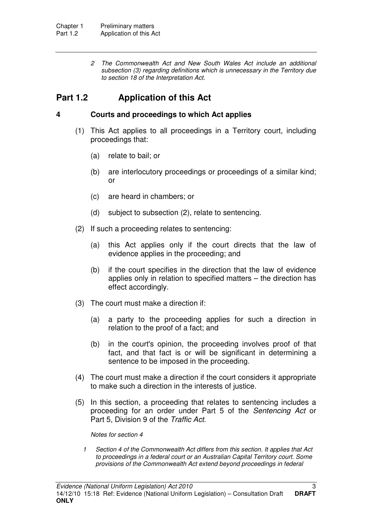2 The Commonwealth Act and New South Wales Act include an additional subsection (3) regarding definitions which is unnecessary in the Territory due to section 18 of the Interpretation Act.

# **Part 1.2 Application of this Act**

### **4 Courts and proceedings to which Act applies**

- (1) This Act applies to all proceedings in a Territory court, including proceedings that:
	- (a) relate to bail; or
	- (b) are interlocutory proceedings or proceedings of a similar kind; or
	- (c) are heard in chambers; or
	- (d) subject to subsection (2), relate to sentencing.
- (2) If such a proceeding relates to sentencing:
	- (a) this Act applies only if the court directs that the law of evidence applies in the proceeding; and
	- (b) if the court specifies in the direction that the law of evidence applies only in relation to specified matters – the direction has effect accordingly.
- (3) The court must make a direction if:
	- (a) a party to the proceeding applies for such a direction in relation to the proof of a fact; and
	- (b) in the court's opinion, the proceeding involves proof of that fact, and that fact is or will be significant in determining a sentence to be imposed in the proceeding.
- (4) The court must make a direction if the court considers it appropriate to make such a direction in the interests of justice.
- (5) In this section, a proceeding that relates to sentencing includes a proceeding for an order under Part 5 of the Sentencing Act or Part 5, Division 9 of the Traffic Act.

Notes for section 4

1 Section 4 of the Commonwealth Act differs from this section. It applies that Act to proceedings in a federal court or an Australian Capital Territory court. Some provisions of the Commonwealth Act extend beyond proceedings in federal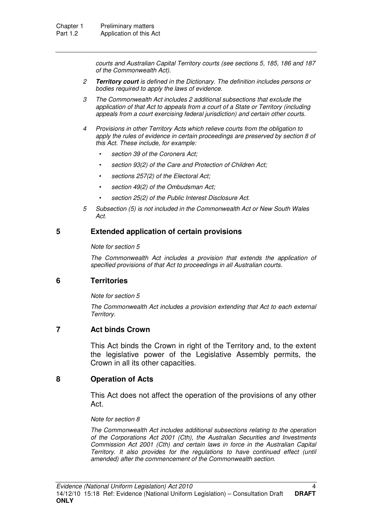courts and Australian Capital Territory courts (see sections 5, 185, 186 and 187 of the Commonwealth Act).

- 2 **Territory court** is defined in the Dictionary. The definition includes persons or bodies required to apply the laws of evidence.
- 3 The Commonwealth Act includes 2 additional subsections that exclude the application of that Act to appeals from a court of a State or Territory (including appeals from a court exercising federal jurisdiction) and certain other courts.
- 4 Provisions in other Territory Acts which relieve courts from the obligation to apply the rules of evidence in certain proceedings are preserved by section 8 of this Act. These include, for example:
	- section 39 of the Coroners Act;
	- section 93(2) of the Care and Protection of Children Act;
	- sections 257(2) of the Electoral Act;
	- section 49(2) of the Ombudsman Act;
	- section 25(2) of the Public Interest Disclosure Act.
- 5 Subsection (5) is not included in the Commonwealth Act or New South Wales Act.

#### **5 Extended application of certain provisions**

#### Note for section 5

The Commonwealth Act includes a provision that extends the application of specified provisions of that Act to proceedings in all Australian courts.

#### **6 Territories**

Note for section 5

The Commonwealth Act includes a provision extending that Act to each external Territory.

#### **7 Act binds Crown**

This Act binds the Crown in right of the Territory and, to the extent the legislative power of the Legislative Assembly permits, the Crown in all its other capacities.

#### **8 Operation of Acts**

This Act does not affect the operation of the provisions of any other Act.

#### Note for section 8

The Commonwealth Act includes additional subsections relating to the operation of the Corporations Act 2001 (Cth), the Australian Securities and Investments Commission Act 2001 (Cth) and certain laws in force in the Australian Capital Territory. It also provides for the regulations to have continued effect (until amended) after the commencement of the Commonwealth section.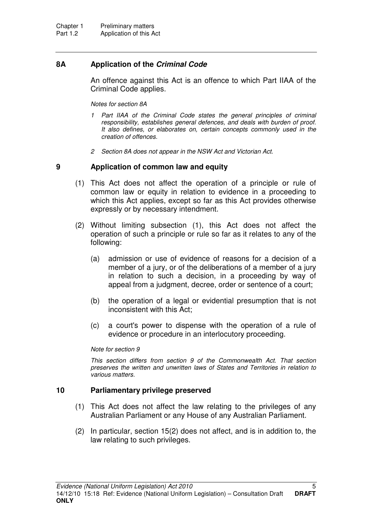## **8A Application of the Criminal Code**

An offence against this Act is an offence to which Part IIAA of the Criminal Code applies.

Notes for section 8A

- 1 Part IIAA of the Criminal Code states the general principles of criminal responsibility, establishes general defences, and deals with burden of proof. It also defines, or elaborates on, certain concepts commonly used in the creation of offences.
- 2 Section 8A does not appear in the NSW Act and Victorian Act.

## **9 Application of common law and equity**

- (1) This Act does not affect the operation of a principle or rule of common law or equity in relation to evidence in a proceeding to which this Act applies, except so far as this Act provides otherwise expressly or by necessary intendment.
- (2) Without limiting subsection (1), this Act does not affect the operation of such a principle or rule so far as it relates to any of the following:
	- (a) admission or use of evidence of reasons for a decision of a member of a jury, or of the deliberations of a member of a jury in relation to such a decision, in a proceeding by way of appeal from a judgment, decree, order or sentence of a court;
	- (b) the operation of a legal or evidential presumption that is not inconsistent with this Act;
	- (c) a court's power to dispense with the operation of a rule of evidence or procedure in an interlocutory proceeding.

#### Note for section 9

This section differs from section 9 of the Commonwealth Act. That section preserves the written and unwritten laws of States and Territories in relation to various matters.

### **10 Parliamentary privilege preserved**

- (1) This Act does not affect the law relating to the privileges of any Australian Parliament or any House of any Australian Parliament.
- (2) In particular, section 15(2) does not affect, and is in addition to, the law relating to such privileges.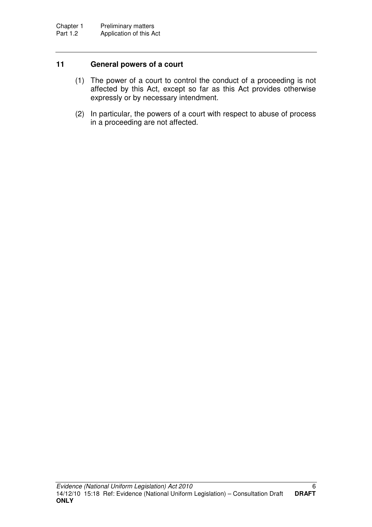### **11 General powers of a court**

- (1) The power of a court to control the conduct of a proceeding is not affected by this Act, except so far as this Act provides otherwise expressly or by necessary intendment.
- (2) In particular, the powers of a court with respect to abuse of process in a proceeding are not affected.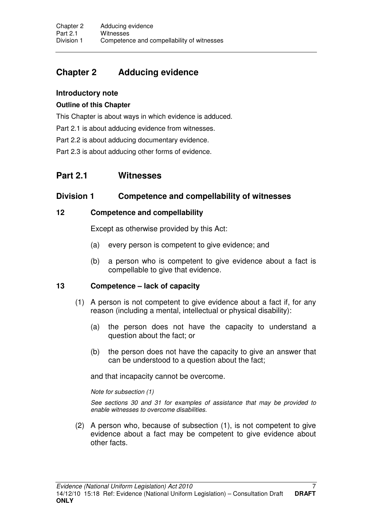# **Chapter 2 Adducing evidence**

### **Introductory note**

## **Outline of this Chapter**

This Chapter is about ways in which evidence is adduced.

Part 2.1 is about adducing evidence from witnesses.

Part 2.2 is about adducing documentary evidence.

Part 2.3 is about adducing other forms of evidence.

# **Part 2.1 Witnesses**

## **Division 1 Competence and compellability of witnesses**

## **12 Competence and compellability**

Except as otherwise provided by this Act:

- (a) every person is competent to give evidence; and
- (b) a person who is competent to give evidence about a fact is compellable to give that evidence.

## **13 Competence – lack of capacity**

- (1) A person is not competent to give evidence about a fact if, for any reason (including a mental, intellectual or physical disability):
	- (a) the person does not have the capacity to understand a question about the fact; or
	- (b) the person does not have the capacity to give an answer that can be understood to a question about the fact;

and that incapacity cannot be overcome.

Note for subsection (1)

See sections 30 and 31 for examples of assistance that may be provided to enable witnesses to overcome disabilities.

 (2) A person who, because of subsection (1), is not competent to give evidence about a fact may be competent to give evidence about other facts.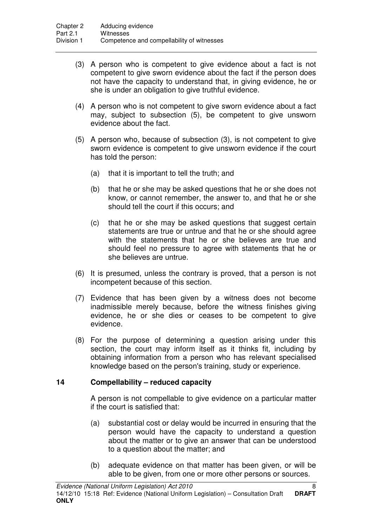- (3) A person who is competent to give evidence about a fact is not competent to give sworn evidence about the fact if the person does not have the capacity to understand that, in giving evidence, he or she is under an obligation to give truthful evidence.
- (4) A person who is not competent to give sworn evidence about a fact may, subject to subsection (5), be competent to give unsworn evidence about the fact.
- (5) A person who, because of subsection (3), is not competent to give sworn evidence is competent to give unsworn evidence if the court has told the person:
	- (a) that it is important to tell the truth; and
	- (b) that he or she may be asked questions that he or she does not know, or cannot remember, the answer to, and that he or she should tell the court if this occurs; and
	- (c) that he or she may be asked questions that suggest certain statements are true or untrue and that he or she should agree with the statements that he or she believes are true and should feel no pressure to agree with statements that he or she believes are untrue.
- (6) It is presumed, unless the contrary is proved, that a person is not incompetent because of this section.
- (7) Evidence that has been given by a witness does not become inadmissible merely because, before the witness finishes giving evidence, he or she dies or ceases to be competent to give evidence.
- (8) For the purpose of determining a question arising under this section, the court may inform itself as it thinks fit, including by obtaining information from a person who has relevant specialised knowledge based on the person's training, study or experience.

## **14 Compellability – reduced capacity**

A person is not compellable to give evidence on a particular matter if the court is satisfied that:

- (a) substantial cost or delay would be incurred in ensuring that the person would have the capacity to understand a question about the matter or to give an answer that can be understood to a question about the matter; and
- (b) adequate evidence on that matter has been given, or will be able to be given, from one or more other persons or sources.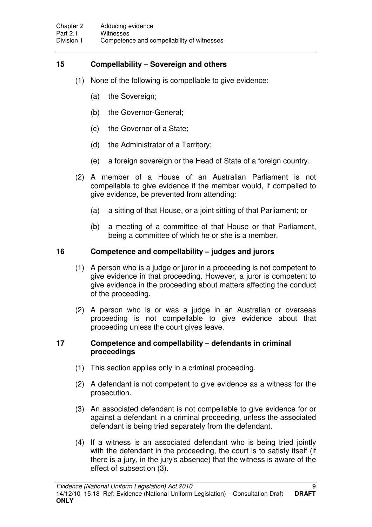## **15 Compellability – Sovereign and others**

- (1) None of the following is compellable to give evidence:
	- (a) the Sovereign;
	- (b) the Governor-General;
	- (c) the Governor of a State;
	- (d) the Administrator of a Territory;
	- (e) a foreign sovereign or the Head of State of a foreign country.
- (2) A member of a House of an Australian Parliament is not compellable to give evidence if the member would, if compelled to give evidence, be prevented from attending:
	- (a) a sitting of that House, or a joint sitting of that Parliament; or
	- (b) a meeting of a committee of that House or that Parliament, being a committee of which he or she is a member.

## **16 Competence and compellability – judges and jurors**

- (1) A person who is a judge or juror in a proceeding is not competent to give evidence in that proceeding. However, a juror is competent to give evidence in the proceeding about matters affecting the conduct of the proceeding.
- (2) A person who is or was a judge in an Australian or overseas proceeding is not compellable to give evidence about that proceeding unless the court gives leave.

#### **17 Competence and compellability – defendants in criminal proceedings**

- (1) This section applies only in a criminal proceeding.
- (2) A defendant is not competent to give evidence as a witness for the prosecution.
- (3) An associated defendant is not compellable to give evidence for or against a defendant in a criminal proceeding, unless the associated defendant is being tried separately from the defendant.
- (4) If a witness is an associated defendant who is being tried jointly with the defendant in the proceeding, the court is to satisfy itself (if there is a jury, in the jury's absence) that the witness is aware of the effect of subsection (3).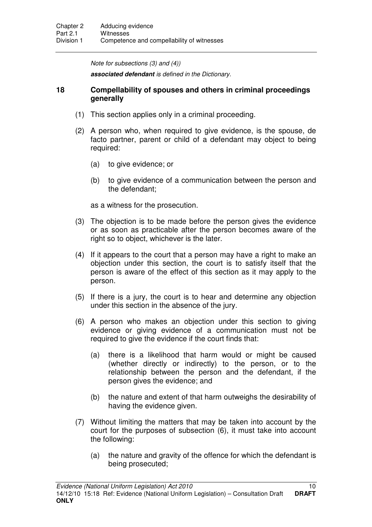Note for subsections (3) and (4)) **associated defendant** is defined in the Dictionary.

### **18 Compellability of spouses and others in criminal proceedings generally**

- (1) This section applies only in a criminal proceeding.
- (2) A person who, when required to give evidence, is the spouse, de facto partner, parent or child of a defendant may object to being required:
	- (a) to give evidence; or
	- (b) to give evidence of a communication between the person and the defendant;

as a witness for the prosecution.

- (3) The objection is to be made before the person gives the evidence or as soon as practicable after the person becomes aware of the right so to object, whichever is the later.
- (4) If it appears to the court that a person may have a right to make an objection under this section, the court is to satisfy itself that the person is aware of the effect of this section as it may apply to the person.
- (5) If there is a jury, the court is to hear and determine any objection under this section in the absence of the jury.
- (6) A person who makes an objection under this section to giving evidence or giving evidence of a communication must not be required to give the evidence if the court finds that:
	- (a) there is a likelihood that harm would or might be caused (whether directly or indirectly) to the person, or to the relationship between the person and the defendant, if the person gives the evidence; and
	- (b) the nature and extent of that harm outweighs the desirability of having the evidence given.
- (7) Without limiting the matters that may be taken into account by the court for the purposes of subsection (6), it must take into account the following:
	- (a) the nature and gravity of the offence for which the defendant is being prosecuted;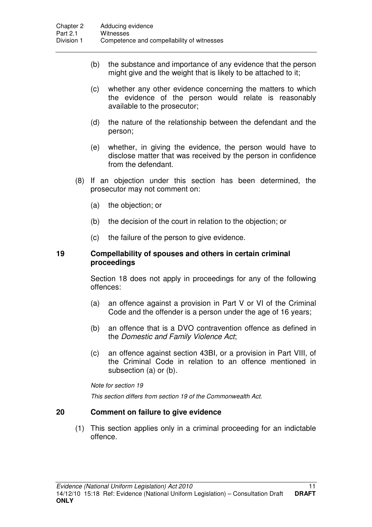- (b) the substance and importance of any evidence that the person might give and the weight that is likely to be attached to it;
- (c) whether any other evidence concerning the matters to which the evidence of the person would relate is reasonably available to the prosecutor;
- (d) the nature of the relationship between the defendant and the person;
- (e) whether, in giving the evidence, the person would have to disclose matter that was received by the person in confidence from the defendant.
- (8) If an objection under this section has been determined, the prosecutor may not comment on:
	- (a) the objection; or
	- (b) the decision of the court in relation to the objection; or
	- (c) the failure of the person to give evidence.

#### **19 Compellability of spouses and others in certain criminal proceedings**

Section 18 does not apply in proceedings for any of the following offences:

- (a) an offence against a provision in Part V or VI of the Criminal Code and the offender is a person under the age of 16 years;
- (b) an offence that is a DVO contravention offence as defined in the Domestic and Family Violence Act;
- (c) an offence against section 43BI, or a provision in Part VIII, of the Criminal Code in relation to an offence mentioned in subsection (a) or (b).

Note for section 19

This section differs from section 19 of the Commonwealth Act.

### **20 Comment on failure to give evidence**

 (1) This section applies only in a criminal proceeding for an indictable offence.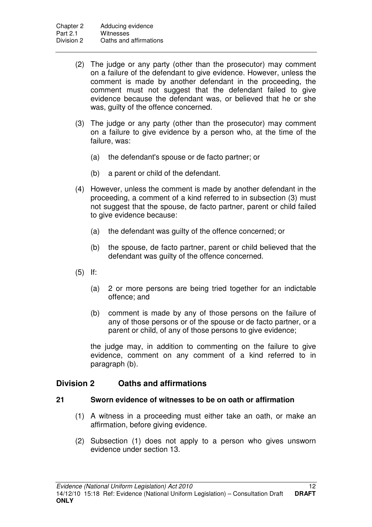- (2) The judge or any party (other than the prosecutor) may comment on a failure of the defendant to give evidence. However, unless the comment is made by another defendant in the proceeding, the comment must not suggest that the defendant failed to give evidence because the defendant was, or believed that he or she was, quilty of the offence concerned.
- (3) The judge or any party (other than the prosecutor) may comment on a failure to give evidence by a person who, at the time of the failure, was:
	- (a) the defendant's spouse or de facto partner; or
	- (b) a parent or child of the defendant.
- (4) However, unless the comment is made by another defendant in the proceeding, a comment of a kind referred to in subsection (3) must not suggest that the spouse, de facto partner, parent or child failed to give evidence because:
	- (a) the defendant was guilty of the offence concerned; or
	- (b) the spouse, de facto partner, parent or child believed that the defendant was guilty of the offence concerned.
- (5) If:
	- (a) 2 or more persons are being tried together for an indictable offence; and
	- (b) comment is made by any of those persons on the failure of any of those persons or of the spouse or de facto partner, or a parent or child, of any of those persons to give evidence;

the judge may, in addition to commenting on the failure to give evidence, comment on any comment of a kind referred to in paragraph (b).

## **Division 2 Oaths and affirmations**

### **21 Sworn evidence of witnesses to be on oath or affirmation**

- (1) A witness in a proceeding must either take an oath, or make an affirmation, before giving evidence.
- (2) Subsection (1) does not apply to a person who gives unsworn evidence under section 13.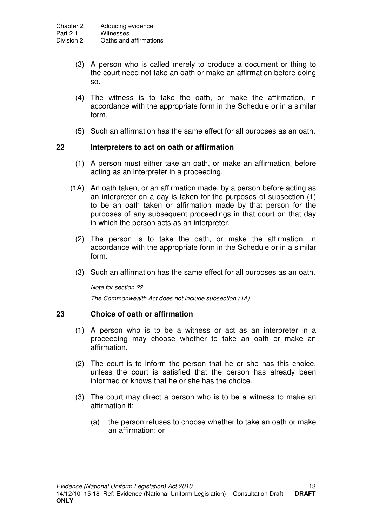- (3) A person who is called merely to produce a document or thing to the court need not take an oath or make an affirmation before doing so.
- (4) The witness is to take the oath, or make the affirmation, in accordance with the appropriate form in the Schedule or in a similar form.
- (5) Such an affirmation has the same effect for all purposes as an oath.

#### **22 Interpreters to act on oath or affirmation**

- (1) A person must either take an oath, or make an affirmation, before acting as an interpreter in a proceeding.
- (1A) An oath taken, or an affirmation made, by a person before acting as an interpreter on a day is taken for the purposes of subsection (1) to be an oath taken or affirmation made by that person for the purposes of any subsequent proceedings in that court on that day in which the person acts as an interpreter.
	- (2) The person is to take the oath, or make the affirmation, in accordance with the appropriate form in the Schedule or in a similar form.
	- (3) Such an affirmation has the same effect for all purposes as an oath.

Note for section 22

The Commonwealth Act does not include subsection (1A).

### **23 Choice of oath or affirmation**

- (1) A person who is to be a witness or act as an interpreter in a proceeding may choose whether to take an oath or make an affirmation.
- (2) The court is to inform the person that he or she has this choice, unless the court is satisfied that the person has already been informed or knows that he or she has the choice.
- (3) The court may direct a person who is to be a witness to make an affirmation if:
	- (a) the person refuses to choose whether to take an oath or make an affirmation; or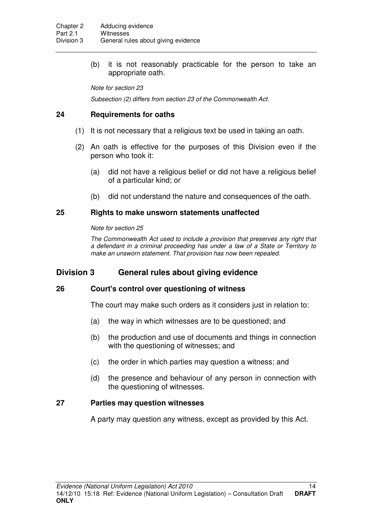(b) it is not reasonably practicable for the person to take an appropriate oath.

Note for section 23

Subsection (2) differs from section 23 of the Commonwealth Act.

#### **24 Requirements for oaths**

- (1) It is not necessary that a religious text be used in taking an oath.
- (2) An oath is effective for the purposes of this Division even if the person who took it:
	- (a) did not have a religious belief or did not have a religious belief of a particular kind; or
	- (b) did not understand the nature and consequences of the oath.

#### **25 Rights to make unsworn statements unaffected**

#### Note for section 25

The Commonwealth Act used to include a provision that preserves any right that a defendant in a criminal proceeding has under a law of a State or Territory to make an unsworn statement. That provision has now been repealed.

### **Division 3 General rules about giving evidence**

#### **26 Court's control over questioning of witness**

The court may make such orders as it considers just in relation to:

- (a) the way in which witnesses are to be questioned; and
- (b) the production and use of documents and things in connection with the questioning of witnesses; and
- (c) the order in which parties may question a witness; and
- (d) the presence and behaviour of any person in connection with the questioning of witnesses.

#### **27 Parties may question witnesses**

A party may question any witness, except as provided by this Act.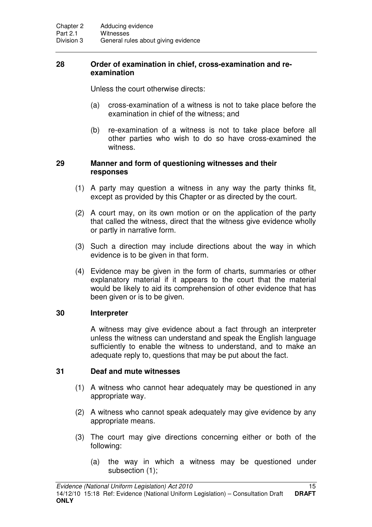#### **28 Order of examination in chief, cross-examination and reexamination**

Unless the court otherwise directs:

- (a) cross-examination of a witness is not to take place before the examination in chief of the witness; and
- (b) re-examination of a witness is not to take place before all other parties who wish to do so have cross-examined the witness.

#### **29 Manner and form of questioning witnesses and their responses**

- (1) A party may question a witness in any way the party thinks fit, except as provided by this Chapter or as directed by the court.
- (2) A court may, on its own motion or on the application of the party that called the witness, direct that the witness give evidence wholly or partly in narrative form.
- (3) Such a direction may include directions about the way in which evidence is to be given in that form.
- (4) Evidence may be given in the form of charts, summaries or other explanatory material if it appears to the court that the material would be likely to aid its comprehension of other evidence that has been given or is to be given.

### **30 Interpreter**

A witness may give evidence about a fact through an interpreter unless the witness can understand and speak the English language sufficiently to enable the witness to understand, and to make an adequate reply to, questions that may be put about the fact.

### **31 Deaf and mute witnesses**

- (1) A witness who cannot hear adequately may be questioned in any appropriate way.
- (2) A witness who cannot speak adequately may give evidence by any appropriate means.
- (3) The court may give directions concerning either or both of the following:
	- (a) the way in which a witness may be questioned under subsection (1);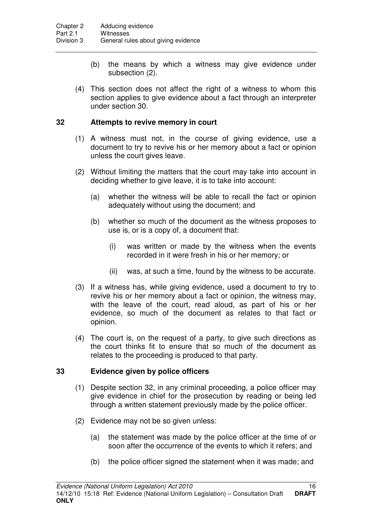- (b) the means by which a witness may give evidence under subsection (2).
- (4) This section does not affect the right of a witness to whom this section applies to give evidence about a fact through an interpreter under section 30.

#### **32 Attempts to revive memory in court**

- (1) A witness must not, in the course of giving evidence, use a document to try to revive his or her memory about a fact or opinion unless the court gives leave.
- (2) Without limiting the matters that the court may take into account in deciding whether to give leave, it is to take into account:
	- (a) whether the witness will be able to recall the fact or opinion adequately without using the document; and
	- (b) whether so much of the document as the witness proposes to use is, or is a copy of, a document that:
		- (i) was written or made by the witness when the events recorded in it were fresh in his or her memory; or
		- (ii) was, at such a time, found by the witness to be accurate.
- (3) If a witness has, while giving evidence, used a document to try to revive his or her memory about a fact or opinion, the witness may, with the leave of the court, read aloud, as part of his or her evidence, so much of the document as relates to that fact or opinion.
- (4) The court is, on the request of a party, to give such directions as the court thinks fit to ensure that so much of the document as relates to the proceeding is produced to that party.

#### **33 Evidence given by police officers**

- (1) Despite section 32, in any criminal proceeding, a police officer may give evidence in chief for the prosecution by reading or being led through a written statement previously made by the police officer.
- (2) Evidence may not be so given unless:
	- (a) the statement was made by the police officer at the time of or soon after the occurrence of the events to which it refers; and
	- (b) the police officer signed the statement when it was made; and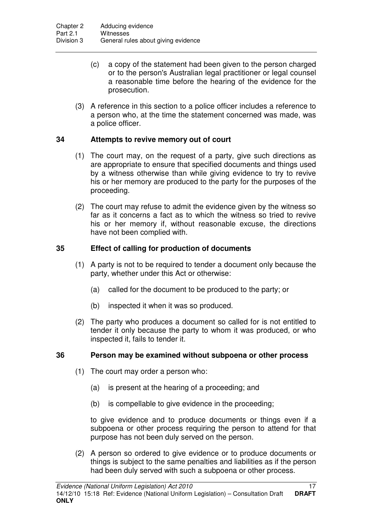- (c) a copy of the statement had been given to the person charged or to the person's Australian legal practitioner or legal counsel a reasonable time before the hearing of the evidence for the prosecution.
- (3) A reference in this section to a police officer includes a reference to a person who, at the time the statement concerned was made, was a police officer.

### **34 Attempts to revive memory out of court**

- (1) The court may, on the request of a party, give such directions as are appropriate to ensure that specified documents and things used by a witness otherwise than while giving evidence to try to revive his or her memory are produced to the party for the purposes of the proceeding.
- (2) The court may refuse to admit the evidence given by the witness so far as it concerns a fact as to which the witness so tried to revive his or her memory if, without reasonable excuse, the directions have not been complied with.

## **35 Effect of calling for production of documents**

- (1) A party is not to be required to tender a document only because the party, whether under this Act or otherwise:
	- (a) called for the document to be produced to the party; or
	- (b) inspected it when it was so produced.
- (2) The party who produces a document so called for is not entitled to tender it only because the party to whom it was produced, or who inspected it, fails to tender it.

### **36 Person may be examined without subpoena or other process**

- (1) The court may order a person who:
	- (a) is present at the hearing of a proceeding; and
	- (b) is compellable to give evidence in the proceeding;

to give evidence and to produce documents or things even if a subpoena or other process requiring the person to attend for that purpose has not been duly served on the person.

 (2) A person so ordered to give evidence or to produce documents or things is subject to the same penalties and liabilities as if the person had been duly served with such a subpoena or other process.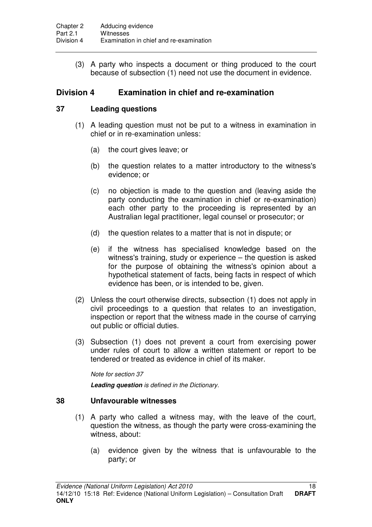(3) A party who inspects a document or thing produced to the court because of subsection (1) need not use the document in evidence.

## **Division 4 Examination in chief and re-examination**

### **37 Leading questions**

- (1) A leading question must not be put to a witness in examination in chief or in re-examination unless:
	- (a) the court gives leave; or
	- (b) the question relates to a matter introductory to the witness's evidence; or
	- (c) no objection is made to the question and (leaving aside the party conducting the examination in chief or re-examination) each other party to the proceeding is represented by an Australian legal practitioner, legal counsel or prosecutor; or
	- (d) the question relates to a matter that is not in dispute; or
	- (e) if the witness has specialised knowledge based on the witness's training, study or experience – the question is asked for the purpose of obtaining the witness's opinion about a hypothetical statement of facts, being facts in respect of which evidence has been, or is intended to be, given.
- (2) Unless the court otherwise directs, subsection (1) does not apply in civil proceedings to a question that relates to an investigation, inspection or report that the witness made in the course of carrying out public or official duties.
- (3) Subsection (1) does not prevent a court from exercising power under rules of court to allow a written statement or report to be tendered or treated as evidence in chief of its maker.

Note for section 37

**Leading question** is defined in the Dictionary.

### **38 Unfavourable witnesses**

- (1) A party who called a witness may, with the leave of the court, question the witness, as though the party were cross-examining the witness, about:
	- (a) evidence given by the witness that is unfavourable to the party; or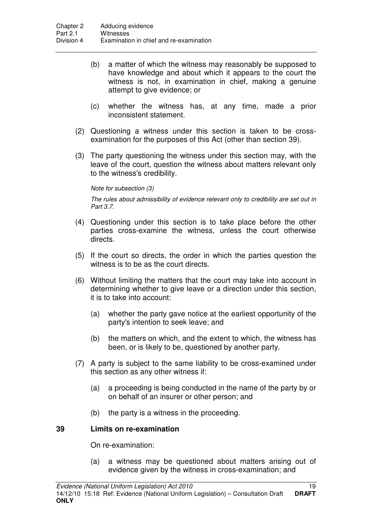- (b) a matter of which the witness may reasonably be supposed to have knowledge and about which it appears to the court the witness is not, in examination in chief, making a genuine attempt to give evidence; or
- (c) whether the witness has, at any time, made a prior inconsistent statement.
- (2) Questioning a witness under this section is taken to be crossexamination for the purposes of this Act (other than section 39).
- (3) The party questioning the witness under this section may, with the leave of the court, question the witness about matters relevant only to the witness's credibility.

#### Note for subsection (3)

The rules about admissibility of evidence relevant only to credibility are set out in Part 3.7.

- (4) Questioning under this section is to take place before the other parties cross-examine the witness, unless the court otherwise directs.
- (5) If the court so directs, the order in which the parties question the witness is to be as the court directs.
- (6) Without limiting the matters that the court may take into account in determining whether to give leave or a direction under this section, it is to take into account:
	- (a) whether the party gave notice at the earliest opportunity of the party's intention to seek leave; and
	- (b) the matters on which, and the extent to which, the witness has been, or is likely to be, questioned by another party.
- (7) A party is subject to the same liability to be cross-examined under this section as any other witness if:
	- (a) a proceeding is being conducted in the name of the party by or on behalf of an insurer or other person; and
	- (b) the party is a witness in the proceeding.

#### **39 Limits on re-examination**

On re-examination:

(a) a witness may be questioned about matters arising out of evidence given by the witness in cross-examination; and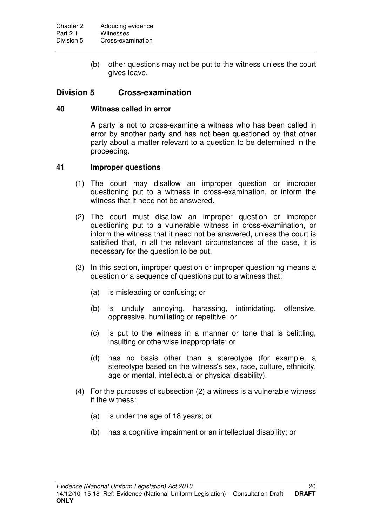(b) other questions may not be put to the witness unless the court gives leave.

## **Division 5 Cross-examination**

### **40 Witness called in error**

A party is not to cross-examine a witness who has been called in error by another party and has not been questioned by that other party about a matter relevant to a question to be determined in the proceeding.

### **41 Improper questions**

- (1) The court may disallow an improper question or improper questioning put to a witness in cross-examination, or inform the witness that it need not be answered.
- (2) The court must disallow an improper question or improper questioning put to a vulnerable witness in cross-examination, or inform the witness that it need not be answered, unless the court is satisfied that, in all the relevant circumstances of the case, it is necessary for the question to be put.
- (3) In this section, improper question or improper questioning means a question or a sequence of questions put to a witness that:
	- (a) is misleading or confusing; or
	- (b) is unduly annoying, harassing, intimidating, offensive, oppressive, humiliating or repetitive; or
	- (c) is put to the witness in a manner or tone that is belittling, insulting or otherwise inappropriate; or
	- (d) has no basis other than a stereotype (for example, a stereotype based on the witness's sex, race, culture, ethnicity, age or mental, intellectual or physical disability).
- (4) For the purposes of subsection (2) a witness is a vulnerable witness if the witness:
	- (a) is under the age of 18 years; or
	- (b) has a cognitive impairment or an intellectual disability; or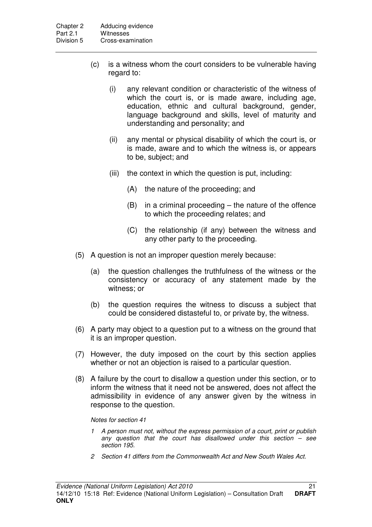- (c) is a witness whom the court considers to be vulnerable having regard to:
	- (i) any relevant condition or characteristic of the witness of which the court is, or is made aware, including age, education, ethnic and cultural background, gender, language background and skills, level of maturity and understanding and personality; and
	- (ii) any mental or physical disability of which the court is, or is made, aware and to which the witness is, or appears to be, subject; and
	- (iii) the context in which the question is put, including:
		- (A) the nature of the proceeding; and
		- (B) in a criminal proceeding the nature of the offence to which the proceeding relates; and
		- (C) the relationship (if any) between the witness and any other party to the proceeding.
- (5) A question is not an improper question merely because:
	- (a) the question challenges the truthfulness of the witness or the consistency or accuracy of any statement made by the witness; or
	- (b) the question requires the witness to discuss a subject that could be considered distasteful to, or private by, the witness.
- (6) A party may object to a question put to a witness on the ground that it is an improper question.
- (7) However, the duty imposed on the court by this section applies whether or not an objection is raised to a particular question.
- (8) A failure by the court to disallow a question under this section, or to inform the witness that it need not be answered, does not affect the admissibility in evidence of any answer given by the witness in response to the question.

Notes for section 41

- 1 A person must not, without the express permission of a court, print or publish any question that the court has disallowed under this section – see section 195.
- 2 Section 41 differs from the Commonwealth Act and New South Wales Act.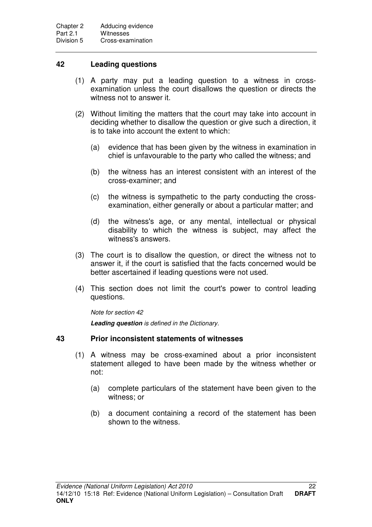### **42 Leading questions**

- (1) A party may put a leading question to a witness in crossexamination unless the court disallows the question or directs the witness not to answer it.
- (2) Without limiting the matters that the court may take into account in deciding whether to disallow the question or give such a direction, it is to take into account the extent to which:
	- (a) evidence that has been given by the witness in examination in chief is unfavourable to the party who called the witness; and
	- (b) the witness has an interest consistent with an interest of the cross-examiner; and
	- (c) the witness is sympathetic to the party conducting the crossexamination, either generally or about a particular matter; and
	- (d) the witness's age, or any mental, intellectual or physical disability to which the witness is subject, may affect the witness's answers.
- (3) The court is to disallow the question, or direct the witness not to answer it, if the court is satisfied that the facts concerned would be better ascertained if leading questions were not used.
- (4) This section does not limit the court's power to control leading questions.

Note for section 42

**Leading question** is defined in the Dictionary.

#### **43 Prior inconsistent statements of witnesses**

- (1) A witness may be cross-examined about a prior inconsistent statement alleged to have been made by the witness whether or not:
	- (a) complete particulars of the statement have been given to the witness; or
	- (b) a document containing a record of the statement has been shown to the witness.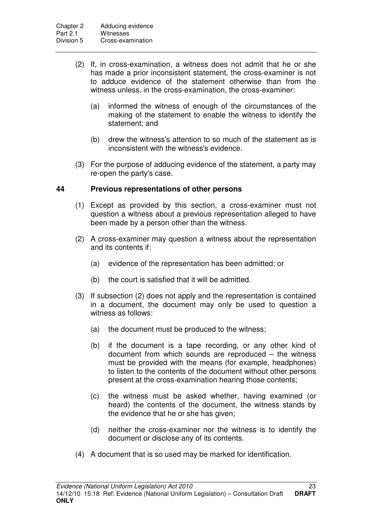- (2) If, in cross-examination, a witness does not admit that he or she has made a prior inconsistent statement, the cross-examiner is not to adduce evidence of the statement otherwise than from the witness unless, in the cross-examination, the cross-examiner:
	- (a) informed the witness of enough of the circumstances of the making of the statement to enable the witness to identify the statement; and
	- (b) drew the witness's attention to so much of the statement as is inconsistent with the witness's evidence.
- (3) For the purpose of adducing evidence of the statement, a party may re-open the party's case.

#### **44 Previous representations of other persons**

- (1) Except as provided by this section, a cross-examiner must not question a witness about a previous representation alleged to have been made by a person other than the witness.
- (2) A cross-examiner may question a witness about the representation and its contents if:
	- (a) evidence of the representation has been admitted; or
	- (b) the court is satisfied that it will be admitted.
- (3) If subsection (2) does not apply and the representation is contained in a document, the document may only be used to question a witness as follows:
	- (a) the document must be produced to the witness;
	- (b) if the document is a tape recording, or any other kind of document from which sounds are reproduced – the witness must be provided with the means (for example, headphones) to listen to the contents of the document without other persons present at the cross-examination hearing those contents;
	- (c) the witness must be asked whether, having examined (or heard) the contents of the document, the witness stands by the evidence that he or she has given;
	- (d) neither the cross-examiner nor the witness is to identify the document or disclose any of its contents.
- (4) A document that is so used may be marked for identification.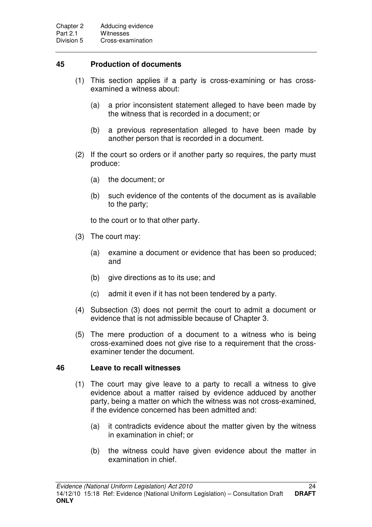### **45 Production of documents**

- (1) This section applies if a party is cross-examining or has crossexamined a witness about:
	- (a) a prior inconsistent statement alleged to have been made by the witness that is recorded in a document; or
	- (b) a previous representation alleged to have been made by another person that is recorded in a document.
- (2) If the court so orders or if another party so requires, the party must produce:
	- (a) the document; or
	- (b) such evidence of the contents of the document as is available to the party;

to the court or to that other party.

- (3) The court may:
	- (a) examine a document or evidence that has been so produced; and
	- (b) give directions as to its use; and
	- (c) admit it even if it has not been tendered by a party.
- (4) Subsection (3) does not permit the court to admit a document or evidence that is not admissible because of Chapter 3.
- (5) The mere production of a document to a witness who is being cross-examined does not give rise to a requirement that the crossexaminer tender the document.

### **46 Leave to recall witnesses**

- (1) The court may give leave to a party to recall a witness to give evidence about a matter raised by evidence adduced by another party, being a matter on which the witness was not cross-examined, if the evidence concerned has been admitted and:
	- (a) it contradicts evidence about the matter given by the witness in examination in chief; or
	- (b) the witness could have given evidence about the matter in examination in chief.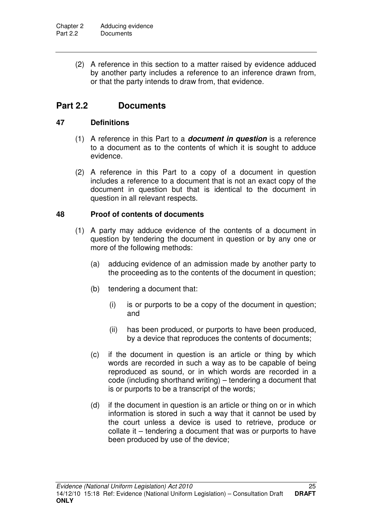(2) A reference in this section to a matter raised by evidence adduced by another party includes a reference to an inference drawn from, or that the party intends to draw from, that evidence.

# **Part 2.2 Documents**

### **47 Definitions**

- (1) A reference in this Part to a **document in question** is a reference to a document as to the contents of which it is sought to adduce evidence.
- (2) A reference in this Part to a copy of a document in question includes a reference to a document that is not an exact copy of the document in question but that is identical to the document in question in all relevant respects.

## **48 Proof of contents of documents**

- (1) A party may adduce evidence of the contents of a document in question by tendering the document in question or by any one or more of the following methods:
	- (a) adducing evidence of an admission made by another party to the proceeding as to the contents of the document in question;
	- (b) tendering a document that:
		- (i) is or purports to be a copy of the document in question; and
		- (ii) has been produced, or purports to have been produced, by a device that reproduces the contents of documents;
	- (c) if the document in question is an article or thing by which words are recorded in such a way as to be capable of being reproduced as sound, or in which words are recorded in a code (including shorthand writing) – tendering a document that is or purports to be a transcript of the words;
	- (d) if the document in question is an article or thing on or in which information is stored in such a way that it cannot be used by the court unless a device is used to retrieve, produce or collate it – tendering a document that was or purports to have been produced by use of the device;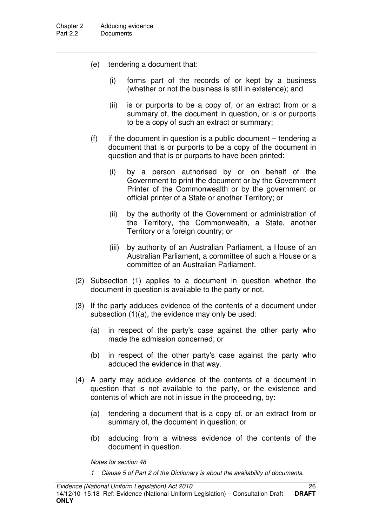- (e) tendering a document that:
	- (i) forms part of the records of or kept by a business (whether or not the business is still in existence); and
	- (ii) is or purports to be a copy of, or an extract from or a summary of, the document in question, or is or purports to be a copy of such an extract or summary;
- (f) if the document in question is a public document tendering a document that is or purports to be a copy of the document in question and that is or purports to have been printed:
	- (i) by a person authorised by or on behalf of the Government to print the document or by the Government Printer of the Commonwealth or by the government or official printer of a State or another Territory; or
	- (ii) by the authority of the Government or administration of the Territory, the Commonwealth, a State, another Territory or a foreign country; or
	- (iii) by authority of an Australian Parliament, a House of an Australian Parliament, a committee of such a House or a committee of an Australian Parliament.
- (2) Subsection (1) applies to a document in question whether the document in question is available to the party or not.
- (3) If the party adduces evidence of the contents of a document under subsection (1)(a), the evidence may only be used:
	- (a) in respect of the party's case against the other party who made the admission concerned; or
	- (b) in respect of the other party's case against the party who adduced the evidence in that way.
- (4) A party may adduce evidence of the contents of a document in question that is not available to the party, or the existence and contents of which are not in issue in the proceeding, by:
	- (a) tendering a document that is a copy of, or an extract from or summary of, the document in question; or
	- (b) adducing from a witness evidence of the contents of the document in question.

Notes for section 48

1 Clause 5 of Part 2 of the Dictionary is about the availability of documents.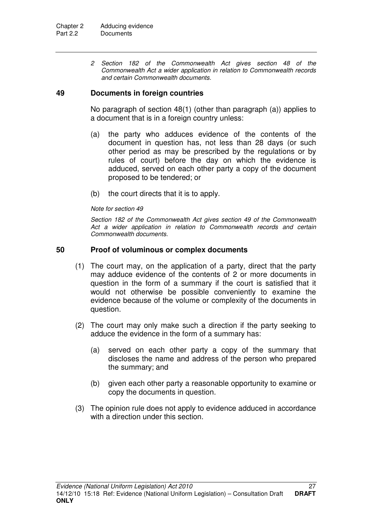2 Section 182 of the Commonwealth Act gives section 48 of the Commonwealth Act a wider application in relation to Commonwealth records and certain Commonwealth documents.

## **49 Documents in foreign countries**

No paragraph of section 48(1) (other than paragraph (a)) applies to a document that is in a foreign country unless:

- (a) the party who adduces evidence of the contents of the document in question has, not less than 28 days (or such other period as may be prescribed by the regulations or by rules of court) before the day on which the evidence is adduced, served on each other party a copy of the document proposed to be tendered; or
- (b) the court directs that it is to apply.

### Note for section 49

Section 182 of the Commonwealth Act gives section 49 of the Commonwealth Act a wider application in relation to Commonwealth records and certain Commonwealth documents.

## **50 Proof of voluminous or complex documents**

- (1) The court may, on the application of a party, direct that the party may adduce evidence of the contents of 2 or more documents in question in the form of a summary if the court is satisfied that it would not otherwise be possible conveniently to examine the evidence because of the volume or complexity of the documents in question.
- (2) The court may only make such a direction if the party seeking to adduce the evidence in the form of a summary has:
	- (a) served on each other party a copy of the summary that discloses the name and address of the person who prepared the summary; and
	- (b) given each other party a reasonable opportunity to examine or copy the documents in question.
- (3) The opinion rule does not apply to evidence adduced in accordance with a direction under this section.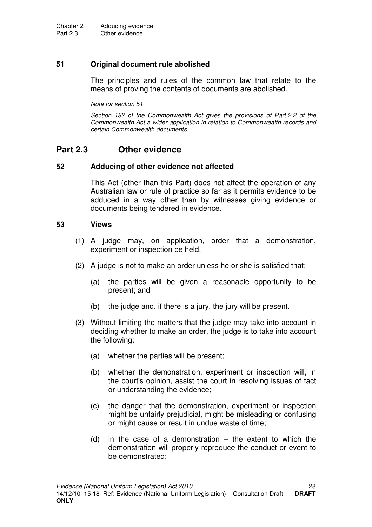# **51 Original document rule abolished**

The principles and rules of the common law that relate to the means of proving the contents of documents are abolished.

Note for section 51

Section 182 of the Commonwealth Act gives the provisions of Part 2.2 of the Commonwealth Act a wider application in relation to Commonwealth records and certain Commonwealth documents.

# **Part 2.3 Other evidence**

# **52 Adducing of other evidence not affected**

This Act (other than this Part) does not affect the operation of any Australian law or rule of practice so far as it permits evidence to be adduced in a way other than by witnesses giving evidence or documents being tendered in evidence.

## **53 Views**

- (1) A judge may, on application, order that a demonstration, experiment or inspection be held.
- (2) A judge is not to make an order unless he or she is satisfied that:
	- (a) the parties will be given a reasonable opportunity to be present; and
	- (b) the judge and, if there is a jury, the jury will be present.
- (3) Without limiting the matters that the judge may take into account in deciding whether to make an order, the judge is to take into account the following:
	- (a) whether the parties will be present;
	- (b) whether the demonstration, experiment or inspection will, in the court's opinion, assist the court in resolving issues of fact or understanding the evidence;
	- (c) the danger that the demonstration, experiment or inspection might be unfairly prejudicial, might be misleading or confusing or might cause or result in undue waste of time;
	- (d) in the case of a demonstration the extent to which the demonstration will properly reproduce the conduct or event to be demonstrated;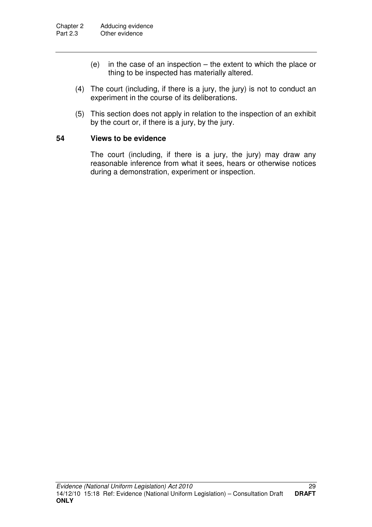- (e) in the case of an inspection the extent to which the place or thing to be inspected has materially altered.
- (4) The court (including, if there is a jury, the jury) is not to conduct an experiment in the course of its deliberations.
- (5) This section does not apply in relation to the inspection of an exhibit by the court or, if there is a jury, by the jury.

# **54 Views to be evidence**

The court (including, if there is a jury, the jury) may draw any reasonable inference from what it sees, hears or otherwise notices during a demonstration, experiment or inspection.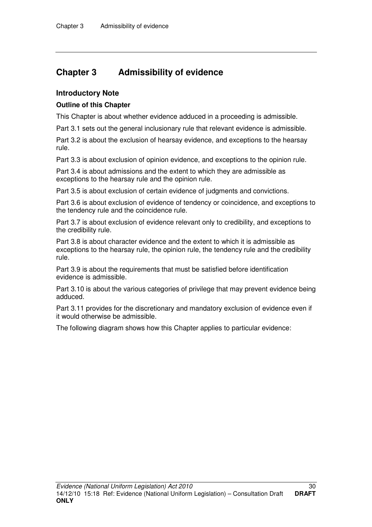# **Chapter 3 Admissibility of evidence**

## **Introductory Note**

## **Outline of this Chapter**

This Chapter is about whether evidence adduced in a proceeding is admissible.

Part 3.1 sets out the general inclusionary rule that relevant evidence is admissible.

Part 3.2 is about the exclusion of hearsay evidence, and exceptions to the hearsay rule.

Part 3.3 is about exclusion of opinion evidence, and exceptions to the opinion rule.

Part 3.4 is about admissions and the extent to which they are admissible as exceptions to the hearsay rule and the opinion rule.

Part 3.5 is about exclusion of certain evidence of judgments and convictions.

Part 3.6 is about exclusion of evidence of tendency or coincidence, and exceptions to the tendency rule and the coincidence rule.

Part 3.7 is about exclusion of evidence relevant only to credibility, and exceptions to the credibility rule.

Part 3.8 is about character evidence and the extent to which it is admissible as exceptions to the hearsay rule, the opinion rule, the tendency rule and the credibility rule.

Part 3.9 is about the requirements that must be satisfied before identification evidence is admissible.

Part 3.10 is about the various categories of privilege that may prevent evidence being adduced.

Part 3.11 provides for the discretionary and mandatory exclusion of evidence even if it would otherwise be admissible.

The following diagram shows how this Chapter applies to particular evidence: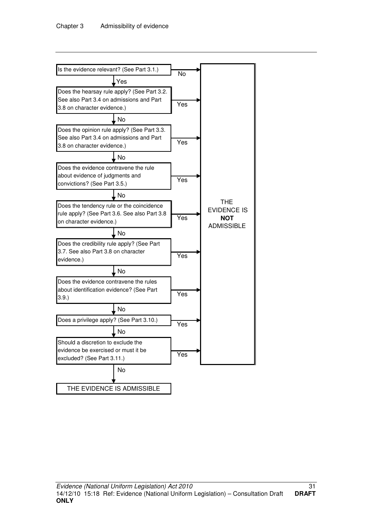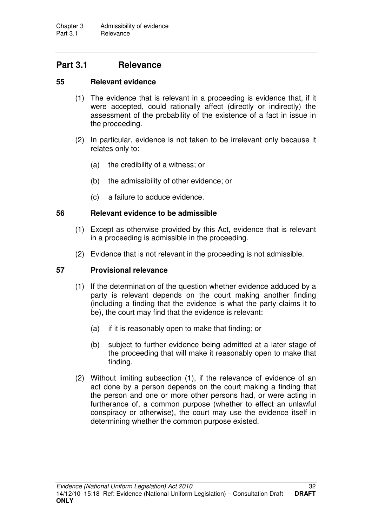# **Part 3.1 Relevance**

## **55 Relevant evidence**

- (1) The evidence that is relevant in a proceeding is evidence that, if it were accepted, could rationally affect (directly or indirectly) the assessment of the probability of the existence of a fact in issue in the proceeding.
- (2) In particular, evidence is not taken to be irrelevant only because it relates only to:
	- (a) the credibility of a witness; or
	- (b) the admissibility of other evidence; or
	- (c) a failure to adduce evidence.

## **56 Relevant evidence to be admissible**

- (1) Except as otherwise provided by this Act, evidence that is relevant in a proceeding is admissible in the proceeding.
- (2) Evidence that is not relevant in the proceeding is not admissible.

# **57 Provisional relevance**

- (1) If the determination of the question whether evidence adduced by a party is relevant depends on the court making another finding (including a finding that the evidence is what the party claims it to be), the court may find that the evidence is relevant:
	- (a) if it is reasonably open to make that finding; or
	- (b) subject to further evidence being admitted at a later stage of the proceeding that will make it reasonably open to make that finding.
- (2) Without limiting subsection (1), if the relevance of evidence of an act done by a person depends on the court making a finding that the person and one or more other persons had, or were acting in furtherance of, a common purpose (whether to effect an unlawful conspiracy or otherwise), the court may use the evidence itself in determining whether the common purpose existed.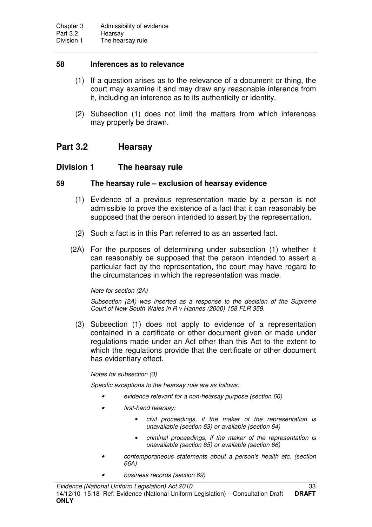## **58 Inferences as to relevance**

- (1) If a question arises as to the relevance of a document or thing, the court may examine it and may draw any reasonable inference from it, including an inference as to its authenticity or identity.
- (2) Subsection (1) does not limit the matters from which inferences may properly be drawn.

# **Part 3.2 Hearsay**

# **Division 1 The hearsay rule**

## **59 The hearsay rule – exclusion of hearsay evidence**

- (1) Evidence of a previous representation made by a person is not admissible to prove the existence of a fact that it can reasonably be supposed that the person intended to assert by the representation.
- (2) Such a fact is in this Part referred to as an asserted fact.
- (2A) For the purposes of determining under subsection (1) whether it can reasonably be supposed that the person intended to assert a particular fact by the representation, the court may have regard to the circumstances in which the representation was made.

### Note for section (2A)

Subsection (2A) was inserted as a response to the decision of the Supreme Court of New South Wales in R v Hannes (2000) 158 FLR 359.

 (3) Subsection (1) does not apply to evidence of a representation contained in a certificate or other document given or made under regulations made under an Act other than this Act to the extent to which the regulations provide that the certificate or other document has evidentiary effect.

### Notes for subsection (3)

Specific exceptions to the hearsay rule are as follows:

- evidence relevant for a non-hearsay purpose (section 60)
- first-hand hearsay:
	- civil proceedings, if the maker of the representation is unavailable (section 63) or available (section 64)
	- criminal proceedings, if the maker of the representation is unavailable (section 65) or available (section 66)
- contemporaneous statements about a person's health etc. (section 66A)
	- business records (section 69)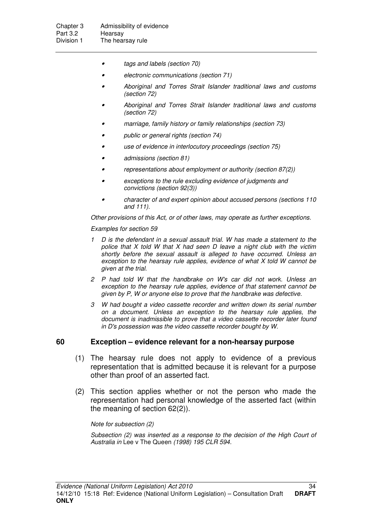- tags and labels (section 70)
- electronic communications (section 71)
- Aboriginal and Torres Strait Islander traditional laws and customs (section 72)
- Aboriginal and Torres Strait Islander traditional laws and customs (section 72)
- marriage, family history or family relationships (section 73)
- public or general rights (section 74)
- use of evidence in interlocutory proceedings (section 75)
- admissions (section 81)
- representations about employment or authority (section 87(2))
- exceptions to the rule excluding evidence of judgments and convictions (section 92(3))
- character of and expert opinion about accused persons (sections 110 and 111).

Other provisions of this Act, or of other laws, may operate as further exceptions.

Examples for section 59

- 1 D is the defendant in a sexual assault trial. W has made a statement to the police that X told W that X had seen D leave a night club with the victim shortly before the sexual assault is alleged to have occurred. Unless an exception to the hearsay rule applies, evidence of what X told W cannot be given at the trial.
- 2 P had told W that the handbrake on W's car did not work. Unless an exception to the hearsay rule applies, evidence of that statement cannot be given by P, W or anyone else to prove that the handbrake was defective.
- 3 W had bought a video cassette recorder and written down its serial number on a document. Unless an exception to the hearsay rule applies, the document is inadmissible to prove that a video cassette recorder later found in D's possession was the video cassette recorder bought by W.

### **60 Exception – evidence relevant for a non-hearsay purpose**

- (1) The hearsay rule does not apply to evidence of a previous representation that is admitted because it is relevant for a purpose other than proof of an asserted fact.
- (2) This section applies whether or not the person who made the representation had personal knowledge of the asserted fact (within the meaning of section 62(2)).

Note for subsection (2)

Subsection (2) was inserted as a response to the decision of the High Court of Australia in Lee v The Queen (1998) 195 CLR 594.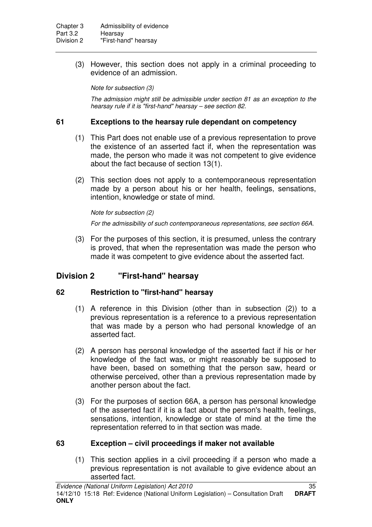(3) However, this section does not apply in a criminal proceeding to evidence of an admission.

Note for subsection (3)

The admission might still be admissible under section 81 as an exception to the hearsay rule if it is "first-hand" hearsay – see section 82.

## **61 Exceptions to the hearsay rule dependant on competency**

- (1) This Part does not enable use of a previous representation to prove the existence of an asserted fact if, when the representation was made, the person who made it was not competent to give evidence about the fact because of section 13(1).
- (2) This section does not apply to a contemporaneous representation made by a person about his or her health, feelings, sensations, intention, knowledge or state of mind.

Note for subsection (2) For the admissibility of such contemporaneous representations, see section 66A.

 (3) For the purposes of this section, it is presumed, unless the contrary is proved, that when the representation was made the person who made it was competent to give evidence about the asserted fact.

# **Division 2 "First-hand" hearsay**

# **62 Restriction to "first-hand" hearsay**

- (1) A reference in this Division (other than in subsection (2)) to a previous representation is a reference to a previous representation that was made by a person who had personal knowledge of an asserted fact.
- (2) A person has personal knowledge of the asserted fact if his or her knowledge of the fact was, or might reasonably be supposed to have been, based on something that the person saw, heard or otherwise perceived, other than a previous representation made by another person about the fact.
- (3) For the purposes of section 66A, a person has personal knowledge of the asserted fact if it is a fact about the person's health, feelings, sensations, intention, knowledge or state of mind at the time the representation referred to in that section was made.

# **63 Exception – civil proceedings if maker not available**

 (1) This section applies in a civil proceeding if a person who made a previous representation is not available to give evidence about an asserted fact.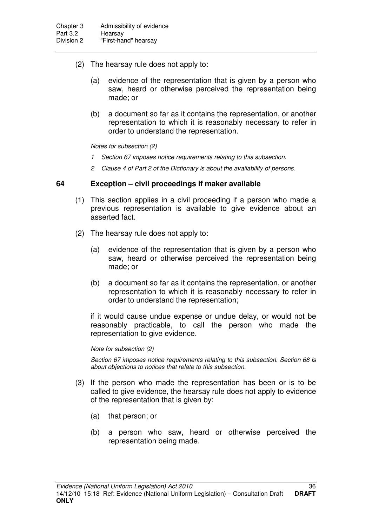- (2) The hearsay rule does not apply to:
	- (a) evidence of the representation that is given by a person who saw, heard or otherwise perceived the representation being made; or
	- (b) a document so far as it contains the representation, or another representation to which it is reasonably necessary to refer in order to understand the representation.

### Notes for subsection (2)

- 1 Section 67 imposes notice requirements relating to this subsection.
- 2 Clause 4 of Part 2 of the Dictionary is about the availability of persons.

### **64 Exception – civil proceedings if maker available**

- (1) This section applies in a civil proceeding if a person who made a previous representation is available to give evidence about an asserted fact.
- (2) The hearsay rule does not apply to:
	- (a) evidence of the representation that is given by a person who saw, heard or otherwise perceived the representation being made; or
	- (b) a document so far as it contains the representation, or another representation to which it is reasonably necessary to refer in order to understand the representation;

if it would cause undue expense or undue delay, or would not be reasonably practicable, to call the person who made the representation to give evidence.

### Note for subsection (2)

Section 67 imposes notice requirements relating to this subsection. Section 68 is about objections to notices that relate to this subsection.

- (3) If the person who made the representation has been or is to be called to give evidence, the hearsay rule does not apply to evidence of the representation that is given by:
	- (a) that person; or
	- (b) a person who saw, heard or otherwise perceived the representation being made.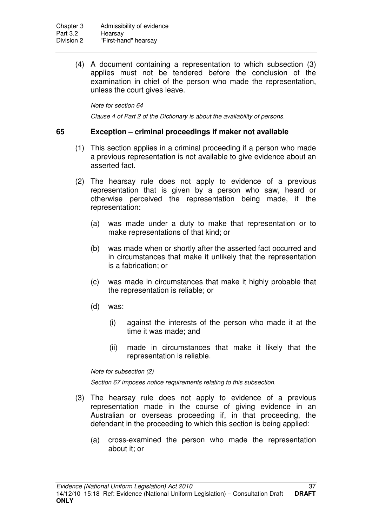(4) A document containing a representation to which subsection (3) applies must not be tendered before the conclusion of the examination in chief of the person who made the representation, unless the court gives leave.

Note for section 64

Clause 4 of Part 2 of the Dictionary is about the availability of persons.

### **65 Exception – criminal proceedings if maker not available**

- (1) This section applies in a criminal proceeding if a person who made a previous representation is not available to give evidence about an asserted fact.
- (2) The hearsay rule does not apply to evidence of a previous representation that is given by a person who saw, heard or otherwise perceived the representation being made, if the representation:
	- (a) was made under a duty to make that representation or to make representations of that kind; or
	- (b) was made when or shortly after the asserted fact occurred and in circumstances that make it unlikely that the representation is a fabrication; or
	- (c) was made in circumstances that make it highly probable that the representation is reliable; or
	- (d) was:
		- (i) against the interests of the person who made it at the time it was made; and
		- (ii) made in circumstances that make it likely that the representation is reliable.

### Note for subsection (2)

Section 67 imposes notice requirements relating to this subsection.

- (3) The hearsay rule does not apply to evidence of a previous representation made in the course of giving evidence in an Australian or overseas proceeding if, in that proceeding, the defendant in the proceeding to which this section is being applied:
	- (a) cross-examined the person who made the representation about it; or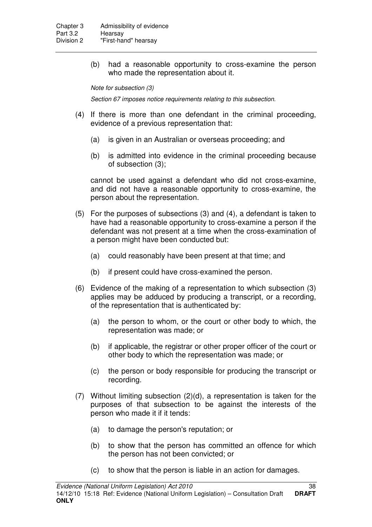(b) had a reasonable opportunity to cross-examine the person who made the representation about it.

Note for subsection (3)

Section 67 imposes notice requirements relating to this subsection.

- (4) If there is more than one defendant in the criminal proceeding, evidence of a previous representation that:
	- (a) is given in an Australian or overseas proceeding; and
	- (b) is admitted into evidence in the criminal proceeding because of subsection (3);

cannot be used against a defendant who did not cross-examine, and did not have a reasonable opportunity to cross-examine, the person about the representation.

- (5) For the purposes of subsections (3) and (4), a defendant is taken to have had a reasonable opportunity to cross-examine a person if the defendant was not present at a time when the cross-examination of a person might have been conducted but:
	- (a) could reasonably have been present at that time; and
	- (b) if present could have cross-examined the person.
- (6) Evidence of the making of a representation to which subsection (3) applies may be adduced by producing a transcript, or a recording, of the representation that is authenticated by:
	- (a) the person to whom, or the court or other body to which, the representation was made; or
	- (b) if applicable, the registrar or other proper officer of the court or other body to which the representation was made; or
	- (c) the person or body responsible for producing the transcript or recording.
- (7) Without limiting subsection (2)(d), a representation is taken for the purposes of that subsection to be against the interests of the person who made it if it tends:
	- (a) to damage the person's reputation; or
	- (b) to show that the person has committed an offence for which the person has not been convicted; or
	- (c) to show that the person is liable in an action for damages.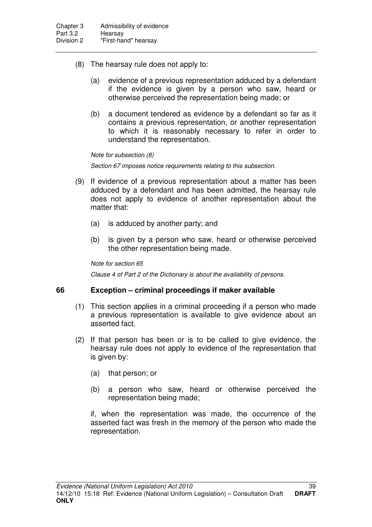- (8) The hearsay rule does not apply to:
	- (a) evidence of a previous representation adduced by a defendant if the evidence is given by a person who saw, heard or otherwise perceived the representation being made; or
	- (b) a document tendered as evidence by a defendant so far as it contains a previous representation, or another representation to which it is reasonably necessary to refer in order to understand the representation.

### Note for subsection (8)

Section 67 imposes notice requirements relating to this subsection.

- (9) If evidence of a previous representation about a matter has been adduced by a defendant and has been admitted, the hearsay rule does not apply to evidence of another representation about the matter that:
	- (a) is adduced by another party; and
	- (b) is given by a person who saw, heard or otherwise perceived the other representation being made.

### Note for section 65

Clause 4 of Part 2 of the Dictionary is about the availability of persons.

# **66 Exception – criminal proceedings if maker available**

- (1) This section applies in a criminal proceeding if a person who made a previous representation is available to give evidence about an asserted fact.
- (2) If that person has been or is to be called to give evidence, the hearsay rule does not apply to evidence of the representation that is given by:
	- (a) that person; or
	- (b) a person who saw, heard or otherwise perceived the representation being made;

if, when the representation was made, the occurrence of the asserted fact was fresh in the memory of the person who made the representation.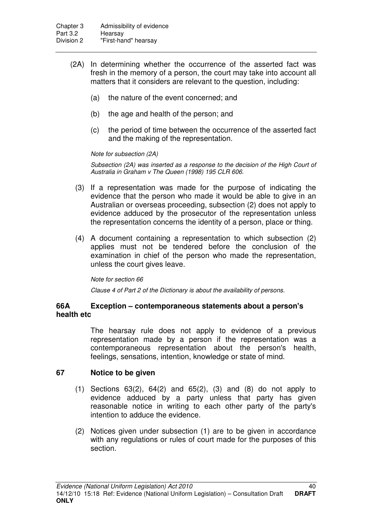- (2A) In determining whether the occurrence of the asserted fact was fresh in the memory of a person, the court may take into account all matters that it considers are relevant to the question, including:
	- (a) the nature of the event concerned; and
	- (b) the age and health of the person; and
	- (c) the period of time between the occurrence of the asserted fact and the making of the representation.

### Note for subsection (2A)

Subsection (2A) was inserted as a response to the decision of the High Court of Australia in Graham v The Queen (1998) 195 CLR 606.

- (3) If a representation was made for the purpose of indicating the evidence that the person who made it would be able to give in an Australian or overseas proceeding, subsection (2) does not apply to evidence adduced by the prosecutor of the representation unless the representation concerns the identity of a person, place or thing.
- (4) A document containing a representation to which subsection (2) applies must not be tendered before the conclusion of the examination in chief of the person who made the representation, unless the court gives leave.

### Note for section 66

Clause 4 of Part 2 of the Dictionary is about the availability of persons.

## **66A Exception – contemporaneous statements about a person's health etc**

The hearsay rule does not apply to evidence of a previous representation made by a person if the representation was a contemporaneous representation about the person's health, feelings, sensations, intention, knowledge or state of mind.

# **67 Notice to be given**

- (1) Sections 63(2), 64(2) and 65(2), (3) and (8) do not apply to evidence adduced by a party unless that party has given reasonable notice in writing to each other party of the party's intention to adduce the evidence.
- (2) Notices given under subsection (1) are to be given in accordance with any regulations or rules of court made for the purposes of this section.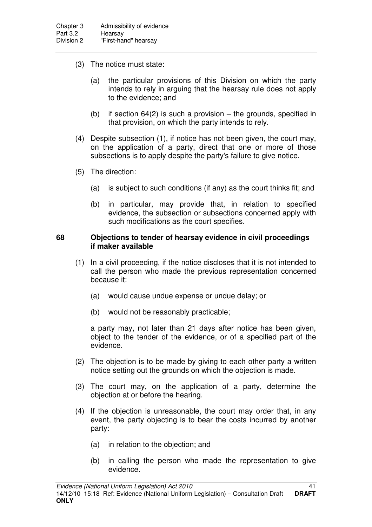- (3) The notice must state:
	- (a) the particular provisions of this Division on which the party intends to rely in arguing that the hearsay rule does not apply to the evidence; and
	- (b) if section  $64(2)$  is such a provision the grounds, specified in that provision, on which the party intends to rely.
- (4) Despite subsection (1), if notice has not been given, the court may, on the application of a party, direct that one or more of those subsections is to apply despite the party's failure to give notice.
- (5) The direction:
	- (a) is subject to such conditions (if any) as the court thinks fit; and
	- (b) in particular, may provide that, in relation to specified evidence, the subsection or subsections concerned apply with such modifications as the court specifies.

### **68 Objections to tender of hearsay evidence in civil proceedings if maker available**

- (1) In a civil proceeding, if the notice discloses that it is not intended to call the person who made the previous representation concerned because it:
	- (a) would cause undue expense or undue delay; or
	- (b) would not be reasonably practicable;

a party may, not later than 21 days after notice has been given, object to the tender of the evidence, or of a specified part of the evidence.

- (2) The objection is to be made by giving to each other party a written notice setting out the grounds on which the objection is made.
- (3) The court may, on the application of a party, determine the objection at or before the hearing.
- (4) If the objection is unreasonable, the court may order that, in any event, the party objecting is to bear the costs incurred by another party:
	- (a) in relation to the objection; and
	- (b) in calling the person who made the representation to give evidence.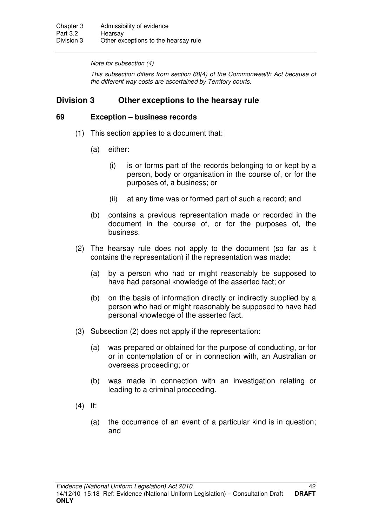### Note for subsection (4)

This subsection differs from section 68(4) of the Commonwealth Act because of the different way costs are ascertained by Territory courts.

# **Division 3 Other exceptions to the hearsay rule**

# **69 Exception – business records**

- (1) This section applies to a document that:
	- (a) either:
		- (i) is or forms part of the records belonging to or kept by a person, body or organisation in the course of, or for the purposes of, a business; or
		- (ii) at any time was or formed part of such a record; and
	- (b) contains a previous representation made or recorded in the document in the course of, or for the purposes of, the business.
- (2) The hearsay rule does not apply to the document (so far as it contains the representation) if the representation was made:
	- (a) by a person who had or might reasonably be supposed to have had personal knowledge of the asserted fact; or
	- (b) on the basis of information directly or indirectly supplied by a person who had or might reasonably be supposed to have had personal knowledge of the asserted fact.
- (3) Subsection (2) does not apply if the representation:
	- (a) was prepared or obtained for the purpose of conducting, or for or in contemplation of or in connection with, an Australian or overseas proceeding; or
	- (b) was made in connection with an investigation relating or leading to a criminal proceeding.
- (4) If:
	- (a) the occurrence of an event of a particular kind is in question; and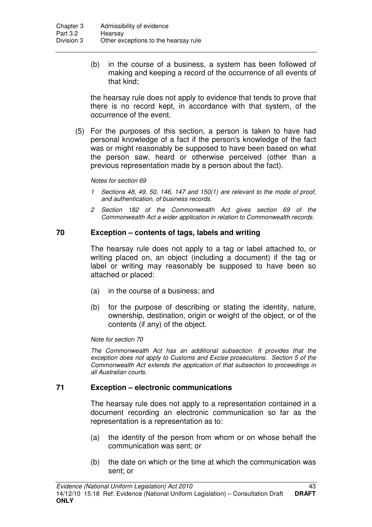(b) in the course of a business, a system has been followed of making and keeping a record of the occurrence of all events of that kind;

the hearsay rule does not apply to evidence that tends to prove that there is no record kept, in accordance with that system, of the occurrence of the event.

 (5) For the purposes of this section, a person is taken to have had personal knowledge of a fact if the person's knowledge of the fact was or might reasonably be supposed to have been based on what the person saw, heard or otherwise perceived (other than a previous representation made by a person about the fact).

### Notes for section 69

- 1 Sections 48, 49, 50, 146, 147 and 150(1) are relevant to the mode of proof, and authentication, of business records.
- 2 Section 182 of the Commonwealth Act gives section 69 of the Commonwealth Act a wider application in relation to Commonwealth records.

## **70 Exception – contents of tags, labels and writing**

The hearsay rule does not apply to a tag or label attached to, or writing placed on, an object (including a document) if the tag or label or writing may reasonably be supposed to have been so attached or placed:

- (a) in the course of a business; and
- (b) for the purpose of describing or stating the identity, nature, ownership, destination, origin or weight of the object, or of the contents (if any) of the object.

### Note for section 70

The Commonwealth Act has an additional subsection. It provides that the exception does not apply to Customs and Excise prosecutions. Section 5 of the Commonwealth Act extends the application of that subsection to proceedings in all Australian courts.

### **71 Exception – electronic communications**

The hearsay rule does not apply to a representation contained in a document recording an electronic communication so far as the representation is a representation as to:

- (a) the identity of the person from whom or on whose behalf the communication was sent; or
- (b) the date on which or the time at which the communication was sent; or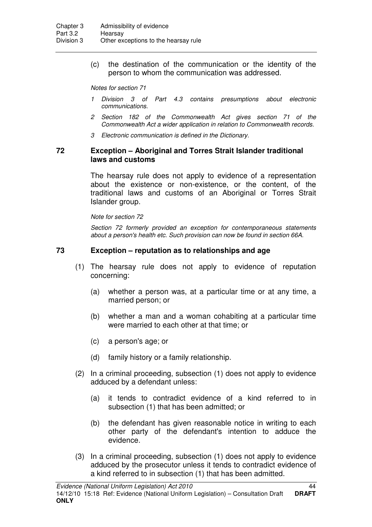(c) the destination of the communication or the identity of the person to whom the communication was addressed.

Notes for section 71

- 1 Division 3 of Part 4.3 contains presumptions about electronic communications.
- 2 Section 182 of the Commonwealth Act gives section 71 of the Commonwealth Act a wider application in relation to Commonwealth records.
- 3 Electronic communication is defined in the Dictionary.

## **72 Exception – Aboriginal and Torres Strait Islander traditional laws and customs**

The hearsay rule does not apply to evidence of a representation about the existence or non-existence, or the content, of the traditional laws and customs of an Aboriginal or Torres Strait Islander group.

### Note for section 72

Section 72 formerly provided an exception for contemporaneous statements about a person's health etc. Such provision can now be found in section 66A.

## **73 Exception – reputation as to relationships and age**

- (1) The hearsay rule does not apply to evidence of reputation concerning:
	- (a) whether a person was, at a particular time or at any time, a married person; or
	- (b) whether a man and a woman cohabiting at a particular time were married to each other at that time; or
	- (c) a person's age; or
	- (d) family history or a family relationship.
- (2) In a criminal proceeding, subsection (1) does not apply to evidence adduced by a defendant unless:
	- (a) it tends to contradict evidence of a kind referred to in subsection (1) that has been admitted; or
	- (b) the defendant has given reasonable notice in writing to each other party of the defendant's intention to adduce the evidence.
- (3) In a criminal proceeding, subsection (1) does not apply to evidence adduced by the prosecutor unless it tends to contradict evidence of a kind referred to in subsection (1) that has been admitted.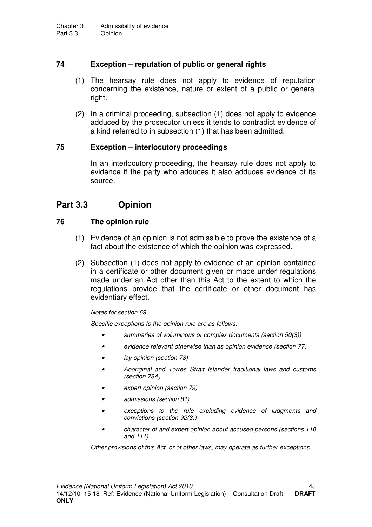# **74 Exception – reputation of public or general rights**

- (1) The hearsay rule does not apply to evidence of reputation concerning the existence, nature or extent of a public or general right.
- (2) In a criminal proceeding, subsection (1) does not apply to evidence adduced by the prosecutor unless it tends to contradict evidence of a kind referred to in subsection (1) that has been admitted.

## **75 Exception – interlocutory proceedings**

In an interlocutory proceeding, the hearsay rule does not apply to evidence if the party who adduces it also adduces evidence of its source.

# **Part 3.3 Opinion**

# **76 The opinion rule**

- (1) Evidence of an opinion is not admissible to prove the existence of a fact about the existence of which the opinion was expressed.
- (2) Subsection (1) does not apply to evidence of an opinion contained in a certificate or other document given or made under regulations made under an Act other than this Act to the extent to which the regulations provide that the certificate or other document has evidentiary effect.

### Notes for section 69

Specific exceptions to the opinion rule are as follows:

- summaries of voluminous or complex documents (section 50(3))
- evidence relevant otherwise than as opinion evidence (section 77)
- lay opinion (section 78)
- Aboriginal and Torres Strait Islander traditional laws and customs (section 78A)
- expert opinion (section 79)
- admissions (section 81)
- exceptions to the rule excluding evidence of judgments and convictions (section 92(3))
- character of and expert opinion about accused persons (sections 110 and 111).

Other provisions of this Act, or of other laws, may operate as further exceptions.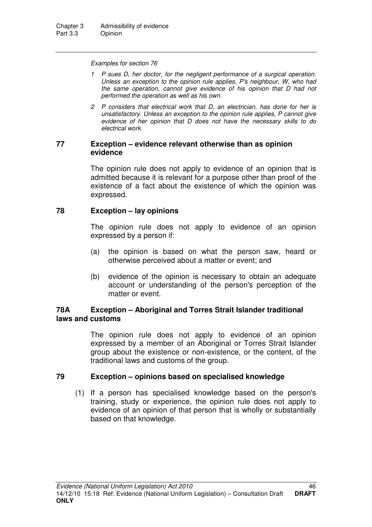Examples for section 76

- 1 P sues D, her doctor, for the negligent performance of a surgical operation. Unless an exception to the opinion rule applies, P's neighbour, W, who had the same operation, cannot give evidence of his opinion that D had not performed the operation as well as his own.
- 2 P considers that electrical work that D, an electrician, has done for her is unsatisfactory. Unless an exception to the opinion rule applies, P cannot give evidence of her opinion that D does not have the necessary skills to do electrical work.

### **77 Exception – evidence relevant otherwise than as opinion evidence**

The opinion rule does not apply to evidence of an opinion that is admitted because it is relevant for a purpose other than proof of the existence of a fact about the existence of which the opinion was expressed.

## **78 Exception – lay opinions**

The opinion rule does not apply to evidence of an opinion expressed by a person if:

- (a) the opinion is based on what the person saw, heard or otherwise perceived about a matter or event; and
- (b) evidence of the opinion is necessary to obtain an adequate account or understanding of the person's perception of the matter or event.

## **78A Exception – Aboriginal and Torres Strait Islander traditional laws and customs**

The opinion rule does not apply to evidence of an opinion expressed by a member of an Aboriginal or Torres Strait Islander group about the existence or non-existence, or the content, of the traditional laws and customs of the group.

# **79 Exception – opinions based on specialised knowledge**

 (1) If a person has specialised knowledge based on the person's training, study or experience, the opinion rule does not apply to evidence of an opinion of that person that is wholly or substantially based on that knowledge.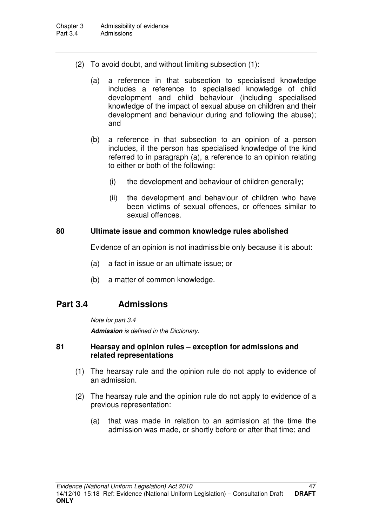- (2) To avoid doubt, and without limiting subsection (1):
	- (a) a reference in that subsection to specialised knowledge includes a reference to specialised knowledge of child development and child behaviour (including specialised knowledge of the impact of sexual abuse on children and their development and behaviour during and following the abuse); and
	- (b) a reference in that subsection to an opinion of a person includes, if the person has specialised knowledge of the kind referred to in paragraph (a), a reference to an opinion relating to either or both of the following:
		- (i) the development and behaviour of children generally;
		- (ii) the development and behaviour of children who have been victims of sexual offences, or offences similar to sexual offences.

## **80 Ultimate issue and common knowledge rules abolished**

Evidence of an opinion is not inadmissible only because it is about:

- (a) a fact in issue or an ultimate issue; or
- (b) a matter of common knowledge.

# **Part 3.4 Admissions**

Note for part 3.4

**Admission** is defined in the Dictionary.

## **81 Hearsay and opinion rules – exception for admissions and related representations**

- (1) The hearsay rule and the opinion rule do not apply to evidence of an admission.
- (2) The hearsay rule and the opinion rule do not apply to evidence of a previous representation:
	- (a) that was made in relation to an admission at the time the admission was made, or shortly before or after that time; and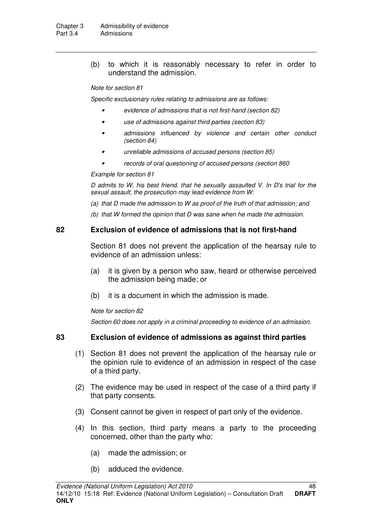(b) to which it is reasonably necessary to refer in order to understand the admission.

Note for section 81

Specific exclusionary rules relating to admissions are as follows:

- evidence of admissions that is not first-hand (section 82)
- use of admissions against third parties (section 83)
- admissions influenced by violence and certain other conduct (section 84)
- unreliable admissions of accused persons (section 85)
- records of oral questioning of accused persons (section 860

#### Example for section 81

D admits to W, his best friend, that he sexually assaulted V. In D's trial for the sexual assault, the prosecution may lead evidence from W:

- (a) that D made the admission to W as proof of the truth of that admission; and
- (b) that W formed the opinion that D was sane when he made the admission.

### **82 Exclusion of evidence of admissions that is not first-hand**

Section 81 does not prevent the application of the hearsay rule to evidence of an admission unless:

- (a) it is given by a person who saw, heard or otherwise perceived the admission being made; or
- (b) it is a document in which the admission is made.

### Note for section 82

Section 60 does not apply in a criminal proceeding to evidence of an admission.

### **83 Exclusion of evidence of admissions as against third parties**

- (1) Section 81 does not prevent the application of the hearsay rule or the opinion rule to evidence of an admission in respect of the case of a third party.
- (2) The evidence may be used in respect of the case of a third party if that party consents.
- (3) Consent cannot be given in respect of part only of the evidence.
- (4) In this section, third party means a party to the proceeding concerned, other than the party who:
	- (a) made the admission; or
	- (b) adduced the evidence.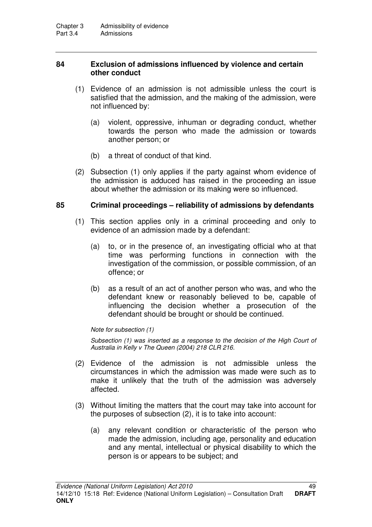### **84 Exclusion of admissions influenced by violence and certain other conduct**

- (1) Evidence of an admission is not admissible unless the court is satisfied that the admission, and the making of the admission, were not influenced by:
	- (a) violent, oppressive, inhuman or degrading conduct, whether towards the person who made the admission or towards another person; or
	- (b) a threat of conduct of that kind.
- (2) Subsection (1) only applies if the party against whom evidence of the admission is adduced has raised in the proceeding an issue about whether the admission or its making were so influenced.

## **85 Criminal proceedings – reliability of admissions by defendants**

- (1) This section applies only in a criminal proceeding and only to evidence of an admission made by a defendant:
	- (a) to, or in the presence of, an investigating official who at that time was performing functions in connection with the investigation of the commission, or possible commission, of an offence; or
	- (b) as a result of an act of another person who was, and who the defendant knew or reasonably believed to be, capable of influencing the decision whether a prosecution of the defendant should be brought or should be continued.

### Note for subsection (1)

Subsection (1) was inserted as a response to the decision of the High Court of Australia in Kelly v The Queen (2004) 218 CLR 216.

- (2) Evidence of the admission is not admissible unless the circumstances in which the admission was made were such as to make it unlikely that the truth of the admission was adversely affected.
- (3) Without limiting the matters that the court may take into account for the purposes of subsection (2), it is to take into account:
	- (a) any relevant condition or characteristic of the person who made the admission, including age, personality and education and any mental, intellectual or physical disability to which the person is or appears to be subject; and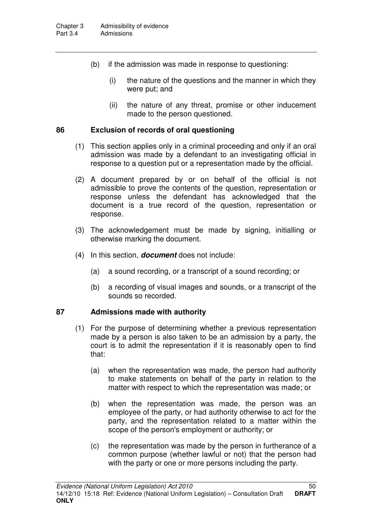- (b) if the admission was made in response to questioning:
	- (i) the nature of the questions and the manner in which they were put; and
	- (ii) the nature of any threat, promise or other inducement made to the person questioned.

## **86 Exclusion of records of oral questioning**

- (1) This section applies only in a criminal proceeding and only if an oral admission was made by a defendant to an investigating official in response to a question put or a representation made by the official.
- (2) A document prepared by or on behalf of the official is not admissible to prove the contents of the question, representation or response unless the defendant has acknowledged that the document is a true record of the question, representation or response.
- (3) The acknowledgement must be made by signing, initialling or otherwise marking the document.
- (4) In this section, **document** does not include:
	- (a) a sound recording, or a transcript of a sound recording; or
	- (b) a recording of visual images and sounds, or a transcript of the sounds so recorded.

# **87 Admissions made with authority**

- (1) For the purpose of determining whether a previous representation made by a person is also taken to be an admission by a party, the court is to admit the representation if it is reasonably open to find that:
	- (a) when the representation was made, the person had authority to make statements on behalf of the party in relation to the matter with respect to which the representation was made; or
	- (b) when the representation was made, the person was an employee of the party, or had authority otherwise to act for the party, and the representation related to a matter within the scope of the person's employment or authority; or
	- (c) the representation was made by the person in furtherance of a common purpose (whether lawful or not) that the person had with the party or one or more persons including the party.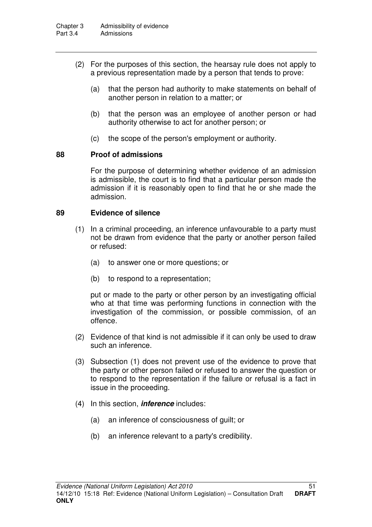- (2) For the purposes of this section, the hearsay rule does not apply to a previous representation made by a person that tends to prove:
	- (a) that the person had authority to make statements on behalf of another person in relation to a matter; or
	- (b) that the person was an employee of another person or had authority otherwise to act for another person; or
	- (c) the scope of the person's employment or authority.

## **88 Proof of admissions**

For the purpose of determining whether evidence of an admission is admissible, the court is to find that a particular person made the admission if it is reasonably open to find that he or she made the admission.

### **89 Evidence of silence**

- (1) In a criminal proceeding, an inference unfavourable to a party must not be drawn from evidence that the party or another person failed or refused:
	- (a) to answer one or more questions; or
	- (b) to respond to a representation;

put or made to the party or other person by an investigating official who at that time was performing functions in connection with the investigation of the commission, or possible commission, of an offence.

- (2) Evidence of that kind is not admissible if it can only be used to draw such an inference.
- (3) Subsection (1) does not prevent use of the evidence to prove that the party or other person failed or refused to answer the question or to respond to the representation if the failure or refusal is a fact in issue in the proceeding.
- (4) In this section, **inference** includes:
	- (a) an inference of consciousness of guilt; or
	- (b) an inference relevant to a party's credibility.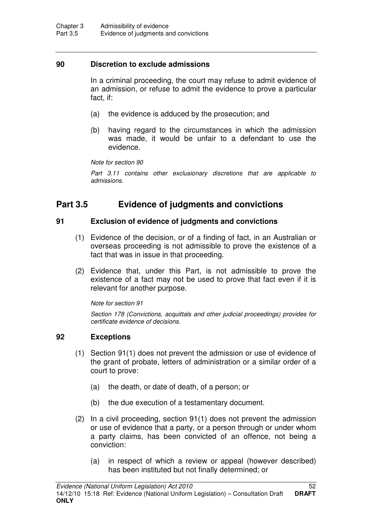# **90 Discretion to exclude admissions**

In a criminal proceeding, the court may refuse to admit evidence of an admission, or refuse to admit the evidence to prove a particular fact, if:

- (a) the evidence is adduced by the prosecution; and
- (b) having regard to the circumstances in which the admission was made, it would be unfair to a defendant to use the evidence.

Note for section 90

Part 3.11 contains other exclusionary discretions that are applicable to admissions.

# **Part 3.5 Evidence of judgments and convictions**

# **91 Exclusion of evidence of judgments and convictions**

- (1) Evidence of the decision, or of a finding of fact, in an Australian or overseas proceeding is not admissible to prove the existence of a fact that was in issue in that proceeding.
- (2) Evidence that, under this Part, is not admissible to prove the existence of a fact may not be used to prove that fact even if it is relevant for another purpose.

Note for section 91

Section 178 (Convictions, acquittals and other judicial proceedings) provides for certificate evidence of decisions.

# **92 Exceptions**

- (1) Section 91(1) does not prevent the admission or use of evidence of the grant of probate, letters of administration or a similar order of a court to prove:
	- (a) the death, or date of death, of a person; or
	- (b) the due execution of a testamentary document.
- (2) In a civil proceeding, section 91(1) does not prevent the admission or use of evidence that a party, or a person through or under whom a party claims, has been convicted of an offence, not being a conviction:
	- (a) in respect of which a review or appeal (however described) has been instituted but not finally determined; or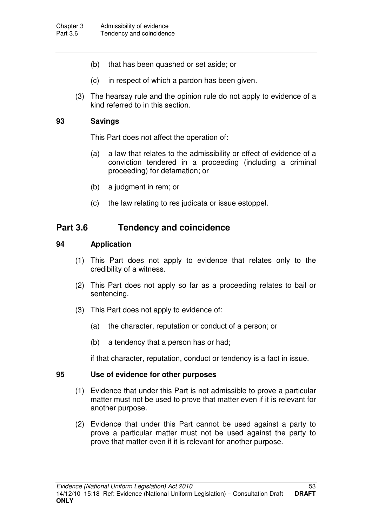- (b) that has been quashed or set aside; or
- (c) in respect of which a pardon has been given.
- (3) The hearsay rule and the opinion rule do not apply to evidence of a kind referred to in this section.

## **93 Savings**

This Part does not affect the operation of:

- (a) a law that relates to the admissibility or effect of evidence of a conviction tendered in a proceeding (including a criminal proceeding) for defamation; or
- (b) a judgment in rem; or
- (c) the law relating to res judicata or issue estoppel.

# **Part 3.6 Tendency and coincidence**

# **94 Application**

- (1) This Part does not apply to evidence that relates only to the credibility of a witness.
- (2) This Part does not apply so far as a proceeding relates to bail or sentencing.
- (3) This Part does not apply to evidence of:
	- (a) the character, reputation or conduct of a person; or
	- (b) a tendency that a person has or had;

if that character, reputation, conduct or tendency is a fact in issue.

# **95 Use of evidence for other purposes**

- (1) Evidence that under this Part is not admissible to prove a particular matter must not be used to prove that matter even if it is relevant for another purpose.
- (2) Evidence that under this Part cannot be used against a party to prove a particular matter must not be used against the party to prove that matter even if it is relevant for another purpose.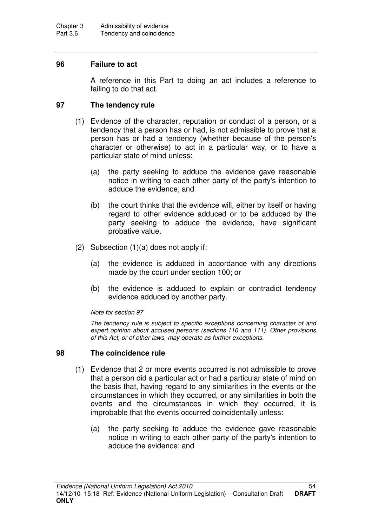## **96 Failure to act**

A reference in this Part to doing an act includes a reference to failing to do that act.

## **97 The tendency rule**

- (1) Evidence of the character, reputation or conduct of a person, or a tendency that a person has or had, is not admissible to prove that a person has or had a tendency (whether because of the person's character or otherwise) to act in a particular way, or to have a particular state of mind unless:
	- (a) the party seeking to adduce the evidence gave reasonable notice in writing to each other party of the party's intention to adduce the evidence; and
	- (b) the court thinks that the evidence will, either by itself or having regard to other evidence adduced or to be adduced by the party seeking to adduce the evidence, have significant probative value.
- (2) Subsection (1)(a) does not apply if:
	- (a) the evidence is adduced in accordance with any directions made by the court under section 100; or
	- (b) the evidence is adduced to explain or contradict tendency evidence adduced by another party.

Note for section 97

The tendency rule is subject to specific exceptions concerning character of and expert opinion about accused persons (sections 110 and 111). Other provisions of this Act, or of other laws, may operate as further exceptions.

### **98 The coincidence rule**

- (1) Evidence that 2 or more events occurred is not admissible to prove that a person did a particular act or had a particular state of mind on the basis that, having regard to any similarities in the events or the circumstances in which they occurred, or any similarities in both the events and the circumstances in which they occurred, it is improbable that the events occurred coincidentally unless:
	- (a) the party seeking to adduce the evidence gave reasonable notice in writing to each other party of the party's intention to adduce the evidence; and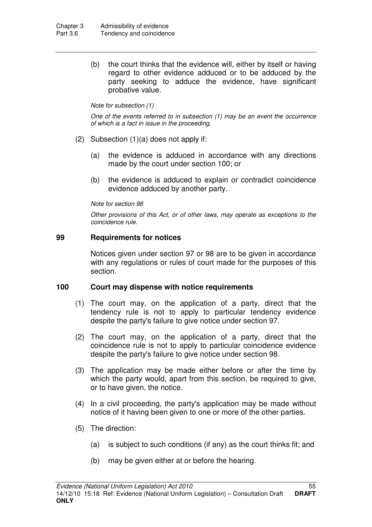(b) the court thinks that the evidence will, either by itself or having regard to other evidence adduced or to be adduced by the party seeking to adduce the evidence, have significant probative value.

### Note for subsection (1)

One of the events referred to in subsection (1) may be an event the occurrence of which is a fact in issue in the proceeding.

- (2) Subsection (1)(a) does not apply if:
	- (a) the evidence is adduced in accordance with any directions made by the court under section 100; or
	- (b) the evidence is adduced to explain or contradict coincidence evidence adduced by another party.

### Note for section 98

Other provisions of this Act, or of other laws, may operate as exceptions to the coincidence rule.

### **99 Requirements for notices**

Notices given under section 97 or 98 are to be given in accordance with any regulations or rules of court made for the purposes of this section.

### **100 Court may dispense with notice requirements**

- (1) The court may, on the application of a party, direct that the tendency rule is not to apply to particular tendency evidence despite the party's failure to give notice under section 97.
- (2) The court may, on the application of a party, direct that the coincidence rule is not to apply to particular coincidence evidence despite the party's failure to give notice under section 98.
- (3) The application may be made either before or after the time by which the party would, apart from this section, be required to give, or to have given, the notice.
- (4) In a civil proceeding, the party's application may be made without notice of it having been given to one or more of the other parties.
- (5) The direction:
	- (a) is subject to such conditions (if any) as the court thinks fit; and
	- (b) may be given either at or before the hearing.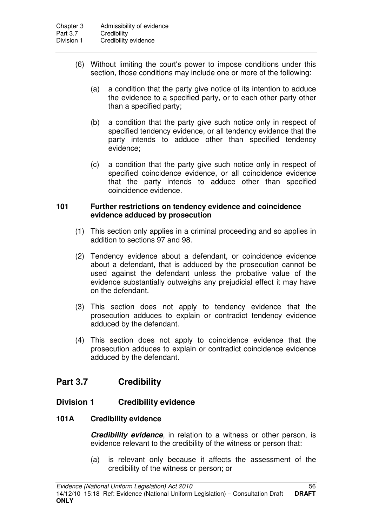- (6) Without limiting the court's power to impose conditions under this section, those conditions may include one or more of the following:
	- (a) a condition that the party give notice of its intention to adduce the evidence to a specified party, or to each other party other than a specified party;
	- (b) a condition that the party give such notice only in respect of specified tendency evidence, or all tendency evidence that the party intends to adduce other than specified tendency evidence;
	- (c) a condition that the party give such notice only in respect of specified coincidence evidence, or all coincidence evidence that the party intends to adduce other than specified coincidence evidence.

### **101 Further restrictions on tendency evidence and coincidence evidence adduced by prosecution**

- (1) This section only applies in a criminal proceeding and so applies in addition to sections 97 and 98.
- (2) Tendency evidence about a defendant, or coincidence evidence about a defendant, that is adduced by the prosecution cannot be used against the defendant unless the probative value of the evidence substantially outweighs any prejudicial effect it may have on the defendant.
- (3) This section does not apply to tendency evidence that the prosecution adduces to explain or contradict tendency evidence adduced by the defendant.
- (4) This section does not apply to coincidence evidence that the prosecution adduces to explain or contradict coincidence evidence adduced by the defendant.

# **Part 3.7 Credibility**

# **Division 1 Credibility evidence**

# **101A Credibility evidence**

**Credibility evidence**, in relation to a witness or other person, is evidence relevant to the credibility of the witness or person that:

(a) is relevant only because it affects the assessment of the credibility of the witness or person; or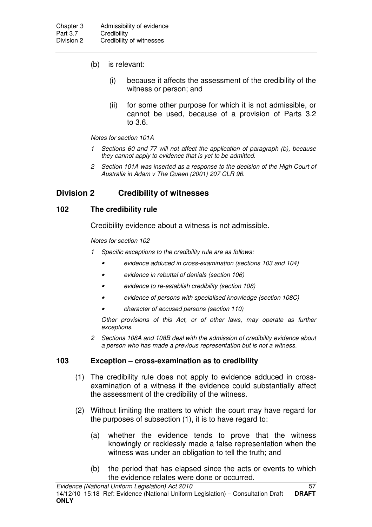- (b) is relevant:
	- (i) because it affects the assessment of the credibility of the witness or person; and
	- (ii) for some other purpose for which it is not admissible, or cannot be used, because of a provision of Parts 3.2 to 3.6.

### Notes for section 101A

- 1 Sections 60 and 77 will not affect the application of paragraph (b), because they cannot apply to evidence that is yet to be admitted.
- 2 Section 101A was inserted as a response to the decision of the High Court of Australia in Adam v The Queen (2001) 207 CLR 96.

# **Division 2 Credibility of witnesses**

## **102 The credibility rule**

Credibility evidence about a witness is not admissible.

Notes for section 102

- 1 Specific exceptions to the credibility rule are as follows:
	- evidence adduced in cross-examination (sections 103 and 104)
	- evidence in rebuttal of denials (section 106)
	- evidence to re-establish credibility (section 108)
	- evidence of persons with specialised knowledge (section 108C)
	- character of accused persons (section 110)

 Other provisions of this Act, or of other laws, may operate as further exceptions.

2 Sections 108A and 108B deal with the admission of credibility evidence about a person who has made a previous representation but is not a witness.

### **103 Exception – cross-examination as to credibility**

- (1) The credibility rule does not apply to evidence adduced in crossexamination of a witness if the evidence could substantially affect the assessment of the credibility of the witness.
- (2) Without limiting the matters to which the court may have regard for the purposes of subsection (1), it is to have regard to:
	- (a) whether the evidence tends to prove that the witness knowingly or recklessly made a false representation when the witness was under an obligation to tell the truth; and
	- (b) the period that has elapsed since the acts or events to which the evidence relates were done or occurred.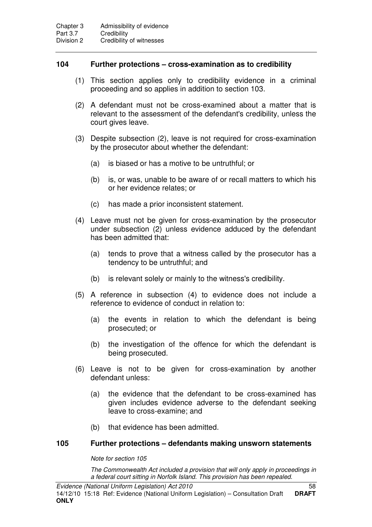### **104 Further protections – cross-examination as to credibility**

- (1) This section applies only to credibility evidence in a criminal proceeding and so applies in addition to section 103.
- (2) A defendant must not be cross-examined about a matter that is relevant to the assessment of the defendant's credibility, unless the court gives leave.
- (3) Despite subsection (2), leave is not required for cross-examination by the prosecutor about whether the defendant:
	- (a) is biased or has a motive to be untruthful; or
	- (b) is, or was, unable to be aware of or recall matters to which his or her evidence relates; or
	- (c) has made a prior inconsistent statement.
- (4) Leave must not be given for cross-examination by the prosecutor under subsection (2) unless evidence adduced by the defendant has been admitted that:
	- (a) tends to prove that a witness called by the prosecutor has a tendency to be untruthful; and
	- (b) is relevant solely or mainly to the witness's credibility.
- (5) A reference in subsection (4) to evidence does not include a reference to evidence of conduct in relation to:
	- (a) the events in relation to which the defendant is being prosecuted; or
	- (b) the investigation of the offence for which the defendant is being prosecuted.
- (6) Leave is not to be given for cross-examination by another defendant unless:
	- (a) the evidence that the defendant to be cross-examined has given includes evidence adverse to the defendant seeking leave to cross-examine; and
	- (b) that evidence has been admitted.

### **105 Further protections – defendants making unsworn statements**

Note for section 105

The Commonwealth Act included a provision that will only apply in proceedings in a federal court sitting in Norfolk Island. This provision has been repealed.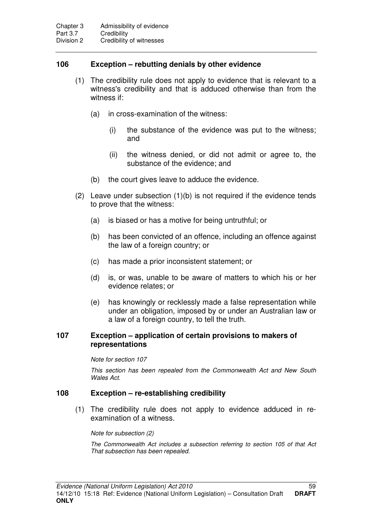## **106 Exception – rebutting denials by other evidence**

- (1) The credibility rule does not apply to evidence that is relevant to a witness's credibility and that is adduced otherwise than from the witness if:
	- (a) in cross-examination of the witness:
		- (i) the substance of the evidence was put to the witness; and
		- (ii) the witness denied, or did not admit or agree to, the substance of the evidence; and
	- (b) the court gives leave to adduce the evidence.
- (2) Leave under subsection (1)(b) is not required if the evidence tends to prove that the witness:
	- (a) is biased or has a motive for being untruthful; or
	- (b) has been convicted of an offence, including an offence against the law of a foreign country; or
	- (c) has made a prior inconsistent statement; or
	- (d) is, or was, unable to be aware of matters to which his or her evidence relates; or
	- (e) has knowingly or recklessly made a false representation while under an obligation, imposed by or under an Australian law or a law of a foreign country, to tell the truth.

### **107 Exception – application of certain provisions to makers of representations**

#### Note for section 107

This section has been repealed from the Commonwealth Act and New South Wales Act.

### **108 Exception – re-establishing credibility**

 (1) The credibility rule does not apply to evidence adduced in reexamination of a witness.

Note for subsection (2)

The Commonwealth Act includes a subsection referring to section 105 of that Act That subsection has been repealed.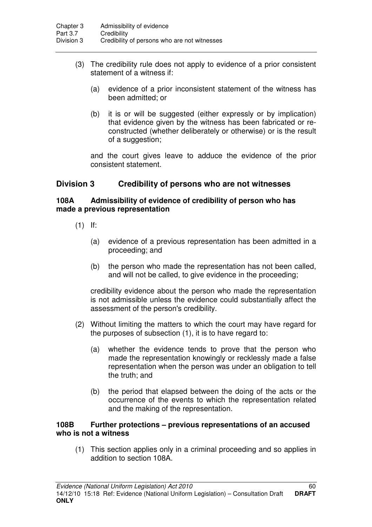- (3) The credibility rule does not apply to evidence of a prior consistent statement of a witness if:
	- (a) evidence of a prior inconsistent statement of the witness has been admitted; or
	- (b) it is or will be suggested (either expressly or by implication) that evidence given by the witness has been fabricated or reconstructed (whether deliberately or otherwise) or is the result of a suggestion;

and the court gives leave to adduce the evidence of the prior consistent statement.

# **Division 3 Credibility of persons who are not witnesses**

## **108A Admissibility of evidence of credibility of person who has made a previous representation**

- (1) If:
	- (a) evidence of a previous representation has been admitted in a proceeding; and
	- (b) the person who made the representation has not been called, and will not be called, to give evidence in the proceeding;

credibility evidence about the person who made the representation is not admissible unless the evidence could substantially affect the assessment of the person's credibility.

- (2) Without limiting the matters to which the court may have regard for the purposes of subsection (1), it is to have regard to:
	- (a) whether the evidence tends to prove that the person who made the representation knowingly or recklessly made a false representation when the person was under an obligation to tell the truth; and
	- (b) the period that elapsed between the doing of the acts or the occurrence of the events to which the representation related and the making of the representation.

### **108B Further protections – previous representations of an accused who is not a witness**

 (1) This section applies only in a criminal proceeding and so applies in addition to section 108A.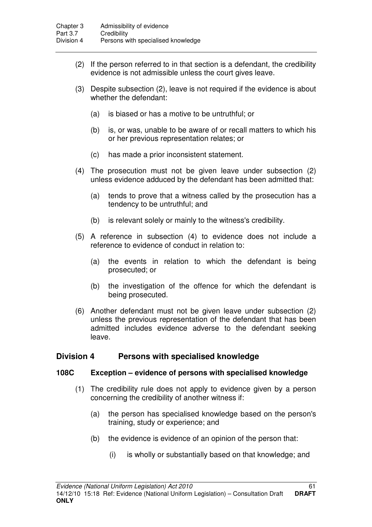- (2) If the person referred to in that section is a defendant, the credibility evidence is not admissible unless the court gives leave.
- (3) Despite subsection (2), leave is not required if the evidence is about whether the defendant:
	- (a) is biased or has a motive to be untruthful; or
	- (b) is, or was, unable to be aware of or recall matters to which his or her previous representation relates; or
	- (c) has made a prior inconsistent statement.
- (4) The prosecution must not be given leave under subsection (2) unless evidence adduced by the defendant has been admitted that:
	- (a) tends to prove that a witness called by the prosecution has a tendency to be untruthful; and
	- (b) is relevant solely or mainly to the witness's credibility.
- (5) A reference in subsection (4) to evidence does not include a reference to evidence of conduct in relation to:
	- (a) the events in relation to which the defendant is being prosecuted; or
	- (b) the investigation of the offence for which the defendant is being prosecuted.
- (6) Another defendant must not be given leave under subsection (2) unless the previous representation of the defendant that has been admitted includes evidence adverse to the defendant seeking leave.

# **Division 4 Persons with specialised knowledge**

### **108C Exception – evidence of persons with specialised knowledge**

- (1) The credibility rule does not apply to evidence given by a person concerning the credibility of another witness if:
	- (a) the person has specialised knowledge based on the person's training, study or experience; and
	- (b) the evidence is evidence of an opinion of the person that:
		- (i) is wholly or substantially based on that knowledge; and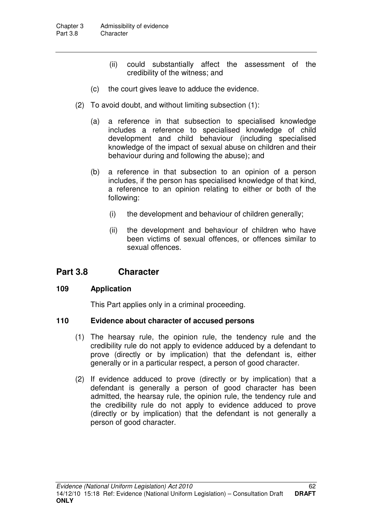- (ii) could substantially affect the assessment of the credibility of the witness; and
- (c) the court gives leave to adduce the evidence.
- (2) To avoid doubt, and without limiting subsection (1):
	- (a) a reference in that subsection to specialised knowledge includes a reference to specialised knowledge of child development and child behaviour (including specialised knowledge of the impact of sexual abuse on children and their behaviour during and following the abuse); and
	- (b) a reference in that subsection to an opinion of a person includes, if the person has specialised knowledge of that kind, a reference to an opinion relating to either or both of the following:
		- (i) the development and behaviour of children generally;
		- (ii) the development and behaviour of children who have been victims of sexual offences, or offences similar to sexual offences.

# **Part 3.8 Character**

# **109 Application**

This Part applies only in a criminal proceeding.

# **110 Evidence about character of accused persons**

- (1) The hearsay rule, the opinion rule, the tendency rule and the credibility rule do not apply to evidence adduced by a defendant to prove (directly or by implication) that the defendant is, either generally or in a particular respect, a person of good character.
- (2) If evidence adduced to prove (directly or by implication) that a defendant is generally a person of good character has been admitted, the hearsay rule, the opinion rule, the tendency rule and the credibility rule do not apply to evidence adduced to prove (directly or by implication) that the defendant is not generally a person of good character.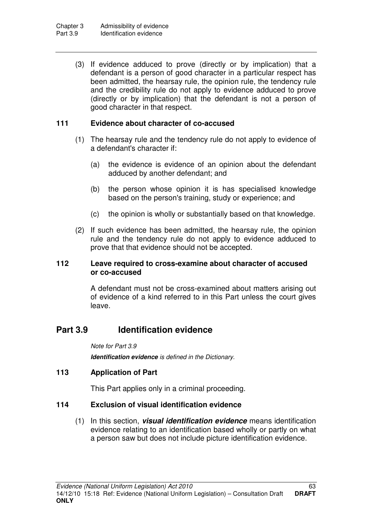(3) If evidence adduced to prove (directly or by implication) that a defendant is a person of good character in a particular respect has been admitted, the hearsay rule, the opinion rule, the tendency rule and the credibility rule do not apply to evidence adduced to prove (directly or by implication) that the defendant is not a person of good character in that respect.

## **111 Evidence about character of co-accused**

- (1) The hearsay rule and the tendency rule do not apply to evidence of a defendant's character if:
	- (a) the evidence is evidence of an opinion about the defendant adduced by another defendant; and
	- (b) the person whose opinion it is has specialised knowledge based on the person's training, study or experience; and
	- (c) the opinion is wholly or substantially based on that knowledge.
- (2) If such evidence has been admitted, the hearsay rule, the opinion rule and the tendency rule do not apply to evidence adduced to prove that that evidence should not be accepted.

## **112 Leave required to cross-examine about character of accused or co-accused**

A defendant must not be cross-examined about matters arising out of evidence of a kind referred to in this Part unless the court gives leave.

# **Part 3.9 Identification evidence**

Note for Part 3.9

**Identification evidence** is defined in the Dictionary.

## **113 Application of Part**

This Part applies only in a criminal proceeding.

## **114 Exclusion of visual identification evidence**

 (1) In this section, **visual identification evidence** means identification evidence relating to an identification based wholly or partly on what a person saw but does not include picture identification evidence.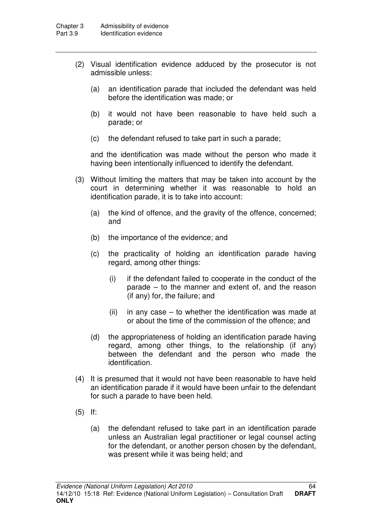- (2) Visual identification evidence adduced by the prosecutor is not admissible unless:
	- (a) an identification parade that included the defendant was held before the identification was made; or
	- (b) it would not have been reasonable to have held such a parade; or
	- (c) the defendant refused to take part in such a parade;

and the identification was made without the person who made it having been intentionally influenced to identify the defendant.

- (3) Without limiting the matters that may be taken into account by the court in determining whether it was reasonable to hold an identification parade, it is to take into account:
	- (a) the kind of offence, and the gravity of the offence, concerned; and
	- (b) the importance of the evidence; and
	- (c) the practicality of holding an identification parade having regard, among other things:
		- (i) if the defendant failed to cooperate in the conduct of the parade – to the manner and extent of, and the reason (if any) for, the failure; and
		- $(ii)$  in any case to whether the identification was made at or about the time of the commission of the offence; and
	- (d) the appropriateness of holding an identification parade having regard, among other things, to the relationship (if any) between the defendant and the person who made the identification.
- (4) It is presumed that it would not have been reasonable to have held an identification parade if it would have been unfair to the defendant for such a parade to have been held.
- (5) If:
	- (a) the defendant refused to take part in an identification parade unless an Australian legal practitioner or legal counsel acting for the defendant, or another person chosen by the defendant, was present while it was being held; and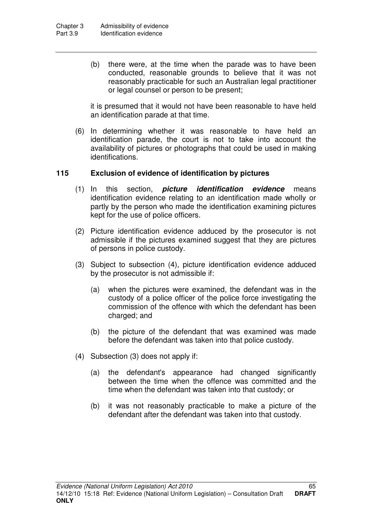(b) there were, at the time when the parade was to have been conducted, reasonable grounds to believe that it was not reasonably practicable for such an Australian legal practitioner or legal counsel or person to be present;

it is presumed that it would not have been reasonable to have held an identification parade at that time.

 (6) In determining whether it was reasonable to have held an identification parade, the court is not to take into account the availability of pictures or photographs that could be used in making identifications.

## **115 Exclusion of evidence of identification by pictures**

- (1) In this section, **picture identification evidence** means identification evidence relating to an identification made wholly or partly by the person who made the identification examining pictures kept for the use of police officers.
- (2) Picture identification evidence adduced by the prosecutor is not admissible if the pictures examined suggest that they are pictures of persons in police custody.
- (3) Subject to subsection (4), picture identification evidence adduced by the prosecutor is not admissible if:
	- (a) when the pictures were examined, the defendant was in the custody of a police officer of the police force investigating the commission of the offence with which the defendant has been charged; and
	- (b) the picture of the defendant that was examined was made before the defendant was taken into that police custody.
- (4) Subsection (3) does not apply if:
	- (a) the defendant's appearance had changed significantly between the time when the offence was committed and the time when the defendant was taken into that custody; or
	- (b) it was not reasonably practicable to make a picture of the defendant after the defendant was taken into that custody.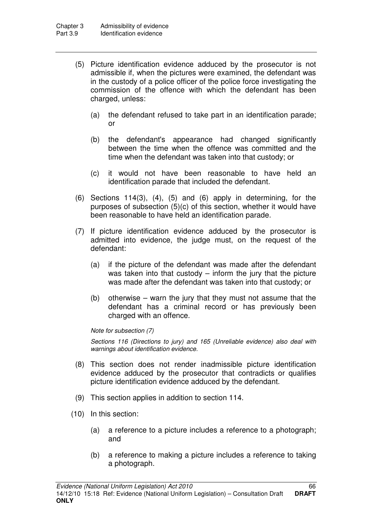- (5) Picture identification evidence adduced by the prosecutor is not admissible if, when the pictures were examined, the defendant was in the custody of a police officer of the police force investigating the commission of the offence with which the defendant has been charged, unless:
	- (a) the defendant refused to take part in an identification parade; or
	- (b) the defendant's appearance had changed significantly between the time when the offence was committed and the time when the defendant was taken into that custody; or
	- (c) it would not have been reasonable to have held an identification parade that included the defendant.
- (6) Sections 114(3), (4), (5) and (6) apply in determining, for the purposes of subsection (5)(c) of this section, whether it would have been reasonable to have held an identification parade.
- (7) If picture identification evidence adduced by the prosecutor is admitted into evidence, the judge must, on the request of the defendant:
	- (a) if the picture of the defendant was made after the defendant was taken into that custody  $-$  inform the jury that the picture was made after the defendant was taken into that custody; or
	- (b) otherwise warn the jury that they must not assume that the defendant has a criminal record or has previously been charged with an offence.

Note for subsection (7)

Sections 116 (Directions to jury) and 165 (Unreliable evidence) also deal with warnings about identification evidence.

- (8) This section does not render inadmissible picture identification evidence adduced by the prosecutor that contradicts or qualifies picture identification evidence adduced by the defendant.
- (9) This section applies in addition to section 114.
- (10) In this section:
	- (a) a reference to a picture includes a reference to a photograph; and
	- (b) a reference to making a picture includes a reference to taking a photograph.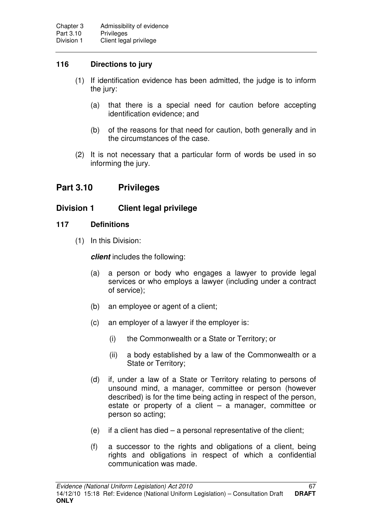## **116 Directions to jury**

- (1) If identification evidence has been admitted, the judge is to inform the jury:
	- (a) that there is a special need for caution before accepting identification evidence; and
	- (b) of the reasons for that need for caution, both generally and in the circumstances of the case.
- (2) It is not necessary that a particular form of words be used in so informing the jury.

# **Part 3.10 Privileges**

# **Division 1 Client legal privilege**

## **117 Definitions**

(1) In this Division:

**client** includes the following:

- (a) a person or body who engages a lawyer to provide legal services or who employs a lawyer (including under a contract of service);
- (b) an employee or agent of a client;
- (c) an employer of a lawyer if the employer is:
	- (i) the Commonwealth or a State or Territory; or
	- (ii) a body established by a law of the Commonwealth or a State or Territory;
- (d) if, under a law of a State or Territory relating to persons of unsound mind, a manager, committee or person (however described) is for the time being acting in respect of the person, estate or property of a client – a manager, committee or person so acting;
- (e) if a client has died a personal representative of the client;
- (f) a successor to the rights and obligations of a client, being rights and obligations in respect of which a confidential communication was made.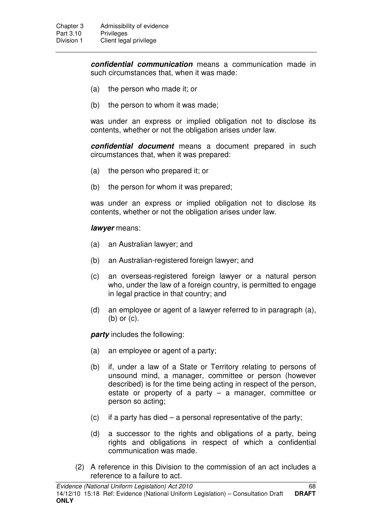**confidential communication** means a communication made in such circumstances that, when it was made:

- (a) the person who made it; or
- (b) the person to whom it was made;

was under an express or implied obligation not to disclose its contents, whether or not the obligation arises under law.

**confidential document** means a document prepared in such circumstances that, when it was prepared:

- (a) the person who prepared it; or
- (b) the person for whom it was prepared;

was under an express or implied obligation not to disclose its contents, whether or not the obligation arises under law.

## **lawyer** means:

- (a) an Australian lawyer; and
- (b) an Australian-registered foreign lawyer; and
- (c) an overseas-registered foreign lawyer or a natural person who, under the law of a foreign country, is permitted to engage in legal practice in that country; and
- (d) an employee or agent of a lawyer referred to in paragraph (a), (b) or (c).

**party** includes the following:

- (a) an employee or agent of a party;
- (b) if, under a law of a State or Territory relating to persons of unsound mind, a manager, committee or person (however described) is for the time being acting in respect of the person, estate or property of a party  $-$  a manager, committee or person so acting;
- (c) if a party has died a personal representative of the party;
- (d) a successor to the rights and obligations of a party, being rights and obligations in respect of which a confidential communication was made.
- (2) A reference in this Division to the commission of an act includes a reference to a failure to act.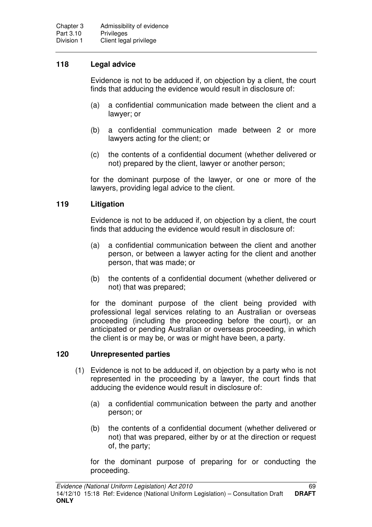## **118 Legal advice**

Evidence is not to be adduced if, on objection by a client, the court finds that adducing the evidence would result in disclosure of:

- (a) a confidential communication made between the client and a lawyer; or
- (b) a confidential communication made between 2 or more lawyers acting for the client; or
- (c) the contents of a confidential document (whether delivered or not) prepared by the client, lawyer or another person;

for the dominant purpose of the lawyer, or one or more of the lawyers, providing legal advice to the client.

## **119 Litigation**

Evidence is not to be adduced if, on objection by a client, the court finds that adducing the evidence would result in disclosure of:

- (a) a confidential communication between the client and another person, or between a lawyer acting for the client and another person, that was made; or
- (b) the contents of a confidential document (whether delivered or not) that was prepared;

for the dominant purpose of the client being provided with professional legal services relating to an Australian or overseas proceeding (including the proceeding before the court), or an anticipated or pending Australian or overseas proceeding, in which the client is or may be, or was or might have been, a party.

## **120 Unrepresented parties**

- (1) Evidence is not to be adduced if, on objection by a party who is not represented in the proceeding by a lawyer, the court finds that adducing the evidence would result in disclosure of:
	- (a) a confidential communication between the party and another person; or
	- (b) the contents of a confidential document (whether delivered or not) that was prepared, either by or at the direction or request of, the party;

for the dominant purpose of preparing for or conducting the proceeding.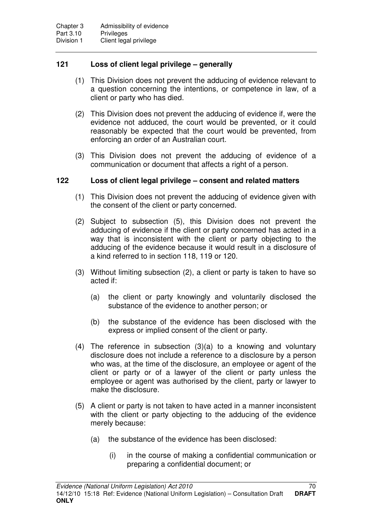## **121 Loss of client legal privilege – generally**

- (1) This Division does not prevent the adducing of evidence relevant to a question concerning the intentions, or competence in law, of a client or party who has died.
- (2) This Division does not prevent the adducing of evidence if, were the evidence not adduced, the court would be prevented, or it could reasonably be expected that the court would be prevented, from enforcing an order of an Australian court.
- (3) This Division does not prevent the adducing of evidence of a communication or document that affects a right of a person.

## **122 Loss of client legal privilege – consent and related matters**

- (1) This Division does not prevent the adducing of evidence given with the consent of the client or party concerned.
- (2) Subject to subsection (5), this Division does not prevent the adducing of evidence if the client or party concerned has acted in a way that is inconsistent with the client or party objecting to the adducing of the evidence because it would result in a disclosure of a kind referred to in section 118, 119 or 120.
- (3) Without limiting subsection (2), a client or party is taken to have so acted if:
	- (a) the client or party knowingly and voluntarily disclosed the substance of the evidence to another person; or
	- (b) the substance of the evidence has been disclosed with the express or implied consent of the client or party.
- (4) The reference in subsection (3)(a) to a knowing and voluntary disclosure does not include a reference to a disclosure by a person who was, at the time of the disclosure, an employee or agent of the client or party or of a lawyer of the client or party unless the employee or agent was authorised by the client, party or lawyer to make the disclosure.
- (5) A client or party is not taken to have acted in a manner inconsistent with the client or party objecting to the adducing of the evidence merely because:
	- (a) the substance of the evidence has been disclosed:
		- (i) in the course of making a confidential communication or preparing a confidential document; or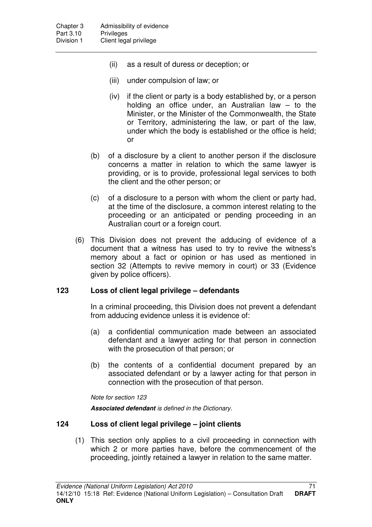- (ii) as a result of duress or deception; or
- (iii) under compulsion of law; or
- (iv) if the client or party is a body established by, or a person holding an office under, an Australian law – to the Minister, or the Minister of the Commonwealth, the State or Territory, administering the law, or part of the law, under which the body is established or the office is held; or
- (b) of a disclosure by a client to another person if the disclosure concerns a matter in relation to which the same lawyer is providing, or is to provide, professional legal services to both the client and the other person; or
- (c) of a disclosure to a person with whom the client or party had, at the time of the disclosure, a common interest relating to the proceeding or an anticipated or pending proceeding in an Australian court or a foreign court.
- (6) This Division does not prevent the adducing of evidence of a document that a witness has used to try to revive the witness's memory about a fact or opinion or has used as mentioned in section 32 (Attempts to revive memory in court) or 33 (Evidence given by police officers).

### **123 Loss of client legal privilege – defendants**

In a criminal proceeding, this Division does not prevent a defendant from adducing evidence unless it is evidence of:

- (a) a confidential communication made between an associated defendant and a lawyer acting for that person in connection with the prosecution of that person; or
- (b) the contents of a confidential document prepared by an associated defendant or by a lawyer acting for that person in connection with the prosecution of that person.

Note for section 123

**Associated defendant** is defined in the Dictionary.

## **124 Loss of client legal privilege – joint clients**

 (1) This section only applies to a civil proceeding in connection with which 2 or more parties have, before the commencement of the proceeding, jointly retained a lawyer in relation to the same matter.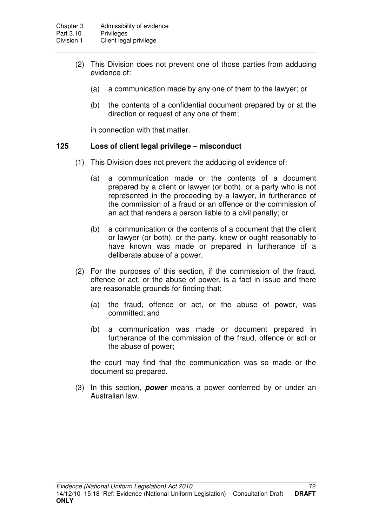- (2) This Division does not prevent one of those parties from adducing evidence of:
	- (a) a communication made by any one of them to the lawyer; or
	- (b) the contents of a confidential document prepared by or at the direction or request of any one of them;

in connection with that matter.

### **125 Loss of client legal privilege – misconduct**

- (1) This Division does not prevent the adducing of evidence of:
	- (a) a communication made or the contents of a document prepared by a client or lawyer (or both), or a party who is not represented in the proceeding by a lawyer, in furtherance of the commission of a fraud or an offence or the commission of an act that renders a person liable to a civil penalty; or
	- (b) a communication or the contents of a document that the client or lawyer (or both), or the party, knew or ought reasonably to have known was made or prepared in furtherance of a deliberate abuse of a power.
- (2) For the purposes of this section, if the commission of the fraud, offence or act, or the abuse of power, is a fact in issue and there are reasonable grounds for finding that:
	- (a) the fraud, offence or act, or the abuse of power, was committed; and
	- (b) a communication was made or document prepared in furtherance of the commission of the fraud, offence or act or the abuse of power;

the court may find that the communication was so made or the document so prepared.

 (3) In this section, **power** means a power conferred by or under an Australian law.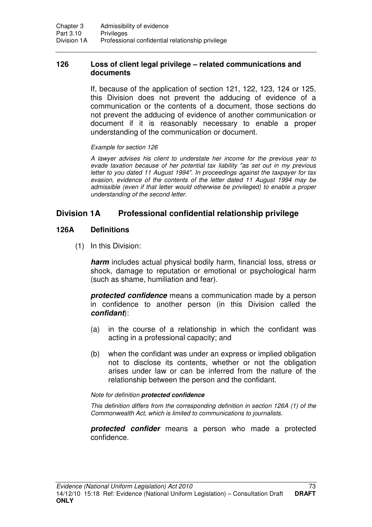## **126 Loss of client legal privilege – related communications and documents**

If, because of the application of section 121, 122, 123, 124 or 125, this Division does not prevent the adducing of evidence of a communication or the contents of a document, those sections do not prevent the adducing of evidence of another communication or document if it is reasonably necessary to enable a proper understanding of the communication or document.

#### Example for section 126

A lawyer advises his client to understate her income for the previous year to evade taxation because of her potential tax liability "as set out in my previous letter to you dated 11 August 1994". In proceedings against the taxpayer for tax evasion, evidence of the contents of the letter dated 11 August 1994 may be admissible (even if that letter would otherwise be privileged) to enable a proper understanding of the second letter.

## **Division 1A Professional confidential relationship privilege**

## **126A Definitions**

(1) In this Division:

**harm** includes actual physical bodily harm, financial loss, stress or shock, damage to reputation or emotional or psychological harm (such as shame, humiliation and fear).

**protected confidence** means a communication made by a person in confidence to another person (in this Division called the **confidant**):

- (a) in the course of a relationship in which the confidant was acting in a professional capacity; and
- (b) when the confidant was under an express or implied obligation not to disclose its contents, whether or not the obligation arises under law or can be inferred from the nature of the relationship between the person and the confidant.

#### Note for definition **protected confidence**

This definition differs from the corresponding definition in section 126A (1) of the Commonwealth Act, which is limited to communications to journalists.

**protected confider** means a person who made a protected confidence.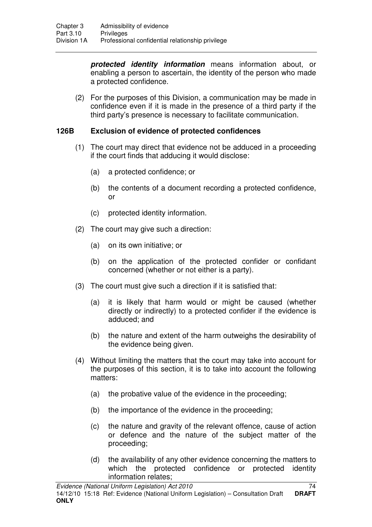**protected identity information** means information about, or enabling a person to ascertain, the identity of the person who made a protected confidence.

 (2) For the purposes of this Division, a communication may be made in confidence even if it is made in the presence of a third party if the third party's presence is necessary to facilitate communication.

## **126B Exclusion of evidence of protected confidences**

- (1) The court may direct that evidence not be adduced in a proceeding if the court finds that adducing it would disclose:
	- (a) a protected confidence; or
	- (b) the contents of a document recording a protected confidence, or
	- (c) protected identity information.
- (2) The court may give such a direction:
	- (a) on its own initiative; or
	- (b) on the application of the protected confider or confidant concerned (whether or not either is a party).
- (3) The court must give such a direction if it is satisfied that:
	- (a) it is likely that harm would or might be caused (whether directly or indirectly) to a protected confider if the evidence is adduced; and
	- (b) the nature and extent of the harm outweighs the desirability of the evidence being given.
- (4) Without limiting the matters that the court may take into account for the purposes of this section, it is to take into account the following matters:
	- (a) the probative value of the evidence in the proceeding;
	- (b) the importance of the evidence in the proceeding;
	- (c) the nature and gravity of the relevant offence, cause of action or defence and the nature of the subject matter of the proceeding;
	- (d) the availability of any other evidence concerning the matters to which the protected confidence or protected identity information relates;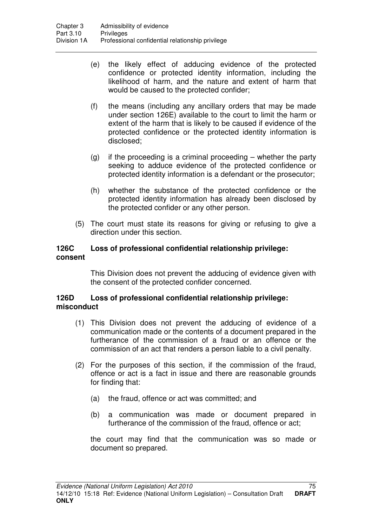- (e) the likely effect of adducing evidence of the protected confidence or protected identity information, including the likelihood of harm, and the nature and extent of harm that would be caused to the protected confider;
- (f) the means (including any ancillary orders that may be made under section 126E) available to the court to limit the harm or extent of the harm that is likely to be caused if evidence of the protected confidence or the protected identity information is disclosed;
- (g) if the proceeding is a criminal proceeding whether the party seeking to adduce evidence of the protected confidence or protected identity information is a defendant or the prosecutor;
- (h) whether the substance of the protected confidence or the protected identity information has already been disclosed by the protected confider or any other person.
- (5) The court must state its reasons for giving or refusing to give a direction under this section.

## **126C Loss of professional confidential relationship privilege: consent**

This Division does not prevent the adducing of evidence given with the consent of the protected confider concerned.

## **126D Loss of professional confidential relationship privilege: misconduct**

- (1) This Division does not prevent the adducing of evidence of a communication made or the contents of a document prepared in the furtherance of the commission of a fraud or an offence or the commission of an act that renders a person liable to a civil penalty.
- (2) For the purposes of this section, if the commission of the fraud, offence or act is a fact in issue and there are reasonable grounds for finding that:
	- (a) the fraud, offence or act was committed; and
	- (b) a communication was made or document prepared in furtherance of the commission of the fraud, offence or act;

the court may find that the communication was so made or document so prepared.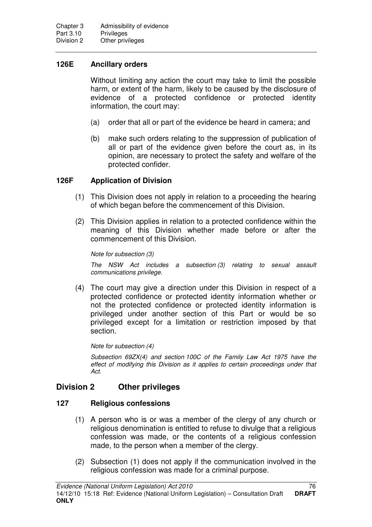## **126E Ancillary orders**

Without limiting any action the court may take to limit the possible harm, or extent of the harm, likely to be caused by the disclosure of evidence of a protected confidence or protected identity information, the court may:

- (a) order that all or part of the evidence be heard in camera; and
- (b) make such orders relating to the suppression of publication of all or part of the evidence given before the court as, in its opinion, are necessary to protect the safety and welfare of the protected confider.

## **126F Application of Division**

- (1) This Division does not apply in relation to a proceeding the hearing of which began before the commencement of this Division.
- (2) This Division applies in relation to a protected confidence within the meaning of this Division whether made before or after the commencement of this Division.

Note for subsection (3)

The NSW Act includes a subsection (3) relating to sexual assault communications privilege.

 (4) The court may give a direction under this Division in respect of a protected confidence or protected identity information whether or not the protected confidence or protected identity information is privileged under another section of this Part or would be so privileged except for a limitation or restriction imposed by that section.

Note for subsection (4)

Subsection 69ZX(4) and section 100C of the Family Law Act 1975 have the effect of modifying this Division as it applies to certain proceedings under that Act.

## **Division 2 Other privileges**

## **127 Religious confessions**

- (1) A person who is or was a member of the clergy of any church or religious denomination is entitled to refuse to divulge that a religious confession was made, or the contents of a religious confession made, to the person when a member of the clergy.
- (2) Subsection (1) does not apply if the communication involved in the religious confession was made for a criminal purpose.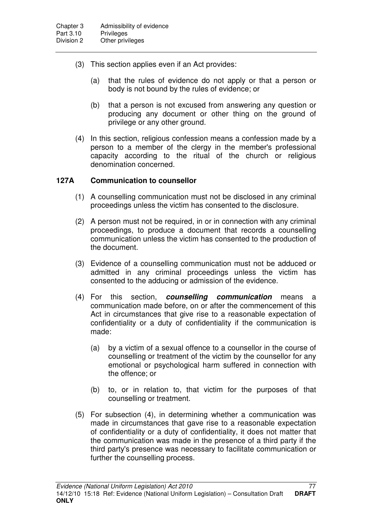- (3) This section applies even if an Act provides:
	- (a) that the rules of evidence do not apply or that a person or body is not bound by the rules of evidence; or
	- (b) that a person is not excused from answering any question or producing any document or other thing on the ground of privilege or any other ground.
- (4) In this section, religious confession means a confession made by a person to a member of the clergy in the member's professional capacity according to the ritual of the church or religious denomination concerned.

## **127A Communication to counsellor**

- (1) A counselling communication must not be disclosed in any criminal proceedings unless the victim has consented to the disclosure.
- (2) A person must not be required, in or in connection with any criminal proceedings, to produce a document that records a counselling communication unless the victim has consented to the production of the document.
- (3) Evidence of a counselling communication must not be adduced or admitted in any criminal proceedings unless the victim has consented to the adducing or admission of the evidence.
- (4) For this section, **counselling communication** means a communication made before, on or after the commencement of this Act in circumstances that give rise to a reasonable expectation of confidentiality or a duty of confidentiality if the communication is made:
	- (a) by a victim of a sexual offence to a counsellor in the course of counselling or treatment of the victim by the counsellor for any emotional or psychological harm suffered in connection with the offence; or
	- (b) to, or in relation to, that victim for the purposes of that counselling or treatment.
- (5) For subsection (4), in determining whether a communication was made in circumstances that gave rise to a reasonable expectation of confidentiality or a duty of confidentiality, it does not matter that the communication was made in the presence of a third party if the third party's presence was necessary to facilitate communication or further the counselling process.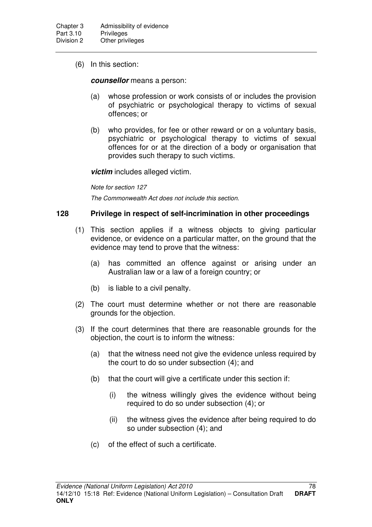(6) In this section:

**counsellor** means a person:

- (a) whose profession or work consists of or includes the provision of psychiatric or psychological therapy to victims of sexual offences; or
- (b) who provides, for fee or other reward or on a voluntary basis, psychiatric or psychological therapy to victims of sexual offences for or at the direction of a body or organisation that provides such therapy to such victims.

**victim** includes alleged victim.

Note for section 127 The Commonwealth Act does not include this section.

### **128 Privilege in respect of self-incrimination in other proceedings**

- (1) This section applies if a witness objects to giving particular evidence, or evidence on a particular matter, on the ground that the evidence may tend to prove that the witness:
	- (a) has committed an offence against or arising under an Australian law or a law of a foreign country; or
	- (b) is liable to a civil penalty.
- (2) The court must determine whether or not there are reasonable grounds for the objection.
- (3) If the court determines that there are reasonable grounds for the objection, the court is to inform the witness:
	- (a) that the witness need not give the evidence unless required by the court to do so under subsection (4); and
	- (b) that the court will give a certificate under this section if:
		- (i) the witness willingly gives the evidence without being required to do so under subsection (4); or
		- (ii) the witness gives the evidence after being required to do so under subsection (4); and
	- (c) of the effect of such a certificate.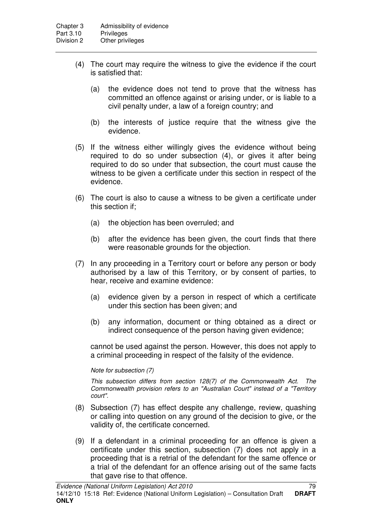- (4) The court may require the witness to give the evidence if the court is satisfied that:
	- (a) the evidence does not tend to prove that the witness has committed an offence against or arising under, or is liable to a civil penalty under, a law of a foreign country; and
	- (b) the interests of justice require that the witness give the evidence.
- (5) If the witness either willingly gives the evidence without being required to do so under subsection (4), or gives it after being required to do so under that subsection, the court must cause the witness to be given a certificate under this section in respect of the evidence.
- (6) The court is also to cause a witness to be given a certificate under this section if;
	- (a) the objection has been overruled; and
	- (b) after the evidence has been given, the court finds that there were reasonable grounds for the objection.
- (7) In any proceeding in a Territory court or before any person or body authorised by a law of this Territory, or by consent of parties, to hear, receive and examine evidence:
	- (a) evidence given by a person in respect of which a certificate under this section has been given; and
	- (b) any information, document or thing obtained as a direct or indirect consequence of the person having given evidence;

cannot be used against the person. However, this does not apply to a criminal proceeding in respect of the falsity of the evidence.

### Note for subsection (7)

This subsection differs from section 128(7) of the Commonwealth Act. The Commonwealth provision refers to an "Australian Court" instead of a "Territory court".

- (8) Subsection (7) has effect despite any challenge, review, quashing or calling into question on any ground of the decision to give, or the validity of, the certificate concerned.
- (9) If a defendant in a criminal proceeding for an offence is given a certificate under this section, subsection (7) does not apply in a proceeding that is a retrial of the defendant for the same offence or a trial of the defendant for an offence arising out of the same facts that gave rise to that offence.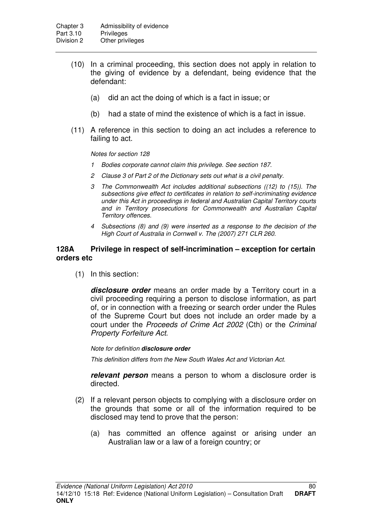- (10) In a criminal proceeding, this section does not apply in relation to the giving of evidence by a defendant, being evidence that the defendant:
	- (a) did an act the doing of which is a fact in issue; or
	- (b) had a state of mind the existence of which is a fact in issue.
- (11) A reference in this section to doing an act includes a reference to failing to act.

Notes for section 128

- 1 Bodies corporate cannot claim this privilege. See section 187.
- 2 Clause 3 of Part 2 of the Dictionary sets out what is a civil penalty.
- 3 The Commonwealth Act includes additional subsections ((12) to (15)). The subsections give effect to certificates in relation to self-incriminating evidence under this Act in proceedings in federal and Australian Capital Territory courts and in Territory prosecutions for Commonwealth and Australian Capital Territory offences.
- 4 Subsections (8) and (9) were inserted as a response to the decision of the High Court of Australia in Cornwell v. The (2007) 271 CLR 260.

## **128A Privilege in respect of self-incrimination – exception for certain orders etc**

(1) In this section:

**disclosure order** means an order made by a Territory court in a civil proceeding requiring a person to disclose information, as part of, or in connection with a freezing or search order under the Rules of the Supreme Court but does not include an order made by a court under the Proceeds of Crime Act 2002 (Cth) or the Criminal Property Forfeiture Act.

#### Note for definition **disclosure order**

This definition differs from the New South Wales Act and Victorian Act.

**relevant person** means a person to whom a disclosure order is directed.

- (2) If a relevant person objects to complying with a disclosure order on the grounds that some or all of the information required to be disclosed may tend to prove that the person:
	- (a) has committed an offence against or arising under an Australian law or a law of a foreign country; or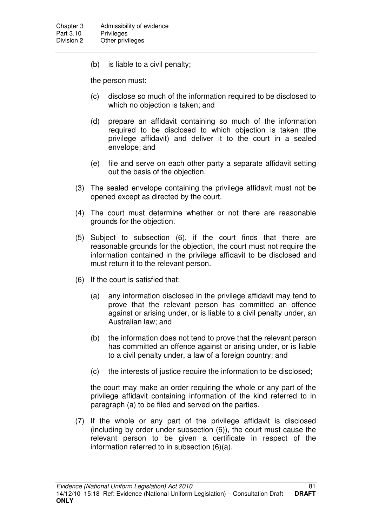(b) is liable to a civil penalty;

the person must:

- (c) disclose so much of the information required to be disclosed to which no objection is taken; and
- (d) prepare an affidavit containing so much of the information required to be disclosed to which objection is taken (the privilege affidavit) and deliver it to the court in a sealed envelope; and
- (e) file and serve on each other party a separate affidavit setting out the basis of the objection.
- (3) The sealed envelope containing the privilege affidavit must not be opened except as directed by the court.
- (4) The court must determine whether or not there are reasonable grounds for the objection.
- (5) Subject to subsection (6), if the court finds that there are reasonable grounds for the objection, the court must not require the information contained in the privilege affidavit to be disclosed and must return it to the relevant person.
- (6) If the court is satisfied that:
	- (a) any information disclosed in the privilege affidavit may tend to prove that the relevant person has committed an offence against or arising under, or is liable to a civil penalty under, an Australian law; and
	- (b) the information does not tend to prove that the relevant person has committed an offence against or arising under, or is liable to a civil penalty under, a law of a foreign country; and
	- (c) the interests of justice require the information to be disclosed;

the court may make an order requiring the whole or any part of the privilege affidavit containing information of the kind referred to in paragraph (a) to be filed and served on the parties.

 (7) If the whole or any part of the privilege affidavit is disclosed (including by order under subsection (6)), the court must cause the relevant person to be given a certificate in respect of the information referred to in subsection (6)(a).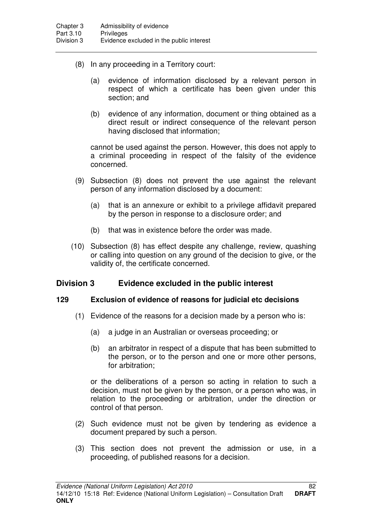- (8) In any proceeding in a Territory court:
	- (a) evidence of information disclosed by a relevant person in respect of which a certificate has been given under this section; and
	- (b) evidence of any information, document or thing obtained as a direct result or indirect consequence of the relevant person having disclosed that information;

cannot be used against the person. However, this does not apply to a criminal proceeding in respect of the falsity of the evidence concerned.

- (9) Subsection (8) does not prevent the use against the relevant person of any information disclosed by a document:
	- (a) that is an annexure or exhibit to a privilege affidavit prepared by the person in response to a disclosure order; and
	- (b) that was in existence before the order was made.
- (10) Subsection (8) has effect despite any challenge, review, quashing or calling into question on any ground of the decision to give, or the validity of, the certificate concerned.

## **Division 3 Evidence excluded in the public interest**

## **129 Exclusion of evidence of reasons for judicial etc decisions**

- (1) Evidence of the reasons for a decision made by a person who is:
	- (a) a judge in an Australian or overseas proceeding; or
	- (b) an arbitrator in respect of a dispute that has been submitted to the person, or to the person and one or more other persons, for arbitration;

or the deliberations of a person so acting in relation to such a decision, must not be given by the person, or a person who was, in relation to the proceeding or arbitration, under the direction or control of that person.

- (2) Such evidence must not be given by tendering as evidence a document prepared by such a person.
- (3) This section does not prevent the admission or use, in a proceeding, of published reasons for a decision.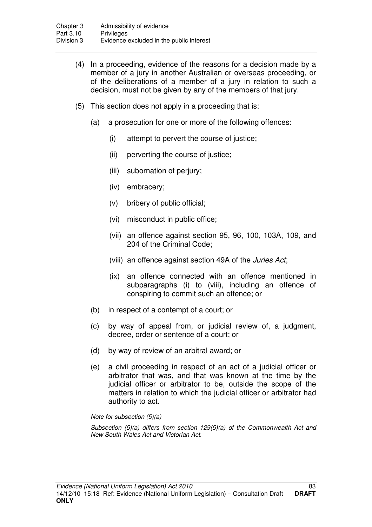- (4) In a proceeding, evidence of the reasons for a decision made by a member of a jury in another Australian or overseas proceeding, or of the deliberations of a member of a jury in relation to such a decision, must not be given by any of the members of that jury.
- (5) This section does not apply in a proceeding that is:
	- (a) a prosecution for one or more of the following offences:
		- (i) attempt to pervert the course of justice;
		- (ii) perverting the course of justice;
		- (iii) subornation of perjury;
		- (iv) embracery;
		- (v) bribery of public official;
		- (vi) misconduct in public office;
		- (vii) an offence against section 95, 96, 100, 103A, 109, and 204 of the Criminal Code;
		- (viii) an offence against section 49A of the Juries Act;
		- (ix) an offence connected with an offence mentioned in subparagraphs (i) to (viii), including an offence of conspiring to commit such an offence; or
	- (b) in respect of a contempt of a court; or
	- (c) by way of appeal from, or judicial review of, a judgment, decree, order or sentence of a court; or
	- (d) by way of review of an arbitral award; or
	- (e) a civil proceeding in respect of an act of a judicial officer or arbitrator that was, and that was known at the time by the judicial officer or arbitrator to be, outside the scope of the matters in relation to which the judicial officer or arbitrator had authority to act.

#### Note for subsection (5)(a)

Subsection (5)(a) differs from section 129(5)(a) of the Commonwealth Act and New South Wales Act and Victorian Act.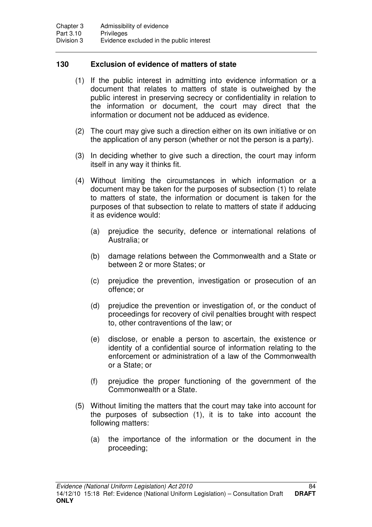## **130 Exclusion of evidence of matters of state**

- (1) If the public interest in admitting into evidence information or a document that relates to matters of state is outweighed by the public interest in preserving secrecy or confidentiality in relation to the information or document, the court may direct that the information or document not be adduced as evidence.
- (2) The court may give such a direction either on its own initiative or on the application of any person (whether or not the person is a party).
- (3) In deciding whether to give such a direction, the court may inform itself in any way it thinks fit.
- (4) Without limiting the circumstances in which information or a document may be taken for the purposes of subsection (1) to relate to matters of state, the information or document is taken for the purposes of that subsection to relate to matters of state if adducing it as evidence would:
	- (a) prejudice the security, defence or international relations of Australia; or
	- (b) damage relations between the Commonwealth and a State or between 2 or more States; or
	- (c) prejudice the prevention, investigation or prosecution of an offence; or
	- (d) prejudice the prevention or investigation of, or the conduct of proceedings for recovery of civil penalties brought with respect to, other contraventions of the law; or
	- (e) disclose, or enable a person to ascertain, the existence or identity of a confidential source of information relating to the enforcement or administration of a law of the Commonwealth or a State; or
	- (f) prejudice the proper functioning of the government of the Commonwealth or a State.
- (5) Without limiting the matters that the court may take into account for the purposes of subsection (1), it is to take into account the following matters:
	- (a) the importance of the information or the document in the proceeding;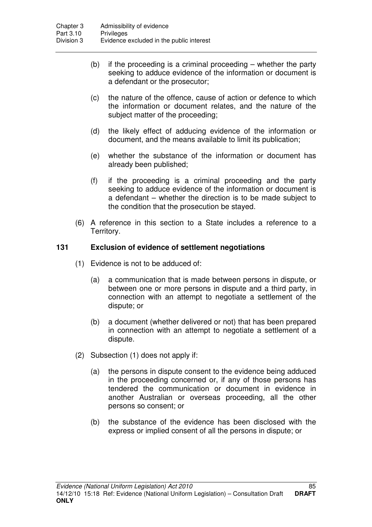- (b) if the proceeding is a criminal proceeding whether the party seeking to adduce evidence of the information or document is a defendant or the prosecutor;
- (c) the nature of the offence, cause of action or defence to which the information or document relates, and the nature of the subject matter of the proceeding;
- (d) the likely effect of adducing evidence of the information or document, and the means available to limit its publication;
- (e) whether the substance of the information or document has already been published;
- (f) if the proceeding is a criminal proceeding and the party seeking to adduce evidence of the information or document is a defendant – whether the direction is to be made subject to the condition that the prosecution be stayed.
- (6) A reference in this section to a State includes a reference to a Territory.

## **131 Exclusion of evidence of settlement negotiations**

- (1) Evidence is not to be adduced of:
	- (a) a communication that is made between persons in dispute, or between one or more persons in dispute and a third party, in connection with an attempt to negotiate a settlement of the dispute; or
	- (b) a document (whether delivered or not) that has been prepared in connection with an attempt to negotiate a settlement of a dispute.
- (2) Subsection (1) does not apply if:
	- (a) the persons in dispute consent to the evidence being adduced in the proceeding concerned or, if any of those persons has tendered the communication or document in evidence in another Australian or overseas proceeding, all the other persons so consent; or
	- (b) the substance of the evidence has been disclosed with the express or implied consent of all the persons in dispute; or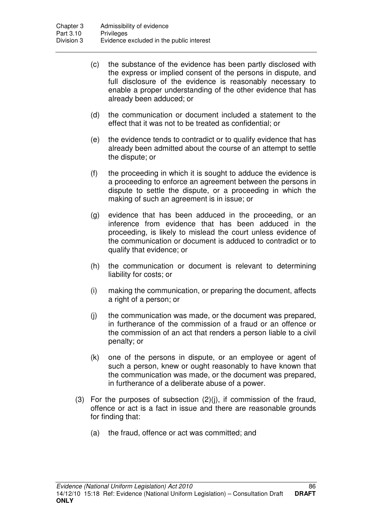- (c) the substance of the evidence has been partly disclosed with the express or implied consent of the persons in dispute, and full disclosure of the evidence is reasonably necessary to enable a proper understanding of the other evidence that has already been adduced; or
- (d) the communication or document included a statement to the effect that it was not to be treated as confidential; or
- (e) the evidence tends to contradict or to qualify evidence that has already been admitted about the course of an attempt to settle the dispute; or
- (f) the proceeding in which it is sought to adduce the evidence is a proceeding to enforce an agreement between the persons in dispute to settle the dispute, or a proceeding in which the making of such an agreement is in issue; or
- (g) evidence that has been adduced in the proceeding, or an inference from evidence that has been adduced in the proceeding, is likely to mislead the court unless evidence of the communication or document is adduced to contradict or to qualify that evidence; or
- (h) the communication or document is relevant to determining liability for costs; or
- (i) making the communication, or preparing the document, affects a right of a person; or
- (j) the communication was made, or the document was prepared, in furtherance of the commission of a fraud or an offence or the commission of an act that renders a person liable to a civil penalty; or
- (k) one of the persons in dispute, or an employee or agent of such a person, knew or ought reasonably to have known that the communication was made, or the document was prepared, in furtherance of a deliberate abuse of a power.
- (3) For the purposes of subsection  $(2)(i)$ , if commission of the fraud, offence or act is a fact in issue and there are reasonable grounds for finding that:
	- (a) the fraud, offence or act was committed; and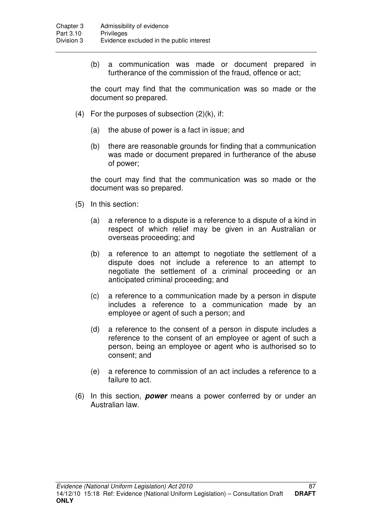(b) a communication was made or document prepared in furtherance of the commission of the fraud, offence or act;

the court may find that the communication was so made or the document so prepared.

- $(4)$  For the purposes of subsection  $(2)(k)$ , if:
	- (a) the abuse of power is a fact in issue; and
	- (b) there are reasonable grounds for finding that a communication was made or document prepared in furtherance of the abuse of power;

the court may find that the communication was so made or the document was so prepared.

- (5) In this section:
	- (a) a reference to a dispute is a reference to a dispute of a kind in respect of which relief may be given in an Australian or overseas proceeding; and
	- (b) a reference to an attempt to negotiate the settlement of a dispute does not include a reference to an attempt to negotiate the settlement of a criminal proceeding or an anticipated criminal proceeding; and
	- (c) a reference to a communication made by a person in dispute includes a reference to a communication made by an employee or agent of such a person; and
	- (d) a reference to the consent of a person in dispute includes a reference to the consent of an employee or agent of such a person, being an employee or agent who is authorised so to consent; and
	- (e) a reference to commission of an act includes a reference to a failure to act.
- (6) In this section, **power** means a power conferred by or under an Australian law.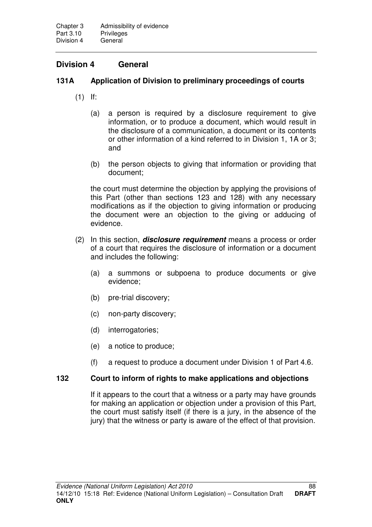# **Division 4 General**

## **131A Application of Division to preliminary proceedings of courts**

- (1) If:
	- (a) a person is required by a disclosure requirement to give information, or to produce a document, which would result in the disclosure of a communication, a document or its contents or other information of a kind referred to in Division 1, 1A or 3; and
	- (b) the person objects to giving that information or providing that document;

the court must determine the objection by applying the provisions of this Part (other than sections 123 and 128) with any necessary modifications as if the objection to giving information or producing the document were an objection to the giving or adducing of evidence.

- (2) In this section, **disclosure requirement** means a process or order of a court that requires the disclosure of information or a document and includes the following:
	- (a) a summons or subpoena to produce documents or give evidence;
	- (b) pre-trial discovery;
	- (c) non-party discovery;
	- (d) interrogatories;
	- (e) a notice to produce;
	- (f) a request to produce a document under Division 1 of Part 4.6.

## **132 Court to inform of rights to make applications and objections**

If it appears to the court that a witness or a party may have grounds for making an application or objection under a provision of this Part, the court must satisfy itself (if there is a jury, in the absence of the jury) that the witness or party is aware of the effect of that provision.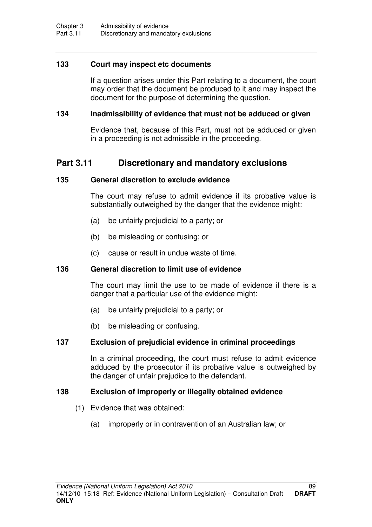## **133 Court may inspect etc documents**

If a question arises under this Part relating to a document, the court may order that the document be produced to it and may inspect the document for the purpose of determining the question.

### **134 Inadmissibility of evidence that must not be adduced or given**

Evidence that, because of this Part, must not be adduced or given in a proceeding is not admissible in the proceeding.

## **Part 3.11 Discretionary and mandatory exclusions**

## **135 General discretion to exclude evidence**

The court may refuse to admit evidence if its probative value is substantially outweighed by the danger that the evidence might:

- (a) be unfairly prejudicial to a party; or
- (b) be misleading or confusing; or
- (c) cause or result in undue waste of time.

## **136 General discretion to limit use of evidence**

The court may limit the use to be made of evidence if there is a danger that a particular use of the evidence might:

- (a) be unfairly prejudicial to a party; or
- (b) be misleading or confusing.

## **137 Exclusion of prejudicial evidence in criminal proceedings**

In a criminal proceeding, the court must refuse to admit evidence adduced by the prosecutor if its probative value is outweighed by the danger of unfair prejudice to the defendant.

### **138 Exclusion of improperly or illegally obtained evidence**

- (1) Evidence that was obtained:
	- (a) improperly or in contravention of an Australian law; or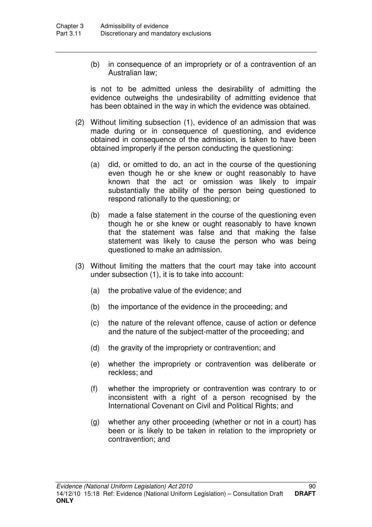(b) in consequence of an impropriety or of a contravention of an Australian law;

is not to be admitted unless the desirability of admitting the evidence outweighs the undesirability of admitting evidence that has been obtained in the way in which the evidence was obtained.

- (2) Without limiting subsection (1), evidence of an admission that was made during or in consequence of questioning, and evidence obtained in consequence of the admission, is taken to have been obtained improperly if the person conducting the questioning:
	- (a) did, or omitted to do, an act in the course of the questioning even though he or she knew or ought reasonably to have known that the act or omission was likely to impair substantially the ability of the person being questioned to respond rationally to the questioning; or
	- (b) made a false statement in the course of the questioning even though he or she knew or ought reasonably to have known that the statement was false and that making the false statement was likely to cause the person who was being questioned to make an admission.
- (3) Without limiting the matters that the court may take into account under subsection (1), it is to take into account:
	- (a) the probative value of the evidence; and
	- (b) the importance of the evidence in the proceeding; and
	- (c) the nature of the relevant offence, cause of action or defence and the nature of the subject-matter of the proceeding; and
	- (d) the gravity of the impropriety or contravention; and
	- (e) whether the impropriety or contravention was deliberate or reckless; and
	- (f) whether the impropriety or contravention was contrary to or inconsistent with a right of a person recognised by the International Covenant on Civil and Political Rights; and
	- (g) whether any other proceeding (whether or not in a court) has been or is likely to be taken in relation to the impropriety or contravention; and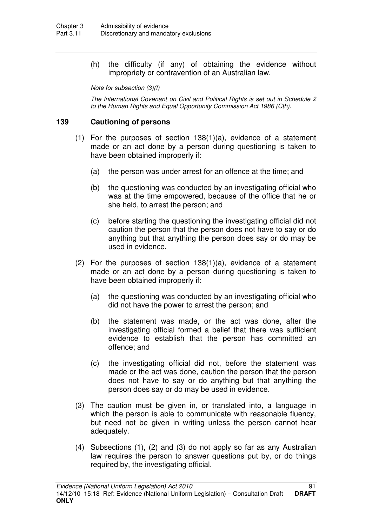(h) the difficulty (if any) of obtaining the evidence without impropriety or contravention of an Australian law.

Note for subsection (3)(f)

The International Covenant on Civil and Political Rights is set out in Schedule 2 to the Human Rights and Equal Opportunity Commission Act 1986 (Cth).

## **139 Cautioning of persons**

- (1) For the purposes of section 138(1)(a), evidence of a statement made or an act done by a person during questioning is taken to have been obtained improperly if:
	- (a) the person was under arrest for an offence at the time; and
	- (b) the questioning was conducted by an investigating official who was at the time empowered, because of the office that he or she held, to arrest the person; and
	- (c) before starting the questioning the investigating official did not caution the person that the person does not have to say or do anything but that anything the person does say or do may be used in evidence.
- (2) For the purposes of section 138(1)(a), evidence of a statement made or an act done by a person during questioning is taken to have been obtained improperly if:
	- (a) the questioning was conducted by an investigating official who did not have the power to arrest the person; and
	- (b) the statement was made, or the act was done, after the investigating official formed a belief that there was sufficient evidence to establish that the person has committed an offence; and
	- (c) the investigating official did not, before the statement was made or the act was done, caution the person that the person does not have to say or do anything but that anything the person does say or do may be used in evidence.
- (3) The caution must be given in, or translated into, a language in which the person is able to communicate with reasonable fluency, but need not be given in writing unless the person cannot hear adequately.
- (4) Subsections (1), (2) and (3) do not apply so far as any Australian law requires the person to answer questions put by, or do things required by, the investigating official.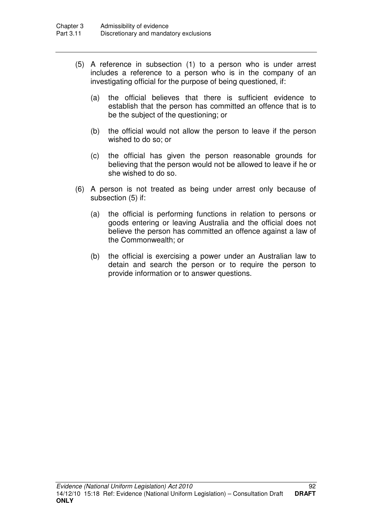- (5) A reference in subsection (1) to a person who is under arrest includes a reference to a person who is in the company of an investigating official for the purpose of being questioned, if:
	- (a) the official believes that there is sufficient evidence to establish that the person has committed an offence that is to be the subject of the questioning; or
	- (b) the official would not allow the person to leave if the person wished to do so; or
	- (c) the official has given the person reasonable grounds for believing that the person would not be allowed to leave if he or she wished to do so.
- (6) A person is not treated as being under arrest only because of subsection (5) if:
	- (a) the official is performing functions in relation to persons or goods entering or leaving Australia and the official does not believe the person has committed an offence against a law of the Commonwealth; or
	- (b) the official is exercising a power under an Australian law to detain and search the person or to require the person to provide information or to answer questions.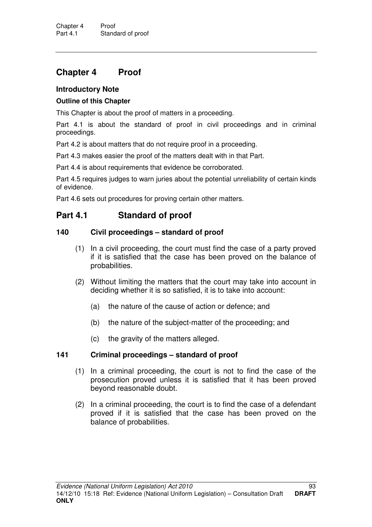# **Chapter 4 Proof**

## **Introductory Note**

## **Outline of this Chapter**

This Chapter is about the proof of matters in a proceeding.

Part 4.1 is about the standard of proof in civil proceedings and in criminal proceedings.

Part 4.2 is about matters that do not require proof in a proceeding.

Part 4.3 makes easier the proof of the matters dealt with in that Part.

Part 4.4 is about requirements that evidence be corroborated.

Part 4.5 requires judges to warn juries about the potential unreliability of certain kinds of evidence.

Part 4.6 sets out procedures for proving certain other matters.

# **Part 4.1 Standard of proof**

## **140 Civil proceedings – standard of proof**

- (1) In a civil proceeding, the court must find the case of a party proved if it is satisfied that the case has been proved on the balance of probabilities.
- (2) Without limiting the matters that the court may take into account in deciding whether it is so satisfied, it is to take into account:
	- (a) the nature of the cause of action or defence; and
	- (b) the nature of the subject-matter of the proceeding; and
	- (c) the gravity of the matters alleged.

## **141 Criminal proceedings – standard of proof**

- (1) In a criminal proceeding, the court is not to find the case of the prosecution proved unless it is satisfied that it has been proved beyond reasonable doubt.
- (2) In a criminal proceeding, the court is to find the case of a defendant proved if it is satisfied that the case has been proved on the balance of probabilities.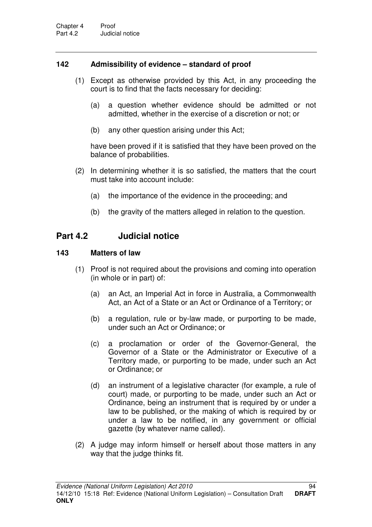## **142 Admissibility of evidence – standard of proof**

- (1) Except as otherwise provided by this Act, in any proceeding the court is to find that the facts necessary for deciding:
	- (a) a question whether evidence should be admitted or not admitted, whether in the exercise of a discretion or not; or
	- (b) any other question arising under this Act;

have been proved if it is satisfied that they have been proved on the balance of probabilities.

- (2) In determining whether it is so satisfied, the matters that the court must take into account include:
	- (a) the importance of the evidence in the proceeding; and
	- (b) the gravity of the matters alleged in relation to the question.

# **Part 4.2 Judicial notice**

## **143 Matters of law**

- (1) Proof is not required about the provisions and coming into operation (in whole or in part) of:
	- (a) an Act, an Imperial Act in force in Australia, a Commonwealth Act, an Act of a State or an Act or Ordinance of a Territory; or
	- (b) a regulation, rule or by-law made, or purporting to be made, under such an Act or Ordinance; or
	- (c) a proclamation or order of the Governor-General, the Governor of a State or the Administrator or Executive of a Territory made, or purporting to be made, under such an Act or Ordinance; or
	- (d) an instrument of a legislative character (for example, a rule of court) made, or purporting to be made, under such an Act or Ordinance, being an instrument that is required by or under a law to be published, or the making of which is required by or under a law to be notified, in any government or official gazette (by whatever name called).
- (2) A judge may inform himself or herself about those matters in any way that the judge thinks fit.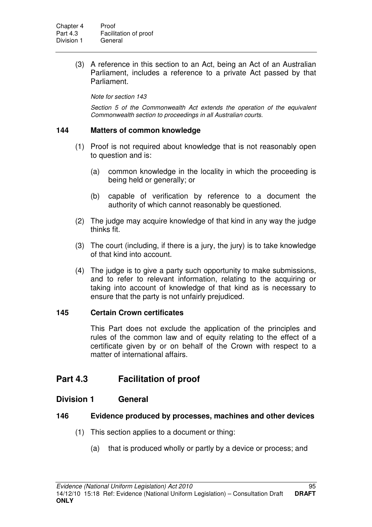(3) A reference in this section to an Act, being an Act of an Australian Parliament, includes a reference to a private Act passed by that Parliament.

Note for section 143

Section 5 of the Commonwealth Act extends the operation of the equivalent Commonwealth section to proceedings in all Australian courts.

## **144 Matters of common knowledge**

- (1) Proof is not required about knowledge that is not reasonably open to question and is:
	- (a) common knowledge in the locality in which the proceeding is being held or generally; or
	- (b) capable of verification by reference to a document the authority of which cannot reasonably be questioned.
- (2) The judge may acquire knowledge of that kind in any way the judge thinks fit.
- (3) The court (including, if there is a jury, the jury) is to take knowledge of that kind into account.
- (4) The judge is to give a party such opportunity to make submissions, and to refer to relevant information, relating to the acquiring or taking into account of knowledge of that kind as is necessary to ensure that the party is not unfairly prejudiced.

## **145 Certain Crown certificates**

This Part does not exclude the application of the principles and rules of the common law and of equity relating to the effect of a certificate given by or on behalf of the Crown with respect to a matter of international affairs.

# **Part 4.3 Facilitation of proof**

## **Division 1 General**

## **146 Evidence produced by processes, machines and other devices**

- (1) This section applies to a document or thing:
	- (a) that is produced wholly or partly by a device or process; and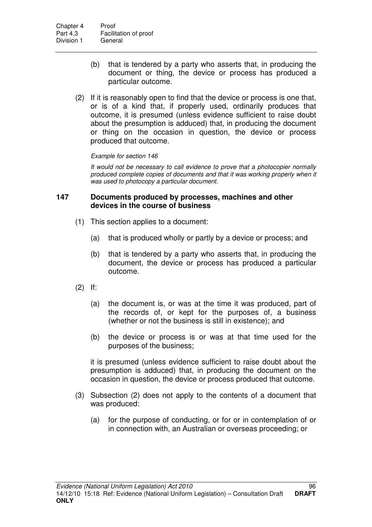- (b) that is tendered by a party who asserts that, in producing the document or thing, the device or process has produced a particular outcome.
- (2) If it is reasonably open to find that the device or process is one that, or is of a kind that, if properly used, ordinarily produces that outcome, it is presumed (unless evidence sufficient to raise doubt about the presumption is adduced) that, in producing the document or thing on the occasion in question, the device or process produced that outcome.

#### Example for section 146

It would not be necessary to call evidence to prove that a photocopier normally produced complete copies of documents and that it was working properly when it was used to photocopy a particular document.

#### **147 Documents produced by processes, machines and other devices in the course of business**

- (1) This section applies to a document:
	- (a) that is produced wholly or partly by a device or process; and
	- (b) that is tendered by a party who asserts that, in producing the document, the device or process has produced a particular outcome.
- (2) If:
	- (a) the document is, or was at the time it was produced, part of the records of, or kept for the purposes of, a business (whether or not the business is still in existence); and
	- (b) the device or process is or was at that time used for the purposes of the business;

it is presumed (unless evidence sufficient to raise doubt about the presumption is adduced) that, in producing the document on the occasion in question, the device or process produced that outcome.

- (3) Subsection (2) does not apply to the contents of a document that was produced:
	- (a) for the purpose of conducting, or for or in contemplation of or in connection with, an Australian or overseas proceeding; or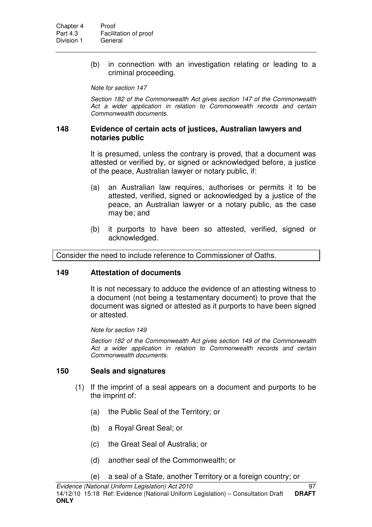(b) in connection with an investigation relating or leading to a criminal proceeding.

Note for section 147

Section 182 of the Commonwealth Act gives section 147 of the Commonwealth Act a wider application in relation to Commonwealth records and certain Commonwealth documents.

## **148 Evidence of certain acts of justices, Australian lawyers and notaries public**

It is presumed, unless the contrary is proved, that a document was attested or verified by, or signed or acknowledged before, a justice of the peace, Australian lawyer or notary public, if:

- (a) an Australian law requires, authorises or permits it to be attested, verified, signed or acknowledged by a justice of the peace, an Australian lawyer or a notary public, as the case may be; and
- (b) it purports to have been so attested, verified, signed or acknowledged.

Consider the need to include reference to Commissioner of Oaths.

### **149 Attestation of documents**

It is not necessary to adduce the evidence of an attesting witness to a document (not being a testamentary document) to prove that the document was signed or attested as it purports to have been signed or attested.

Note for section 149

Section 182 of the Commonwealth Act gives section 149 of the Commonwealth Act a wider application in relation to Commonwealth records and certain Commonwealth documents.

### **150 Seals and signatures**

- (1) If the imprint of a seal appears on a document and purports to be the imprint of:
	- (a) the Public Seal of the Territory; or
	- (b) a Royal Great Seal; or
	- (c) the Great Seal of Australia; or
	- (d) another seal of the Commonwealth; or
	- (e) a seal of a State, another Territory or a foreign country; or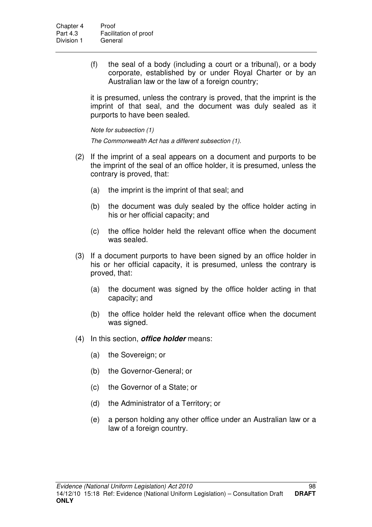(f) the seal of a body (including a court or a tribunal), or a body corporate, established by or under Royal Charter or by an Australian law or the law of a foreign country;

it is presumed, unless the contrary is proved, that the imprint is the imprint of that seal, and the document was duly sealed as it purports to have been sealed.

Note for subsection (1)

The Commonwealth Act has a different subsection (1).

- (2) If the imprint of a seal appears on a document and purports to be the imprint of the seal of an office holder, it is presumed, unless the contrary is proved, that:
	- (a) the imprint is the imprint of that seal; and
	- (b) the document was duly sealed by the office holder acting in his or her official capacity; and
	- (c) the office holder held the relevant office when the document was sealed.
- (3) If a document purports to have been signed by an office holder in his or her official capacity, it is presumed, unless the contrary is proved, that:
	- (a) the document was signed by the office holder acting in that capacity; and
	- (b) the office holder held the relevant office when the document was signed.
- (4) In this section, **office holder** means:
	- (a) the Sovereign; or
	- (b) the Governor-General; or
	- (c) the Governor of a State; or
	- (d) the Administrator of a Territory; or
	- (e) a person holding any other office under an Australian law or a law of a foreign country.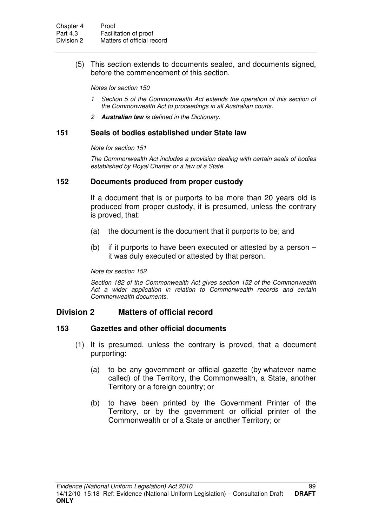(5) This section extends to documents sealed, and documents signed, before the commencement of this section.

Notes for section 150

- 1 Section 5 of the Commonwealth Act extends the operation of this section of the Commonwealth Act to proceedings in all Australian courts.
- 2 **Australian law** is defined in the Dictionary.

#### **151 Seals of bodies established under State law**

Note for section 151

The Commonwealth Act includes a provision dealing with certain seals of bodies established by Royal Charter or a law of a State.

### **152 Documents produced from proper custody**

If a document that is or purports to be more than 20 years old is produced from proper custody, it is presumed, unless the contrary is proved, that:

- (a) the document is the document that it purports to be; and
- (b) if it purports to have been executed or attested by a person it was duly executed or attested by that person.

#### Note for section 152

Section 182 of the Commonwealth Act gives section 152 of the Commonwealth Act a wider application in relation to Commonwealth records and certain Commonwealth documents.

### **Division 2 Matters of official record**

### **153 Gazettes and other official documents**

- (1) It is presumed, unless the contrary is proved, that a document purporting:
	- (a) to be any government or official gazette (by whatever name called) of the Territory, the Commonwealth, a State, another Territory or a foreign country; or
	- (b) to have been printed by the Government Printer of the Territory, or by the government or official printer of the Commonwealth or of a State or another Territory; or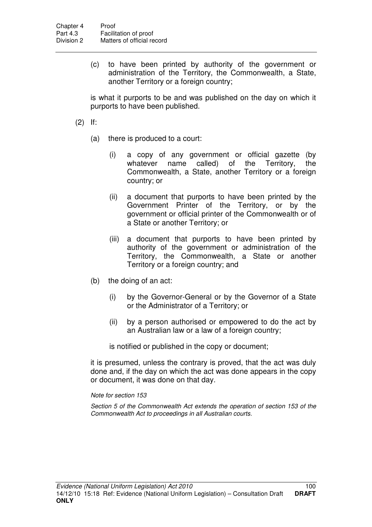(c) to have been printed by authority of the government or administration of the Territory, the Commonwealth, a State, another Territory or a foreign country;

is what it purports to be and was published on the day on which it purports to have been published.

(2) If:

- (a) there is produced to a court:
	- (i) a copy of any government or official gazette (by whatever name called) of the Territory, the Commonwealth, a State, another Territory or a foreign country; or
	- (ii) a document that purports to have been printed by the Government Printer of the Territory, or by the government or official printer of the Commonwealth or of a State or another Territory; or
	- (iii) a document that purports to have been printed by authority of the government or administration of the Territory, the Commonwealth, a State or another Territory or a foreign country; and
- (b) the doing of an act:
	- (i) by the Governor-General or by the Governor of a State or the Administrator of a Territory; or
	- (ii) by a person authorised or empowered to do the act by an Australian law or a law of a foreign country;

is notified or published in the copy or document;

it is presumed, unless the contrary is proved, that the act was duly done and, if the day on which the act was done appears in the copy or document, it was done on that day.

Note for section 153

Section 5 of the Commonwealth Act extends the operation of section 153 of the Commonwealth Act to proceedings in all Australian courts.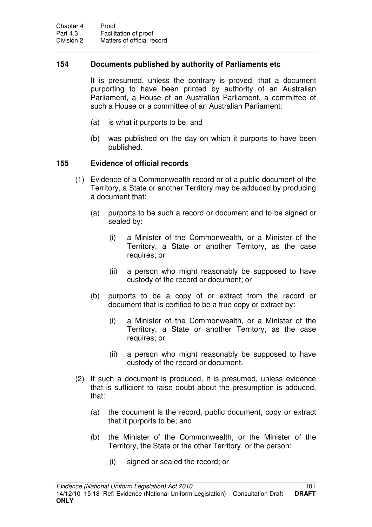### **154 Documents published by authority of Parliaments etc**

It is presumed, unless the contrary is proved, that a document purporting to have been printed by authority of an Australian Parliament, a House of an Australian Parliament, a committee of such a House or a committee of an Australian Parliament:

- (a) is what it purports to be; and
- (b) was published on the day on which it purports to have been published.

### **155 Evidence of official records**

- (1) Evidence of a Commonwealth record or of a public document of the Territory, a State or another Territory may be adduced by producing a document that:
	- (a) purports to be such a record or document and to be signed or sealed by:
		- (i) a Minister of the Commonwealth, or a Minister of the Territory, a State or another Territory, as the case requires; or
		- (ii) a person who might reasonably be supposed to have custody of the record or document; or
	- (b) purports to be a copy of or extract from the record or document that is certified to be a true copy or extract by:
		- (i) a Minister of the Commonwealth, or a Minister of the Territory, a State or another Territory, as the case requires; or
		- (ii) a person who might reasonably be supposed to have custody of the record or document.
- (2) If such a document is produced, it is presumed, unless evidence that is sufficient to raise doubt about the presumption is adduced, that:
	- (a) the document is the record, public document, copy or extract that it purports to be; and
	- (b) the Minister of the Commonwealth, or the Minister of the Territory, the State or the other Territory, or the person:
		- (i) signed or sealed the record; or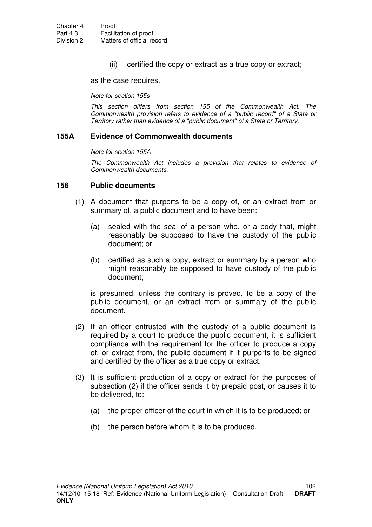(ii) certified the copy or extract as a true copy or extract;

as the case requires.

Note for section 155s

This section differs from section 155 of the Commonwealth Act. The Commonwealth provision refers to evidence of a "public record" of a State or Territory rather than evidence of a "public document" of a State or Territory.

#### **155A Evidence of Commonwealth documents**

#### Note for section 155A

The Commonwealth Act includes a provision that relates to evidence of Commonwealth documents.

#### **156 Public documents**

- (1) A document that purports to be a copy of, or an extract from or summary of, a public document and to have been:
	- (a) sealed with the seal of a person who, or a body that, might reasonably be supposed to have the custody of the public document; or
	- (b) certified as such a copy, extract or summary by a person who might reasonably be supposed to have custody of the public document;

is presumed, unless the contrary is proved, to be a copy of the public document, or an extract from or summary of the public document.

- (2) If an officer entrusted with the custody of a public document is required by a court to produce the public document, it is sufficient compliance with the requirement for the officer to produce a copy of, or extract from, the public document if it purports to be signed and certified by the officer as a true copy or extract.
- (3) It is sufficient production of a copy or extract for the purposes of subsection (2) if the officer sends it by prepaid post, or causes it to be delivered, to:
	- (a) the proper officer of the court in which it is to be produced; or
	- (b) the person before whom it is to be produced.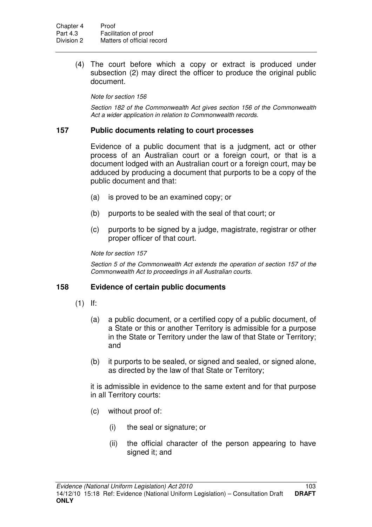(4) The court before which a copy or extract is produced under subsection (2) may direct the officer to produce the original public document.

Note for section 156

Section 182 of the Commonwealth Act gives section 156 of the Commonwealth Act a wider application in relation to Commonwealth records.

### **157 Public documents relating to court processes**

Evidence of a public document that is a judgment, act or other process of an Australian court or a foreign court, or that is a document lodged with an Australian court or a foreign court, may be adduced by producing a document that purports to be a copy of the public document and that:

- (a) is proved to be an examined copy; or
- (b) purports to be sealed with the seal of that court; or
- (c) purports to be signed by a judge, magistrate, registrar or other proper officer of that court.

#### Note for section 157

Section 5 of the Commonwealth Act extends the operation of section 157 of the Commonwealth Act to proceedings in all Australian courts.

### **158 Evidence of certain public documents**

- (1) If:
	- (a) a public document, or a certified copy of a public document, of a State or this or another Territory is admissible for a purpose in the State or Territory under the law of that State or Territory; and
	- (b) it purports to be sealed, or signed and sealed, or signed alone, as directed by the law of that State or Territory;

it is admissible in evidence to the same extent and for that purpose in all Territory courts:

- (c) without proof of:
	- (i) the seal or signature; or
	- (ii) the official character of the person appearing to have signed it; and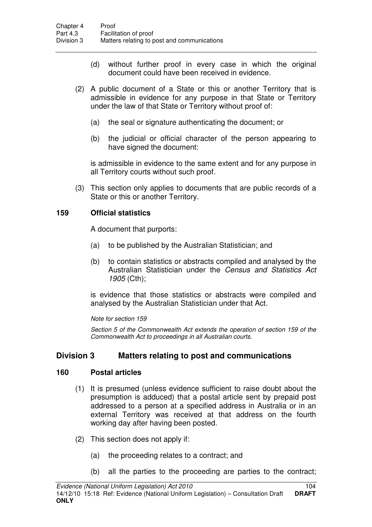- (d) without further proof in every case in which the original document could have been received in evidence.
- (2) A public document of a State or this or another Territory that is admissible in evidence for any purpose in that State or Territory under the law of that State or Territory without proof of:
	- (a) the seal or signature authenticating the document; or
	- (b) the judicial or official character of the person appearing to have signed the document:

is admissible in evidence to the same extent and for any purpose in all Territory courts without such proof.

 (3) This section only applies to documents that are public records of a State or this or another Territory.

### **159 Official statistics**

A document that purports:

- (a) to be published by the Australian Statistician; and
- (b) to contain statistics or abstracts compiled and analysed by the Australian Statistician under the Census and Statistics Act 1905 (Cth);

is evidence that those statistics or abstracts were compiled and analysed by the Australian Statistician under that Act.

Note for section 159

Section 5 of the Commonwealth Act extends the operation of section 159 of the Commonwealth Act to proceedings in all Australian courts.

## **Division 3 Matters relating to post and communications**

### **160 Postal articles**

- (1) It is presumed (unless evidence sufficient to raise doubt about the presumption is adduced) that a postal article sent by prepaid post addressed to a person at a specified address in Australia or in an external Territory was received at that address on the fourth working day after having been posted.
- (2) This section does not apply if:
	- (a) the proceeding relates to a contract; and
	- (b) all the parties to the proceeding are parties to the contract;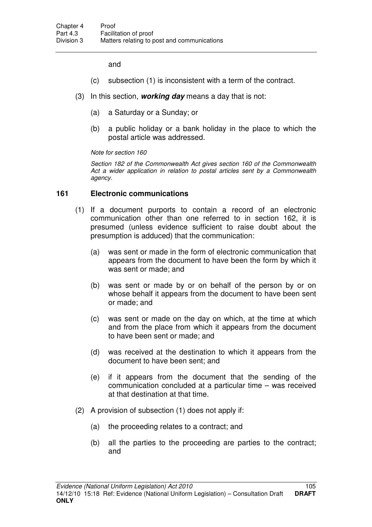and

- (c) subsection (1) is inconsistent with a term of the contract.
- (3) In this section, **working day** means a day that is not:
	- (a) a Saturday or a Sunday; or
	- (b) a public holiday or a bank holiday in the place to which the postal article was addressed.

#### Note for section 160

Section 182 of the Commonwealth Act gives section 160 of the Commonwealth Act a wider application in relation to postal articles sent by a Commonwealth agency.

### **161 Electronic communications**

- (1) If a document purports to contain a record of an electronic communication other than one referred to in section 162, it is presumed (unless evidence sufficient to raise doubt about the presumption is adduced) that the communication:
	- (a) was sent or made in the form of electronic communication that appears from the document to have been the form by which it was sent or made; and
	- (b) was sent or made by or on behalf of the person by or on whose behalf it appears from the document to have been sent or made; and
	- (c) was sent or made on the day on which, at the time at which and from the place from which it appears from the document to have been sent or made; and
	- (d) was received at the destination to which it appears from the document to have been sent; and
	- (e) if it appears from the document that the sending of the communication concluded at a particular time – was received at that destination at that time.
- (2) A provision of subsection (1) does not apply if:
	- (a) the proceeding relates to a contract; and
	- (b) all the parties to the proceeding are parties to the contract; and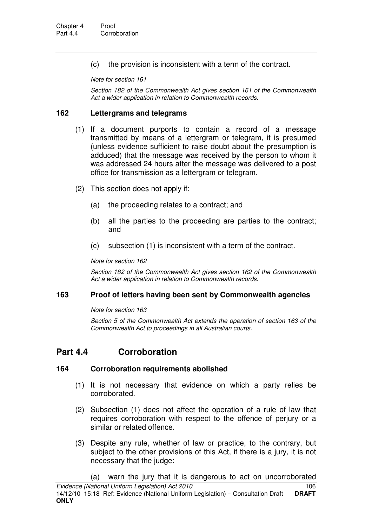(c) the provision is inconsistent with a term of the contract.

Note for section 161

Section 182 of the Commonwealth Act gives section 161 of the Commonwealth Act a wider application in relation to Commonwealth records.

#### **162 Lettergrams and telegrams**

- (1) If a document purports to contain a record of a message transmitted by means of a lettergram or telegram, it is presumed (unless evidence sufficient to raise doubt about the presumption is adduced) that the message was received by the person to whom it was addressed 24 hours after the message was delivered to a post office for transmission as a lettergram or telegram.
- (2) This section does not apply if:
	- (a) the proceeding relates to a contract; and
	- (b) all the parties to the proceeding are parties to the contract; and
	- (c) subsection (1) is inconsistent with a term of the contract.

Note for section 162

Section 182 of the Commonwealth Act gives section 162 of the Commonwealth Act a wider application in relation to Commonwealth records.

### **163 Proof of letters having been sent by Commonwealth agencies**

Note for section 163

Section 5 of the Commonwealth Act extends the operation of section 163 of the Commonwealth Act to proceedings in all Australian courts.

# **Part 4.4 Corroboration**

### **164 Corroboration requirements abolished**

- (1) It is not necessary that evidence on which a party relies be corroborated.
- (2) Subsection (1) does not affect the operation of a rule of law that requires corroboration with respect to the offence of perjury or a similar or related offence.
- (3) Despite any rule, whether of law or practice, to the contrary, but subject to the other provisions of this Act, if there is a jury, it is not necessary that the judge:

(a) warn the jury that it is dangerous to act on uncorroborated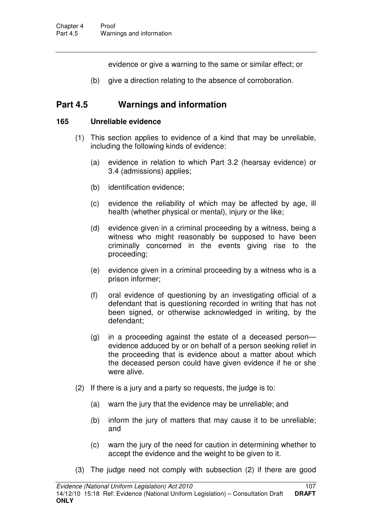evidence or give a warning to the same or similar effect; or

(b) give a direction relating to the absence of corroboration.

# **Part 4.5 Warnings and information**

### **165 Unreliable evidence**

- (1) This section applies to evidence of a kind that may be unreliable, including the following kinds of evidence:
	- (a) evidence in relation to which Part 3.2 (hearsay evidence) or 3.4 (admissions) applies;
	- (b) identification evidence;
	- (c) evidence the reliability of which may be affected by age, ill health (whether physical or mental), injury or the like;
	- (d) evidence given in a criminal proceeding by a witness, being a witness who might reasonably be supposed to have been criminally concerned in the events giving rise to the proceeding;
	- (e) evidence given in a criminal proceeding by a witness who is a prison informer;
	- (f) oral evidence of questioning by an investigating official of a defendant that is questioning recorded in writing that has not been signed, or otherwise acknowledged in writing, by the defendant;
	- (g) in a proceeding against the estate of a deceased person evidence adduced by or on behalf of a person seeking relief in the proceeding that is evidence about a matter about which the deceased person could have given evidence if he or she were alive.
- (2) If there is a jury and a party so requests, the judge is to:
	- (a) warn the jury that the evidence may be unreliable; and
	- (b) inform the jury of matters that may cause it to be unreliable; and
	- (c) warn the jury of the need for caution in determining whether to accept the evidence and the weight to be given to it.
- (3) The judge need not comply with subsection (2) if there are good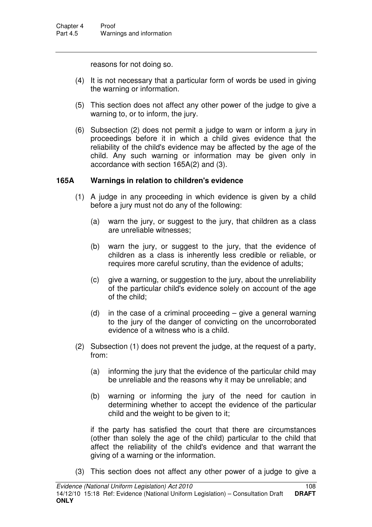reasons for not doing so.

- (4) It is not necessary that a particular form of words be used in giving the warning or information.
- (5) This section does not affect any other power of the judge to give a warning to, or to inform, the jury.
- (6) Subsection (2) does not permit a judge to warn or inform a jury in proceedings before it in which a child gives evidence that the reliability of the child's evidence may be affected by the age of the child. Any such warning or information may be given only in accordance with section 165A(2) and (3).

### **165A Warnings in relation to children's evidence**

- (1) A judge in any proceeding in which evidence is given by a child before a jury must not do any of the following:
	- (a) warn the jury, or suggest to the jury, that children as a class are unreliable witnesses;
	- (b) warn the jury, or suggest to the jury, that the evidence of children as a class is inherently less credible or reliable, or requires more careful scrutiny, than the evidence of adults;
	- (c) give a warning, or suggestion to the jury, about the unreliability of the particular child's evidence solely on account of the age of the child;
	- (d) in the case of a criminal proceeding give a general warning to the jury of the danger of convicting on the uncorroborated evidence of a witness who is a child.
- (2) Subsection (1) does not prevent the judge, at the request of a party, from:
	- (a) informing the jury that the evidence of the particular child may be unreliable and the reasons why it may be unreliable; and
	- (b) warning or informing the jury of the need for caution in determining whether to accept the evidence of the particular child and the weight to be given to it;

if the party has satisfied the court that there are circumstances (other than solely the age of the child) particular to the child that affect the reliability of the child's evidence and that warrant the giving of a warning or the information.

(3) This section does not affect any other power of a judge to give a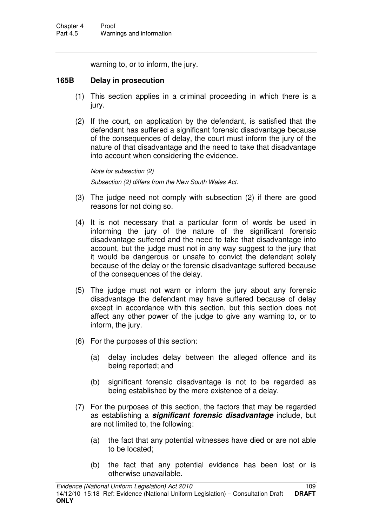warning to, or to inform, the jury.

### **165B Delay in prosecution**

- (1) This section applies in a criminal proceeding in which there is a jury.
- (2) If the court, on application by the defendant, is satisfied that the defendant has suffered a significant forensic disadvantage because of the consequences of delay, the court must inform the jury of the nature of that disadvantage and the need to take that disadvantage into account when considering the evidence.

Note for subsection (2) Subsection (2) differs from the New South Wales Act.

- (3) The judge need not comply with subsection (2) if there are good reasons for not doing so.
- (4) It is not necessary that a particular form of words be used in informing the jury of the nature of the significant forensic disadvantage suffered and the need to take that disadvantage into account, but the judge must not in any way suggest to the jury that it would be dangerous or unsafe to convict the defendant solely because of the delay or the forensic disadvantage suffered because of the consequences of the delay.
- (5) The judge must not warn or inform the jury about any forensic disadvantage the defendant may have suffered because of delay except in accordance with this section, but this section does not affect any other power of the judge to give any warning to, or to inform, the jury.
- (6) For the purposes of this section:
	- (a) delay includes delay between the alleged offence and its being reported; and
	- (b) significant forensic disadvantage is not to be regarded as being established by the mere existence of a delay.
- (7) For the purposes of this section, the factors that may be regarded as establishing a **significant forensic disadvantage** include, but are not limited to, the following:
	- (a) the fact that any potential witnesses have died or are not able to be located;
	- (b) the fact that any potential evidence has been lost or is otherwise unavailable.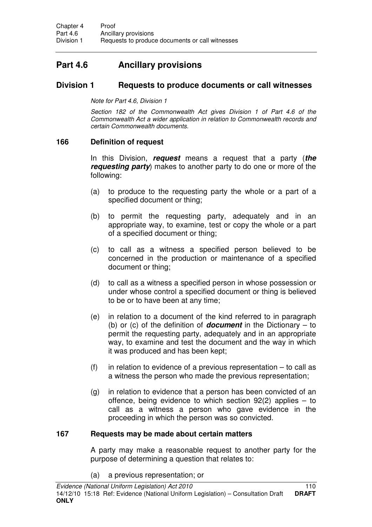# **Part 4.6 Ancillary provisions**

### **Division 1 Requests to produce documents or call witnesses**

Note for Part 4.6, Division 1

Section 182 of the Commonwealth Act gives Division 1 of Part 4.6 of the Commonwealth Act a wider application in relation to Commonwealth records and certain Commonwealth documents.

### **166 Definition of request**

In this Division, **request** means a request that a party (**the requesting party**) makes to another party to do one or more of the following:

- (a) to produce to the requesting party the whole or a part of a specified document or thing;
- (b) to permit the requesting party, adequately and in an appropriate way, to examine, test or copy the whole or a part of a specified document or thing;
- (c) to call as a witness a specified person believed to be concerned in the production or maintenance of a specified document or thing;
- (d) to call as a witness a specified person in whose possession or under whose control a specified document or thing is believed to be or to have been at any time;
- (e) in relation to a document of the kind referred to in paragraph (b) or (c) of the definition of **document** in the Dictionary – to permit the requesting party, adequately and in an appropriate way, to examine and test the document and the way in which it was produced and has been kept;
- $(f)$  in relation to evidence of a previous representation to call as a witness the person who made the previous representation;
- (g) in relation to evidence that a person has been convicted of an offence, being evidence to which section 92(2) applies – to call as a witness a person who gave evidence in the proceeding in which the person was so convicted.

### **167 Requests may be made about certain matters**

A party may make a reasonable request to another party for the purpose of determining a question that relates to:

(a) a previous representation; or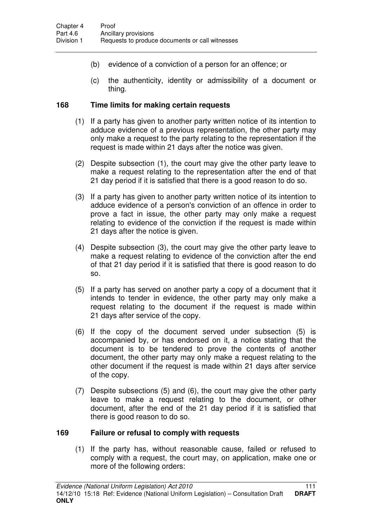- (b) evidence of a conviction of a person for an offence; or
- (c) the authenticity, identity or admissibility of a document or thing.

### **168 Time limits for making certain requests**

- (1) If a party has given to another party written notice of its intention to adduce evidence of a previous representation, the other party may only make a request to the party relating to the representation if the request is made within 21 days after the notice was given.
- (2) Despite subsection (1), the court may give the other party leave to make a request relating to the representation after the end of that 21 day period if it is satisfied that there is a good reason to do so.
- (3) If a party has given to another party written notice of its intention to adduce evidence of a person's conviction of an offence in order to prove a fact in issue, the other party may only make a request relating to evidence of the conviction if the request is made within 21 days after the notice is given.
- (4) Despite subsection (3), the court may give the other party leave to make a request relating to evidence of the conviction after the end of that 21 day period if it is satisfied that there is good reason to do so.
- (5) If a party has served on another party a copy of a document that it intends to tender in evidence, the other party may only make a request relating to the document if the request is made within 21 days after service of the copy.
- (6) If the copy of the document served under subsection (5) is accompanied by, or has endorsed on it, a notice stating that the document is to be tendered to prove the contents of another document, the other party may only make a request relating to the other document if the request is made within 21 days after service of the copy.
- (7) Despite subsections (5) and (6), the court may give the other party leave to make a request relating to the document, or other document, after the end of the 21 day period if it is satisfied that there is good reason to do so.

### **169 Failure or refusal to comply with requests**

 (1) If the party has, without reasonable cause, failed or refused to comply with a request, the court may, on application, make one or more of the following orders: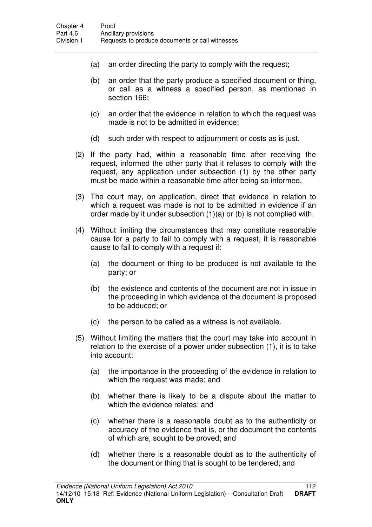- (a) an order directing the party to comply with the request;
- (b) an order that the party produce a specified document or thing, or call as a witness a specified person, as mentioned in section 166;
- (c) an order that the evidence in relation to which the request was made is not to be admitted in evidence;
- (d) such order with respect to adjournment or costs as is just.
- (2) If the party had, within a reasonable time after receiving the request, informed the other party that it refuses to comply with the request, any application under subsection (1) by the other party must be made within a reasonable time after being so informed.
- (3) The court may, on application, direct that evidence in relation to which a request was made is not to be admitted in evidence if an order made by it under subsection (1)(a) or (b) is not complied with.
- (4) Without limiting the circumstances that may constitute reasonable cause for a party to fail to comply with a request, it is reasonable cause to fail to comply with a request if:
	- (a) the document or thing to be produced is not available to the party; or
	- (b) the existence and contents of the document are not in issue in the proceeding in which evidence of the document is proposed to be adduced; or
	- (c) the person to be called as a witness is not available.
- (5) Without limiting the matters that the court may take into account in relation to the exercise of a power under subsection (1), it is to take into account:
	- (a) the importance in the proceeding of the evidence in relation to which the request was made; and
	- (b) whether there is likely to be a dispute about the matter to which the evidence relates; and
	- (c) whether there is a reasonable doubt as to the authenticity or accuracy of the evidence that is, or the document the contents of which are, sought to be proved; and
	- (d) whether there is a reasonable doubt as to the authenticity of the document or thing that is sought to be tendered; and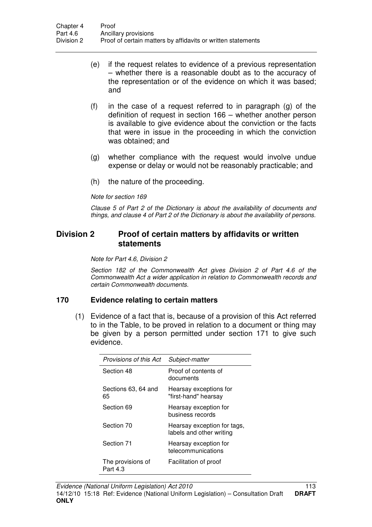- (e) if the request relates to evidence of a previous representation – whether there is a reasonable doubt as to the accuracy of the representation or of the evidence on which it was based; and
- (f) in the case of a request referred to in paragraph (g) of the definition of request in section 166 – whether another person is available to give evidence about the conviction or the facts that were in issue in the proceeding in which the conviction was obtained; and
- (g) whether compliance with the request would involve undue expense or delay or would not be reasonably practicable; and
- (h) the nature of the proceeding.

#### Note for section 169

Clause 5 of Part 2 of the Dictionary is about the availability of documents and things, and clause 4 of Part 2 of the Dictionary is about the availability of persons.

### **Division 2 Proof of certain matters by affidavits or written statements**

#### Note for Part 4.6, Division 2

Section 182 of the Commonwealth Act gives Division 2 of Part 4.6 of the Commonwealth Act a wider application in relation to Commonwealth records and certain Commonwealth documents.

### **170 Evidence relating to certain matters**

 (1) Evidence of a fact that is, because of a provision of this Act referred to in the Table, to be proved in relation to a document or thing may be given by a person permitted under section 171 to give such evidence.

| Provisions of this Act        | Subject-matter                                          |
|-------------------------------|---------------------------------------------------------|
| Section 48                    | Proof of contents of<br>documents                       |
| Sections 63, 64 and<br>65     | Hearsay exceptions for<br>"first-hand" hearsay          |
| Section 69                    | Hearsay exception for<br>business records               |
| Section 70                    | Hearsay exception for tags,<br>labels and other writing |
| Section 71                    | Hearsay exception for<br>telecommunications             |
| The provisions of<br>Part 4.3 | Facilitation of proof                                   |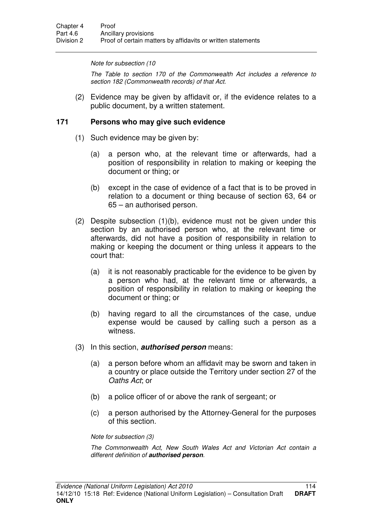Note for subsection (10

The Table to section 170 of the Commonwealth Act includes a reference to section 182 (Commonwealth records) of that Act.

 (2) Evidence may be given by affidavit or, if the evidence relates to a public document, by a written statement.

### **171 Persons who may give such evidence**

- (1) Such evidence may be given by:
	- (a) a person who, at the relevant time or afterwards, had a position of responsibility in relation to making or keeping the document or thing; or
	- (b) except in the case of evidence of a fact that is to be proved in relation to a document or thing because of section 63, 64 or 65 – an authorised person.
- (2) Despite subsection (1)(b), evidence must not be given under this section by an authorised person who, at the relevant time or afterwards, did not have a position of responsibility in relation to making or keeping the document or thing unless it appears to the court that:
	- (a) it is not reasonably practicable for the evidence to be given by a person who had, at the relevant time or afterwards, a position of responsibility in relation to making or keeping the document or thing; or
	- (b) having regard to all the circumstances of the case, undue expense would be caused by calling such a person as a witness.
- (3) In this section, **authorised person** means:
	- (a) a person before whom an affidavit may be sworn and taken in a country or place outside the Territory under section 27 of the Oaths Act; or
	- (b) a police officer of or above the rank of sergeant; or
	- (c) a person authorised by the Attorney-General for the purposes of this section.

Note for subsection (3)

The Commonwealth Act, New South Wales Act and Victorian Act contain a different definition of **authorised person**.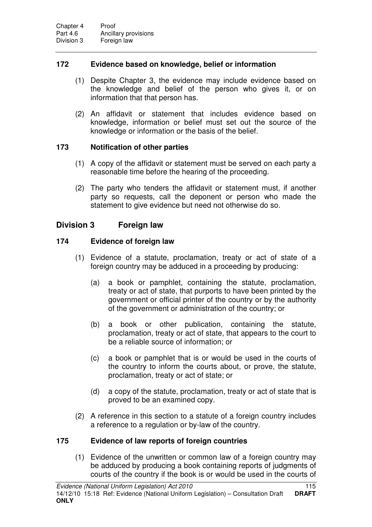### **172 Evidence based on knowledge, belief or information**

- (1) Despite Chapter 3, the evidence may include evidence based on the knowledge and belief of the person who gives it, or on information that that person has.
- (2) An affidavit or statement that includes evidence based on knowledge, information or belief must set out the source of the knowledge or information or the basis of the belief.

### **173 Notification of other parties**

- (1) A copy of the affidavit or statement must be served on each party a reasonable time before the hearing of the proceeding.
- (2) The party who tenders the affidavit or statement must, if another party so requests, call the deponent or person who made the statement to give evidence but need not otherwise do so.

# **Division 3 Foreign law**

### **174 Evidence of foreign law**

- (1) Evidence of a statute, proclamation, treaty or act of state of a foreign country may be adduced in a proceeding by producing:
	- (a) a book or pamphlet, containing the statute, proclamation, treaty or act of state, that purports to have been printed by the government or official printer of the country or by the authority of the government or administration of the country; or
	- (b) a book or other publication, containing the statute, proclamation, treaty or act of state, that appears to the court to be a reliable source of information; or
	- (c) a book or pamphlet that is or would be used in the courts of the country to inform the courts about, or prove, the statute, proclamation, treaty or act of state; or
	- (d) a copy of the statute, proclamation, treaty or act of state that is proved to be an examined copy.
- (2) A reference in this section to a statute of a foreign country includes a reference to a regulation or by-law of the country.

### **175 Evidence of law reports of foreign countries**

 (1) Evidence of the unwritten or common law of a foreign country may be adduced by producing a book containing reports of judgments of courts of the country if the book is or would be used in the courts of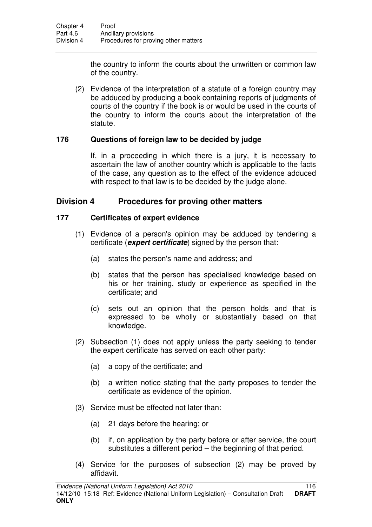the country to inform the courts about the unwritten or common law of the country.

 (2) Evidence of the interpretation of a statute of a foreign country may be adduced by producing a book containing reports of judgments of courts of the country if the book is or would be used in the courts of the country to inform the courts about the interpretation of the statute.

### **176 Questions of foreign law to be decided by judge**

If, in a proceeding in which there is a jury, it is necessary to ascertain the law of another country which is applicable to the facts of the case, any question as to the effect of the evidence adduced with respect to that law is to be decided by the judge alone.

## **Division 4 Procedures for proving other matters**

### **177 Certificates of expert evidence**

- (1) Evidence of a person's opinion may be adduced by tendering a certificate (**expert certificate**) signed by the person that:
	- (a) states the person's name and address; and
	- (b) states that the person has specialised knowledge based on his or her training, study or experience as specified in the certificate; and
	- (c) sets out an opinion that the person holds and that is expressed to be wholly or substantially based on that knowledge.
- (2) Subsection (1) does not apply unless the party seeking to tender the expert certificate has served on each other party:
	- (a) a copy of the certificate; and
	- (b) a written notice stating that the party proposes to tender the certificate as evidence of the opinion.
- (3) Service must be effected not later than:
	- (a) 21 days before the hearing; or
	- (b) if, on application by the party before or after service, the court substitutes a different period – the beginning of that period.
- (4) Service for the purposes of subsection (2) may be proved by affidavit.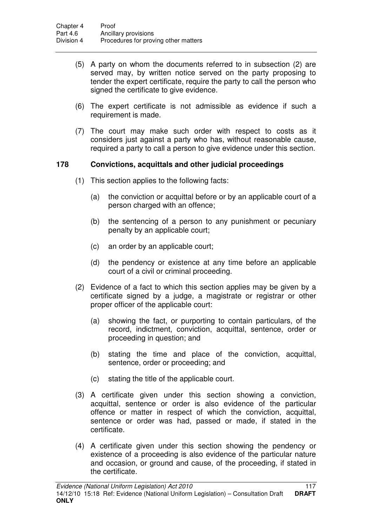- (5) A party on whom the documents referred to in subsection (2) are served may, by written notice served on the party proposing to tender the expert certificate, require the party to call the person who signed the certificate to give evidence.
- (6) The expert certificate is not admissible as evidence if such a requirement is made.
- (7) The court may make such order with respect to costs as it considers just against a party who has, without reasonable cause, required a party to call a person to give evidence under this section.

### **178 Convictions, acquittals and other judicial proceedings**

- (1) This section applies to the following facts:
	- (a) the conviction or acquittal before or by an applicable court of a person charged with an offence;
	- (b) the sentencing of a person to any punishment or pecuniary penalty by an applicable court;
	- (c) an order by an applicable court;
	- (d) the pendency or existence at any time before an applicable court of a civil or criminal proceeding.
- (2) Evidence of a fact to which this section applies may be given by a certificate signed by a judge, a magistrate or registrar or other proper officer of the applicable court:
	- (a) showing the fact, or purporting to contain particulars, of the record, indictment, conviction, acquittal, sentence, order or proceeding in question; and
	- (b) stating the time and place of the conviction, acquittal, sentence, order or proceeding; and
	- (c) stating the title of the applicable court.
- (3) A certificate given under this section showing a conviction, acquittal, sentence or order is also evidence of the particular offence or matter in respect of which the conviction, acquittal, sentence or order was had, passed or made, if stated in the certificate.
- (4) A certificate given under this section showing the pendency or existence of a proceeding is also evidence of the particular nature and occasion, or ground and cause, of the proceeding, if stated in the certificate.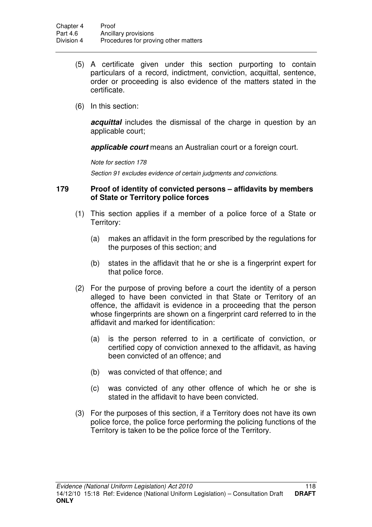- (5) A certificate given under this section purporting to contain particulars of a record, indictment, conviction, acquittal, sentence, order or proceeding is also evidence of the matters stated in the certificate.
- (6) In this section:

**acquittal** includes the dismissal of the charge in question by an applicable court;

**applicable court** means an Australian court or a foreign court.

Note for section 178

Section 91 excludes evidence of certain judgments and convictions.

### **179 Proof of identity of convicted persons – affidavits by members of State or Territory police forces**

- (1) This section applies if a member of a police force of a State or Territory:
	- (a) makes an affidavit in the form prescribed by the regulations for the purposes of this section; and
	- (b) states in the affidavit that he or she is a fingerprint expert for that police force.
- (2) For the purpose of proving before a court the identity of a person alleged to have been convicted in that State or Territory of an offence, the affidavit is evidence in a proceeding that the person whose fingerprints are shown on a fingerprint card referred to in the affidavit and marked for identification:
	- (a) is the person referred to in a certificate of conviction, or certified copy of conviction annexed to the affidavit, as having been convicted of an offence; and
	- (b) was convicted of that offence; and
	- (c) was convicted of any other offence of which he or she is stated in the affidavit to have been convicted.
- (3) For the purposes of this section, if a Territory does not have its own police force, the police force performing the policing functions of the Territory is taken to be the police force of the Territory.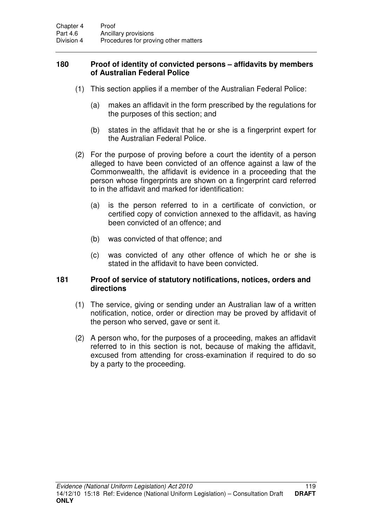### **180 Proof of identity of convicted persons – affidavits by members of Australian Federal Police**

- (1) This section applies if a member of the Australian Federal Police:
	- (a) makes an affidavit in the form prescribed by the regulations for the purposes of this section; and
	- (b) states in the affidavit that he or she is a fingerprint expert for the Australian Federal Police.
- (2) For the purpose of proving before a court the identity of a person alleged to have been convicted of an offence against a law of the Commonwealth, the affidavit is evidence in a proceeding that the person whose fingerprints are shown on a fingerprint card referred to in the affidavit and marked for identification:
	- (a) is the person referred to in a certificate of conviction, or certified copy of conviction annexed to the affidavit, as having been convicted of an offence; and
	- (b) was convicted of that offence; and
	- (c) was convicted of any other offence of which he or she is stated in the affidavit to have been convicted.

### **181 Proof of service of statutory notifications, notices, orders and directions**

- (1) The service, giving or sending under an Australian law of a written notification, notice, order or direction may be proved by affidavit of the person who served, gave or sent it.
- (2) A person who, for the purposes of a proceeding, makes an affidavit referred to in this section is not, because of making the affidavit, excused from attending for cross-examination if required to do so by a party to the proceeding.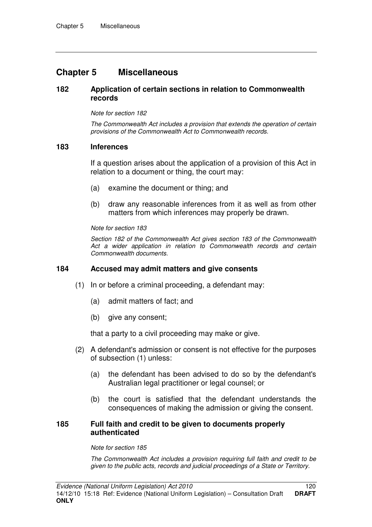# **Chapter 5 Miscellaneous**

#### **182 Application of certain sections in relation to Commonwealth records**

Note for section 182

The Commonwealth Act includes a provision that extends the operation of certain provisions of the Commonwealth Act to Commonwealth records.

### **183 Inferences**

If a question arises about the application of a provision of this Act in relation to a document or thing, the court may:

- (a) examine the document or thing; and
- (b) draw any reasonable inferences from it as well as from other matters from which inferences may properly be drawn.

#### Note for section 183

Section 182 of the Commonwealth Act gives section 183 of the Commonwealth Act a wider application in relation to Commonwealth records and certain Commonwealth documents.

### **184 Accused may admit matters and give consents**

- (1) In or before a criminal proceeding, a defendant may:
	- (a) admit matters of fact; and
	- (b) give any consent;

that a party to a civil proceeding may make or give.

- (2) A defendant's admission or consent is not effective for the purposes of subsection (1) unless:
	- (a) the defendant has been advised to do so by the defendant's Australian legal practitioner or legal counsel; or
	- (b) the court is satisfied that the defendant understands the consequences of making the admission or giving the consent.

### **185 Full faith and credit to be given to documents properly authenticated**

#### Note for section 185

The Commonwealth Act includes a provision requiring full faith and credit to be given to the public acts, records and judicial proceedings of a State or Territory.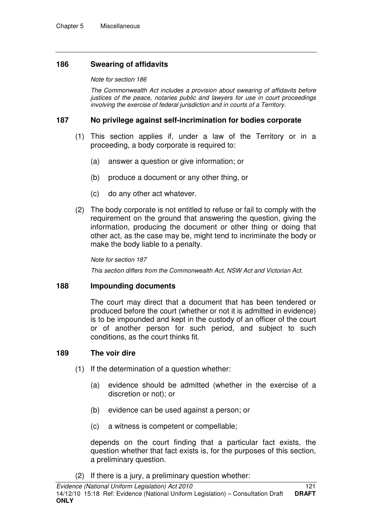### **186 Swearing of affidavits**

#### Note for section 186

The Commonwealth Act includes a provision about swearing of affidavits before justices of the peace, notaries public and lawyers for use in court proceedings involving the exercise of federal jurisdiction and in courts of a Territory.

### **187 No privilege against self-incrimination for bodies corporate**

- (1) This section applies if, under a law of the Territory or in a proceeding, a body corporate is required to:
	- (a) answer a question or give information; or
	- (b) produce a document or any other thing, or
	- (c) do any other act whatever.
- (2) The body corporate is not entitled to refuse or fail to comply with the requirement on the ground that answering the question, giving the information, producing the document or other thing or doing that other act, as the case may be, might tend to incriminate the body or make the body liable to a penalty.

Note for section 187

This section differs from the Commonwealth Act, NSW Act and Victorian Act.

### **188 Impounding documents**

The court may direct that a document that has been tendered or produced before the court (whether or not it is admitted in evidence) is to be impounded and kept in the custody of an officer of the court or of another person for such period, and subject to such conditions, as the court thinks fit.

### **189 The voir dire**

- (1) If the determination of a question whether:
	- (a) evidence should be admitted (whether in the exercise of a discretion or not); or
	- (b) evidence can be used against a person; or
	- (c) a witness is competent or compellable;

depends on the court finding that a particular fact exists, the question whether that fact exists is, for the purposes of this section, a preliminary question.

(2) If there is a jury, a preliminary question whether: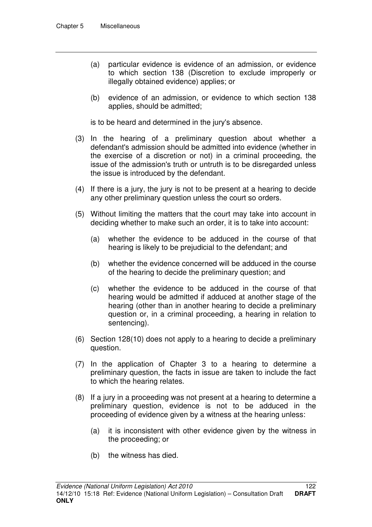- (a) particular evidence is evidence of an admission, or evidence to which section 138 (Discretion to exclude improperly or illegally obtained evidence) applies; or
- (b) evidence of an admission, or evidence to which section 138 applies, should be admitted;

is to be heard and determined in the jury's absence.

- (3) In the hearing of a preliminary question about whether a defendant's admission should be admitted into evidence (whether in the exercise of a discretion or not) in a criminal proceeding, the issue of the admission's truth or untruth is to be disregarded unless the issue is introduced by the defendant.
- (4) If there is a jury, the jury is not to be present at a hearing to decide any other preliminary question unless the court so orders.
- (5) Without limiting the matters that the court may take into account in deciding whether to make such an order, it is to take into account:
	- (a) whether the evidence to be adduced in the course of that hearing is likely to be prejudicial to the defendant; and
	- (b) whether the evidence concerned will be adduced in the course of the hearing to decide the preliminary question; and
	- (c) whether the evidence to be adduced in the course of that hearing would be admitted if adduced at another stage of the hearing (other than in another hearing to decide a preliminary question or, in a criminal proceeding, a hearing in relation to sentencing).
- (6) Section 128(10) does not apply to a hearing to decide a preliminary question.
- (7) In the application of Chapter 3 to a hearing to determine a preliminary question, the facts in issue are taken to include the fact to which the hearing relates.
- (8) If a jury in a proceeding was not present at a hearing to determine a preliminary question, evidence is not to be adduced in the proceeding of evidence given by a witness at the hearing unless:
	- (a) it is inconsistent with other evidence given by the witness in the proceeding; or
	- (b) the witness has died.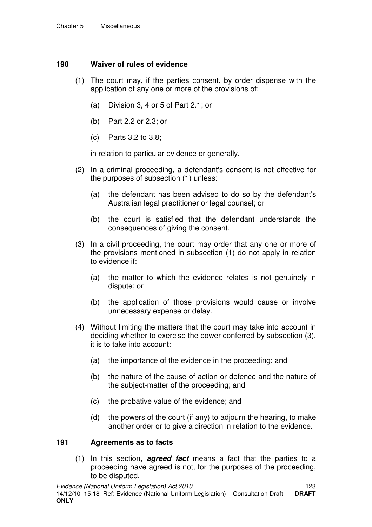### **190 Waiver of rules of evidence**

- (1) The court may, if the parties consent, by order dispense with the application of any one or more of the provisions of:
	- (a) Division 3, 4 or 5 of Part 2.1; or
	- (b) Part 2.2 or 2.3; or
	- (c) Parts 3.2 to 3.8;

in relation to particular evidence or generally.

- (2) In a criminal proceeding, a defendant's consent is not effective for the purposes of subsection (1) unless:
	- (a) the defendant has been advised to do so by the defendant's Australian legal practitioner or legal counsel; or
	- (b) the court is satisfied that the defendant understands the consequences of giving the consent.
- (3) In a civil proceeding, the court may order that any one or more of the provisions mentioned in subsection (1) do not apply in relation to evidence if:
	- (a) the matter to which the evidence relates is not genuinely in dispute; or
	- (b) the application of those provisions would cause or involve unnecessary expense or delay.
- (4) Without limiting the matters that the court may take into account in deciding whether to exercise the power conferred by subsection (3), it is to take into account:
	- (a) the importance of the evidence in the proceeding; and
	- (b) the nature of the cause of action or defence and the nature of the subject-matter of the proceeding; and
	- (c) the probative value of the evidence; and
	- (d) the powers of the court (if any) to adjourn the hearing, to make another order or to give a direction in relation to the evidence.

### **191 Agreements as to facts**

 (1) In this section, **agreed fact** means a fact that the parties to a proceeding have agreed is not, for the purposes of the proceeding, to be disputed.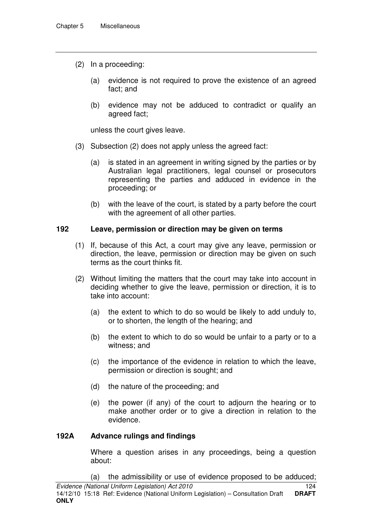- (2) In a proceeding:
	- (a) evidence is not required to prove the existence of an agreed fact; and
	- (b) evidence may not be adduced to contradict or qualify an agreed fact;

unless the court gives leave.

- (3) Subsection (2) does not apply unless the agreed fact:
	- (a) is stated in an agreement in writing signed by the parties or by Australian legal practitioners, legal counsel or prosecutors representing the parties and adduced in evidence in the proceeding; or
	- (b) with the leave of the court, is stated by a party before the court with the agreement of all other parties.

### **192 Leave, permission or direction may be given on terms**

- (1) If, because of this Act, a court may give any leave, permission or direction, the leave, permission or direction may be given on such terms as the court thinks fit.
- (2) Without limiting the matters that the court may take into account in deciding whether to give the leave, permission or direction, it is to take into account:
	- (a) the extent to which to do so would be likely to add unduly to, or to shorten, the length of the hearing; and
	- (b) the extent to which to do so would be unfair to a party or to a witness; and
	- (c) the importance of the evidence in relation to which the leave, permission or direction is sought; and
	- (d) the nature of the proceeding; and
	- (e) the power (if any) of the court to adjourn the hearing or to make another order or to give a direction in relation to the evidence.

### **192A Advance rulings and findings**

Where a question arises in any proceedings, being a question about: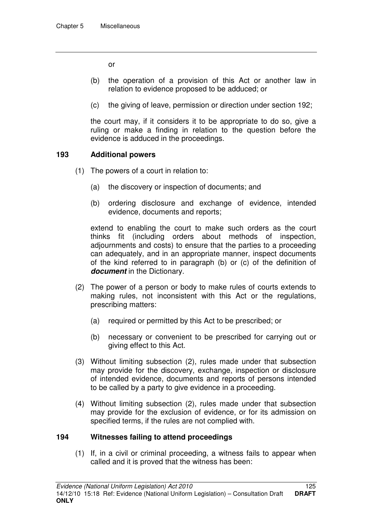or

- (b) the operation of a provision of this Act or another law in relation to evidence proposed to be adduced; or
- (c) the giving of leave, permission or direction under section 192;

the court may, if it considers it to be appropriate to do so, give a ruling or make a finding in relation to the question before the evidence is adduced in the proceedings.

### **193 Additional powers**

- (1) The powers of a court in relation to:
	- (a) the discovery or inspection of documents; and
	- (b) ordering disclosure and exchange of evidence, intended evidence, documents and reports;

extend to enabling the court to make such orders as the court thinks fit (including orders about methods of inspection, adjournments and costs) to ensure that the parties to a proceeding can adequately, and in an appropriate manner, inspect documents of the kind referred to in paragraph (b) or (c) of the definition of **document** in the Dictionary.

- (2) The power of a person or body to make rules of courts extends to making rules, not inconsistent with this Act or the regulations, prescribing matters:
	- (a) required or permitted by this Act to be prescribed; or
	- (b) necessary or convenient to be prescribed for carrying out or giving effect to this Act.
- (3) Without limiting subsection (2), rules made under that subsection may provide for the discovery, exchange, inspection or disclosure of intended evidence, documents and reports of persons intended to be called by a party to give evidence in a proceeding.
- (4) Without limiting subsection (2), rules made under that subsection may provide for the exclusion of evidence, or for its admission on specified terms, if the rules are not complied with.

### **194 Witnesses failing to attend proceedings**

 (1) If, in a civil or criminal proceeding, a witness fails to appear when called and it is proved that the witness has been: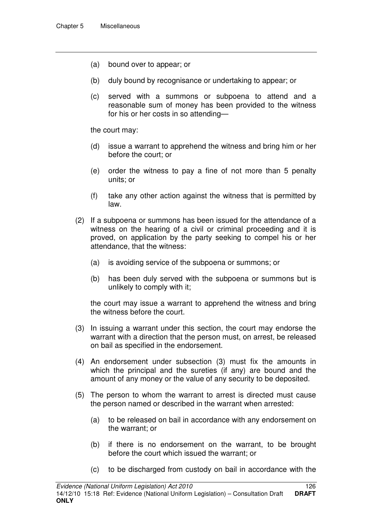- (a) bound over to appear; or
- (b) duly bound by recognisance or undertaking to appear; or
- (c) served with a summons or subpoena to attend and a reasonable sum of money has been provided to the witness for his or her costs in so attending—

the court may:

- (d) issue a warrant to apprehend the witness and bring him or her before the court; or
- (e) order the witness to pay a fine of not more than 5 penalty units; or
- (f) take any other action against the witness that is permitted by law.
- (2) If a subpoena or summons has been issued for the attendance of a witness on the hearing of a civil or criminal proceeding and it is proved, on application by the party seeking to compel his or her attendance, that the witness:
	- (a) is avoiding service of the subpoena or summons; or
	- (b) has been duly served with the subpoena or summons but is unlikely to comply with it;

the court may issue a warrant to apprehend the witness and bring the witness before the court.

- (3) In issuing a warrant under this section, the court may endorse the warrant with a direction that the person must, on arrest, be released on bail as specified in the endorsement.
- (4) An endorsement under subsection (3) must fix the amounts in which the principal and the sureties (if any) are bound and the amount of any money or the value of any security to be deposited.
- (5) The person to whom the warrant to arrest is directed must cause the person named or described in the warrant when arrested:
	- (a) to be released on bail in accordance with any endorsement on the warrant; or
	- (b) if there is no endorsement on the warrant, to be brought before the court which issued the warrant; or
	- (c) to be discharged from custody on bail in accordance with the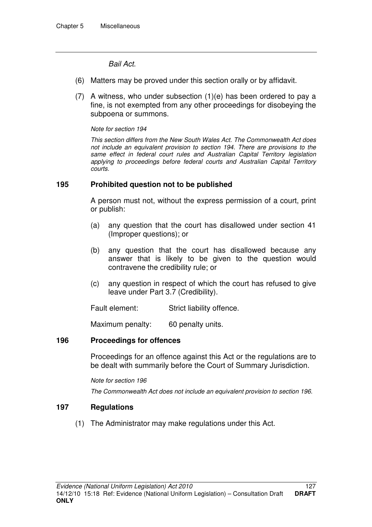Bail Act.

- (6) Matters may be proved under this section orally or by affidavit.
- (7) A witness, who under subsection (1)(e) has been ordered to pay a fine, is not exempted from any other proceedings for disobeying the subpoena or summons.

#### Note for section 194

This section differs from the New South Wales Act. The Commonwealth Act does not include an equivalent provision to section 194. There are provisions to the same effect in federal court rules and Australian Capital Territory legislation applying to proceedings before federal courts and Australian Capital Territory courts.

### **195 Prohibited question not to be published**

A person must not, without the express permission of a court, print or publish:

- (a) any question that the court has disallowed under section 41 (Improper questions); or
- (b) any question that the court has disallowed because any answer that is likely to be given to the question would contravene the credibility rule; or
- (c) any question in respect of which the court has refused to give leave under Part 3.7 (Credibility).

Fault element: Strict liability offence.

Maximum penalty: 60 penalty units.

### **196 Proceedings for offences**

Proceedings for an offence against this Act or the regulations are to be dealt with summarily before the Court of Summary Jurisdiction.

Note for section 196

The Commonwealth Act does not include an equivalent provision to section 196.

### **197 Regulations**

(1) The Administrator may make regulations under this Act.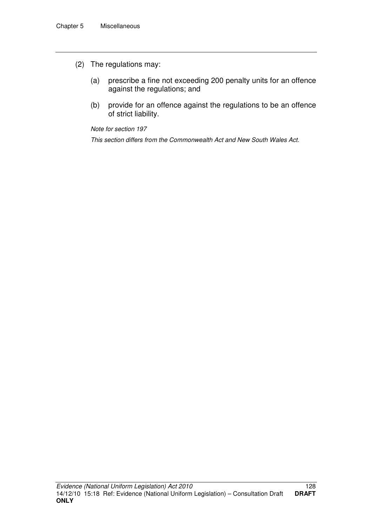- (2) The regulations may:
	- (a) prescribe a fine not exceeding 200 penalty units for an offence against the regulations; and
	- (b) provide for an offence against the regulations to be an offence of strict liability.

Note for section 197

This section differs from the Commonwealth Act and New South Wales Act.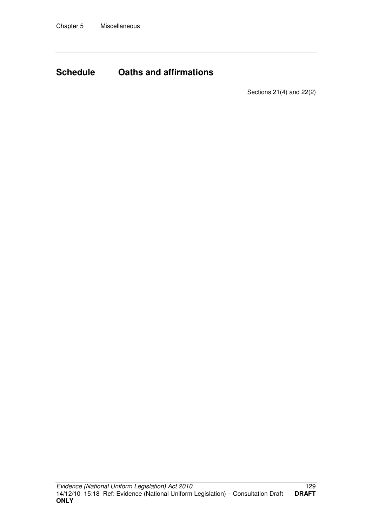# **Schedule Oaths and affirmations**

Sections 21(4) and 22(2)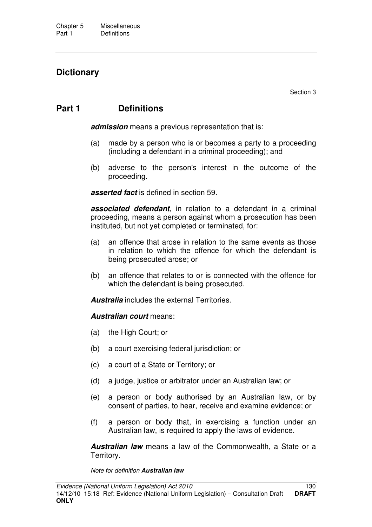# **Dictionary**

Section 3

# **Part 1 Definitions**

**admission** means a previous representation that is:

- (a) made by a person who is or becomes a party to a proceeding (including a defendant in a criminal proceeding); and
- (b) adverse to the person's interest in the outcome of the proceeding.

**asserted fact** is defined in section 59.

**associated defendant**, in relation to a defendant in a criminal proceeding, means a person against whom a prosecution has been instituted, but not yet completed or terminated, for:

- (a) an offence that arose in relation to the same events as those in relation to which the offence for which the defendant is being prosecuted arose; or
- (b) an offence that relates to or is connected with the offence for which the defendant is being prosecuted.

**Australia** includes the external Territories.

### **Australian court** means:

- (a) the High Court; or
- (b) a court exercising federal jurisdiction; or
- (c) a court of a State or Territory; or
- (d) a judge, justice or arbitrator under an Australian law; or
- (e) a person or body authorised by an Australian law, or by consent of parties, to hear, receive and examine evidence; or
- (f) a person or body that, in exercising a function under an Australian law, is required to apply the laws of evidence.

**Australian law** means a law of the Commonwealth, a State or a Territory.

Note for definition **Australian law**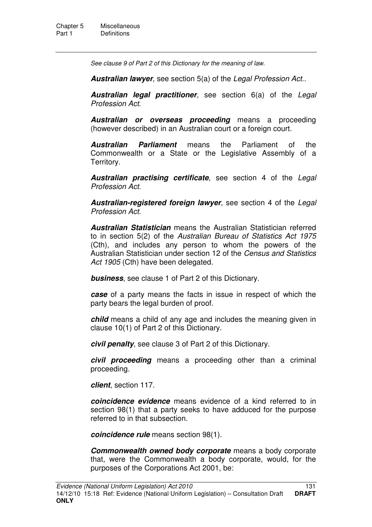See clause 9 of Part 2 of this Dictionary for the meaning of law.

**Australian lawyer**, see section 5(a) of the Legal Profession Act..

**Australian legal practitioner**, see section 6(a) of the Legal Profession Act.

**Australian or overseas proceeding** means a proceeding (however described) in an Australian court or a foreign court.

**Australian Parliament** means the Parliament of the Commonwealth or a State or the Legislative Assembly of a Territory.

**Australian practising certificate**, see section 4 of the Legal Profession Act.

**Australian-registered foreign lawyer**, see section 4 of the Legal Profession Act.

**Australian Statistician** means the Australian Statistician referred to in section 5(2) of the Australian Bureau of Statistics Act 1975 (Cth), and includes any person to whom the powers of the Australian Statistician under section 12 of the Census and Statistics Act 1905 (Cth) have been delegated.

**business**, see clause 1 of Part 2 of this Dictionary.

**case** of a party means the facts in issue in respect of which the party bears the legal burden of proof.

**child** means a child of any age and includes the meaning given in clause 10(1) of Part 2 of this Dictionary.

**civil penalty**, see clause 3 of Part 2 of this Dictionary.

**civil proceeding** means a proceeding other than a criminal proceeding.

**client**, section 117.

**coincidence evidence** means evidence of a kind referred to in section 98(1) that a party seeks to have adduced for the purpose referred to in that subsection.

**coincidence rule** means section 98(1).

**Commonwealth owned body corporate** means a body corporate that, were the Commonwealth a body corporate, would, for the purposes of the Corporations Act 2001, be: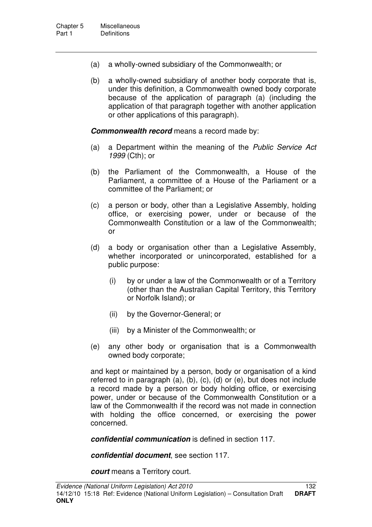- (a) a wholly-owned subsidiary of the Commonwealth; or
- (b) a wholly-owned subsidiary of another body corporate that is, under this definition, a Commonwealth owned body corporate because of the application of paragraph (a) (including the application of that paragraph together with another application or other applications of this paragraph).

### **Commonwealth record** means a record made by:

- (a) a Department within the meaning of the Public Service Act 1999 (Cth); or
- (b) the Parliament of the Commonwealth, a House of the Parliament, a committee of a House of the Parliament or a committee of the Parliament; or
- (c) a person or body, other than a Legislative Assembly, holding office, or exercising power, under or because of the Commonwealth Constitution or a law of the Commonwealth; or
- (d) a body or organisation other than a Legislative Assembly, whether incorporated or unincorporated, established for a public purpose:
	- (i) by or under a law of the Commonwealth or of a Territory (other than the Australian Capital Territory, this Territory or Norfolk Island); or
	- (ii) by the Governor-General; or
	- (iii) by a Minister of the Commonwealth; or
- (e) any other body or organisation that is a Commonwealth owned body corporate;

and kept or maintained by a person, body or organisation of a kind referred to in paragraph (a), (b), (c), (d) or (e), but does not include a record made by a person or body holding office, or exercising power, under or because of the Commonwealth Constitution or a law of the Commonwealth if the record was not made in connection with holding the office concerned, or exercising the power concerned.

**confidential communication** is defined in section 117.

**confidential document**, see section 117.

**court** means a Territory court.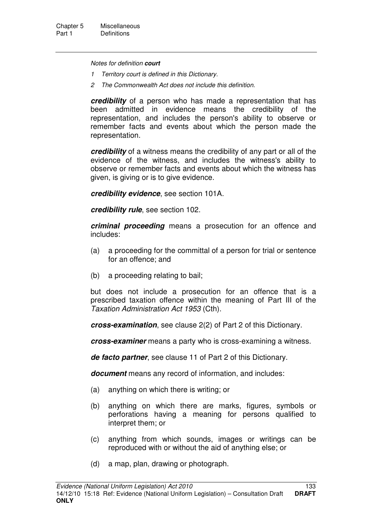Notes for definition **court**

- 1 Territory court is defined in this Dictionary.
- 2 The Commonwealth Act does not include this definition.

**credibility** of a person who has made a representation that has been admitted in evidence means the credibility of the representation, and includes the person's ability to observe or remember facts and events about which the person made the representation.

**credibility** of a witness means the credibility of any part or all of the evidence of the witness, and includes the witness's ability to observe or remember facts and events about which the witness has given, is giving or is to give evidence.

**credibility evidence**, see section 101A.

**credibility rule**, see section 102.

**criminal proceeding** means a prosecution for an offence and includes:

- (a) a proceeding for the committal of a person for trial or sentence for an offence; and
- (b) a proceeding relating to bail;

but does not include a prosecution for an offence that is a prescribed taxation offence within the meaning of Part III of the Taxation Administration Act 1953 (Cth).

**cross-examination**, see clause 2(2) of Part 2 of this Dictionary.

**cross-examiner** means a party who is cross-examining a witness.

**de facto partner**, see clause 11 of Part 2 of this Dictionary.

**document** means any record of information, and includes:

- (a) anything on which there is writing; or
- (b) anything on which there are marks, figures, symbols or perforations having a meaning for persons qualified to interpret them; or
- (c) anything from which sounds, images or writings can be reproduced with or without the aid of anything else; or
- (d) a map, plan, drawing or photograph.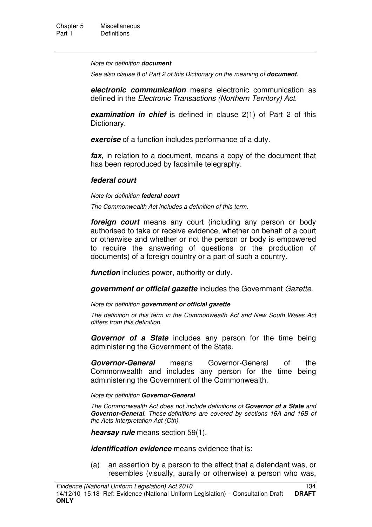#### Note for definition **document**

See also clause 8 of Part 2 of this Dictionary on the meaning of **document**.

**electronic communication** means electronic communication as defined in the Electronic Transactions (Northern Territory) Act.

**examination in chief** is defined in clause 2(1) of Part 2 of this Dictionary.

**exercise** of a function includes performance of a duty.

**fax**, in relation to a document, means a copy of the document that has been reproduced by facsimile telegraphy.

### **federal court**

### Note for definition **federal court**

The Commonwealth Act includes a definition of this term.

**foreign court** means any court (including any person or body authorised to take or receive evidence, whether on behalf of a court or otherwise and whether or not the person or body is empowered to require the answering of questions or the production of documents) of a foreign country or a part of such a country.

**function** includes power, authority or duty.

**government or official gazette** includes the Government Gazette.

### Note for definition **government or official gazette**

The definition of this term in the Commonwealth Act and New South Wales Act differs from this definition.

**Governor of a State** includes any person for the time being administering the Government of the State.

**Governor-General** means Governor-General of the Commonwealth and includes any person for the time being administering the Government of the Commonwealth.

### Note for definition **Governor-General**

The Commonwealth Act does not include definitions of **Governor of a State** and **Governor-General**. These definitions are covered by sections 16A and 16B of the Acts Interpretation Act (Cth).

**hearsay rule** means section 59(1).

**identification evidence** means evidence that is:

(a) an assertion by a person to the effect that a defendant was, or resembles (visually, aurally or otherwise) a person who was,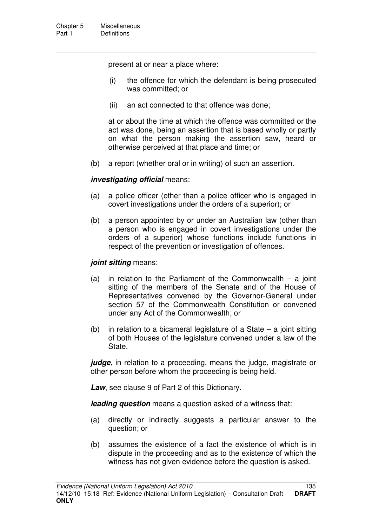present at or near a place where:

- (i) the offence for which the defendant is being prosecuted was committed; or
- (ii) an act connected to that offence was done;

 at or about the time at which the offence was committed or the act was done, being an assertion that is based wholly or partly on what the person making the assertion saw, heard or otherwise perceived at that place and time; or

(b) a report (whether oral or in writing) of such an assertion.

# **investigating official** means:

- (a) a police officer (other than a police officer who is engaged in covert investigations under the orders of a superior); or
- (b) a person appointed by or under an Australian law (other than a person who is engaged in covert investigations under the orders of a superior) whose functions include functions in respect of the prevention or investigation of offences.

# **joint sitting** means:

- (a) in relation to the Parliament of the Commonwealth a joint sitting of the members of the Senate and of the House of Representatives convened by the Governor-General under section 57 of the Commonwealth Constitution or convened under any Act of the Commonwealth; or
- (b) in relation to a bicameral legislature of a State  $-$  a joint sitting of both Houses of the legislature convened under a law of the State.

*judge*, in relation to a proceeding, means the judge, magistrate or other person before whom the proceeding is being held.

**Law**, see clause 9 of Part 2 of this Dictionary.

**leading question** means a question asked of a witness that:

- (a) directly or indirectly suggests a particular answer to the question; or
- (b) assumes the existence of a fact the existence of which is in dispute in the proceeding and as to the existence of which the witness has not given evidence before the question is asked.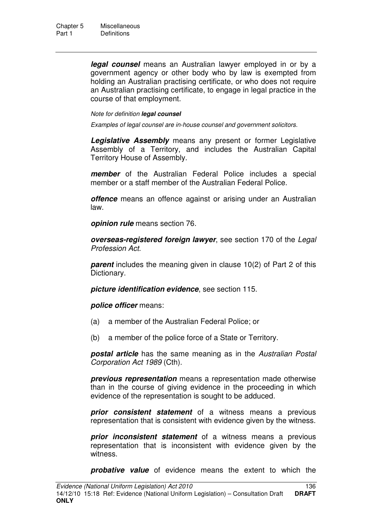**legal counsel** means an Australian lawyer employed in or by a government agency or other body who by law is exempted from holding an Australian practising certificate, or who does not require an Australian practising certificate, to engage in legal practice in the course of that employment.

#### Note for definition **legal counsel**

Examples of legal counsel are in-house counsel and government solicitors.

**Legislative Assembly** means any present or former Legislative Assembly of a Territory, and includes the Australian Capital Territory House of Assembly.

**member** of the Australian Federal Police includes a special member or a staff member of the Australian Federal Police.

**offence** means an offence against or arising under an Australian law.

**opinion rule** means section 76.

**overseas-registered foreign lawyer**, see section 170 of the Legal Profession Act.

**parent** includes the meaning given in clause 10(2) of Part 2 of this Dictionary.

**picture identification evidence**, see section 115.

### **police officer** means:

- (a) a member of the Australian Federal Police; or
- (b) a member of the police force of a State or Territory.

**postal article** has the same meaning as in the Australian Postal Corporation Act 1989 (Cth).

**previous representation** means a representation made otherwise than in the course of giving evidence in the proceeding in which evidence of the representation is sought to be adduced.

**prior consistent statement** of a witness means a previous representation that is consistent with evidence given by the witness.

**prior inconsistent statement** of a witness means a previous representation that is inconsistent with evidence given by the witness.

**probative value** of evidence means the extent to which the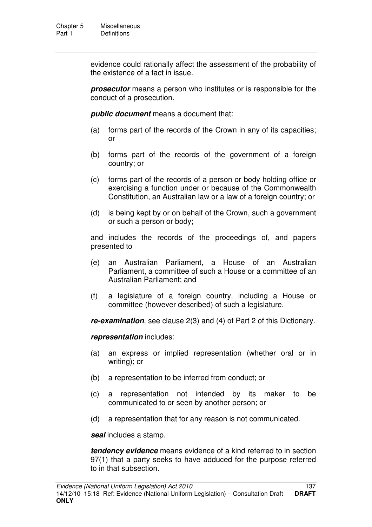evidence could rationally affect the assessment of the probability of the existence of a fact in issue.

**prosecutor** means a person who institutes or is responsible for the conduct of a prosecution.

**public document** means a document that:

- (a) forms part of the records of the Crown in any of its capacities; or
- (b) forms part of the records of the government of a foreign country; or
- (c) forms part of the records of a person or body holding office or exercising a function under or because of the Commonwealth Constitution, an Australian law or a law of a foreign country; or
- (d) is being kept by or on behalf of the Crown, such a government or such a person or body;

and includes the records of the proceedings of, and papers presented to

- (e) an Australian Parliament, a House of an Australian Parliament, a committee of such a House or a committee of an Australian Parliament; and
- (f) a legislature of a foreign country, including a House or committee (however described) of such a legislature.

**re-examination**, see clause 2(3) and (4) of Part 2 of this Dictionary.

**representation** includes:

- (a) an express or implied representation (whether oral or in writing); or
- (b) a representation to be inferred from conduct; or
- (c) a representation not intended by its maker to be communicated to or seen by another person; or
- (d) a representation that for any reason is not communicated.

**seal** includes a stamp.

**tendency evidence** means evidence of a kind referred to in section 97(1) that a party seeks to have adduced for the purpose referred to in that subsection.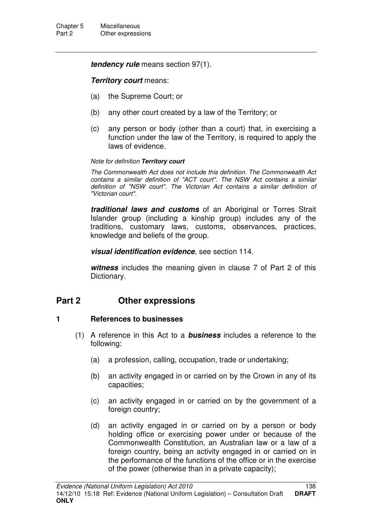**tendency rule** means section 97(1).

### **Territory court** means:

- (a) the Supreme Court; or
- (b) any other court created by a law of the Territory; or
- (c) any person or body (other than a court) that, in exercising a function under the law of the Territory, is required to apply the laws of evidence.

### Note for definition **Territory court**

The Commonwealth Act does not include this definition. The Commonwealth Act contains a similar definition of "ACT court". The NSW Act contains a similar definition of "NSW court". The Victorian Act contains a similar definition of "Victorian court".

**traditional laws and customs** of an Aboriginal or Torres Strait Islander group (including a kinship group) includes any of the traditions, customary laws, customs, observances, practices, knowledge and beliefs of the group.

**visual identification evidence**, see section 114.

**witness** includes the meaning given in clause 7 of Part 2 of this Dictionary.

# **Part 2 Other expressions**

### **1 References to businesses**

- (1) A reference in this Act to a **business** includes a reference to the following:
	- (a) a profession, calling, occupation, trade or undertaking;
	- (b) an activity engaged in or carried on by the Crown in any of its capacities;
	- (c) an activity engaged in or carried on by the government of a foreign country;
	- (d) an activity engaged in or carried on by a person or body holding office or exercising power under or because of the Commonwealth Constitution, an Australian law or a law of a foreign country, being an activity engaged in or carried on in the performance of the functions of the office or in the exercise of the power (otherwise than in a private capacity);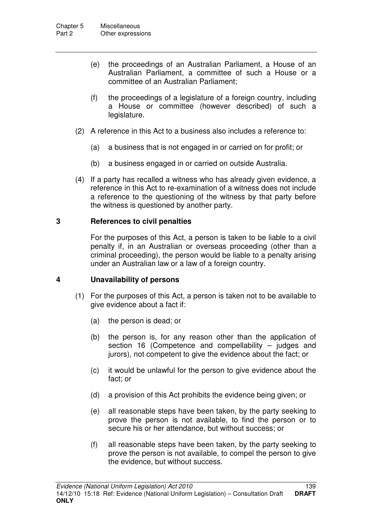- (e) the proceedings of an Australian Parliament, a House of an Australian Parliament, a committee of such a House or a committee of an Australian Parliament;
- (f) the proceedings of a legislature of a foreign country, including a House or committee (however described) of such a legislature.
- (2) A reference in this Act to a business also includes a reference to:
	- (a) a business that is not engaged in or carried on for profit; or
	- (b) a business engaged in or carried on outside Australia.
- (4) If a party has recalled a witness who has already given evidence, a reference in this Act to re-examination of a witness does not include a reference to the questioning of the witness by that party before the witness is questioned by another party.

# **3 References to civil penalties**

For the purposes of this Act, a person is taken to be liable to a civil penalty if, in an Australian or overseas proceeding (other than a criminal proceeding), the person would be liable to a penalty arising under an Australian law or a law of a foreign country.

# **4 Unavailability of persons**

- (1) For the purposes of this Act, a person is taken not to be available to give evidence about a fact if:
	- (a) the person is dead; or
	- (b) the person is, for any reason other than the application of section 16 (Competence and compellability – judges and jurors), not competent to give the evidence about the fact; or
	- (c) it would be unlawful for the person to give evidence about the fact; or
	- (d) a provision of this Act prohibits the evidence being given; or
	- (e) all reasonable steps have been taken, by the party seeking to prove the person is not available, to find the person or to secure his or her attendance, but without success; or
	- (f) all reasonable steps have been taken, by the party seeking to prove the person is not available, to compel the person to give the evidence, but without success.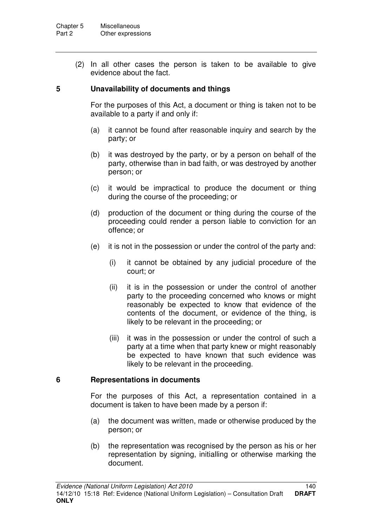(2) In all other cases the person is taken to be available to give evidence about the fact.

### **5 Unavailability of documents and things**

For the purposes of this Act, a document or thing is taken not to be available to a party if and only if:

- (a) it cannot be found after reasonable inquiry and search by the party; or
- (b) it was destroyed by the party, or by a person on behalf of the party, otherwise than in bad faith, or was destroyed by another person; or
- (c) it would be impractical to produce the document or thing during the course of the proceeding; or
- (d) production of the document or thing during the course of the proceeding could render a person liable to conviction for an offence; or
- (e) it is not in the possession or under the control of the party and:
	- (i) it cannot be obtained by any judicial procedure of the court; or
	- (ii) it is in the possession or under the control of another party to the proceeding concerned who knows or might reasonably be expected to know that evidence of the contents of the document, or evidence of the thing, is likely to be relevant in the proceeding; or
	- (iii) it was in the possession or under the control of such a party at a time when that party knew or might reasonably be expected to have known that such evidence was likely to be relevant in the proceeding.

### **6 Representations in documents**

For the purposes of this Act, a representation contained in a document is taken to have been made by a person if:

- (a) the document was written, made or otherwise produced by the person; or
- (b) the representation was recognised by the person as his or her representation by signing, initialling or otherwise marking the document.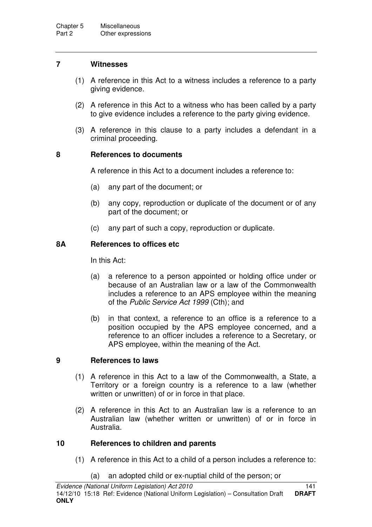### **7 Witnesses**

- (1) A reference in this Act to a witness includes a reference to a party giving evidence.
- (2) A reference in this Act to a witness who has been called by a party to give evidence includes a reference to the party giving evidence.
- (3) A reference in this clause to a party includes a defendant in a criminal proceeding.

### **8 References to documents**

A reference in this Act to a document includes a reference to:

- (a) any part of the document; or
- (b) any copy, reproduction or duplicate of the document or of any part of the document; or
- (c) any part of such a copy, reproduction or duplicate.

# **8A References to offices etc**

In this Act:

- (a) a reference to a person appointed or holding office under or because of an Australian law or a law of the Commonwealth includes a reference to an APS employee within the meaning of the Public Service Act 1999 (Cth); and
- (b) in that context, a reference to an office is a reference to a position occupied by the APS employee concerned, and a reference to an officer includes a reference to a Secretary, or APS employee, within the meaning of the Act.

# **9 References to laws**

- (1) A reference in this Act to a law of the Commonwealth, a State, a Territory or a foreign country is a reference to a law (whether written or unwritten) of or in force in that place.
- (2) A reference in this Act to an Australian law is a reference to an Australian law (whether written or unwritten) of or in force in Australia.

### **10 References to children and parents**

- (1) A reference in this Act to a child of a person includes a reference to:
	- (a) an adopted child or ex-nuptial child of the person; or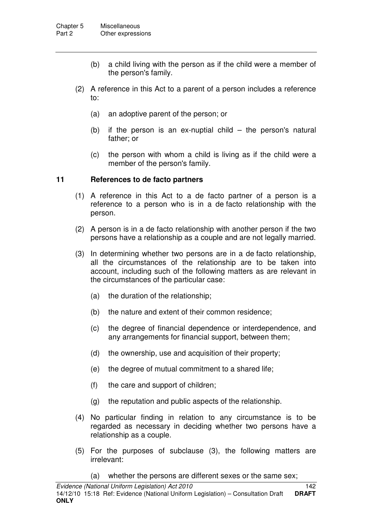- (b) a child living with the person as if the child were a member of the person's family.
- (2) A reference in this Act to a parent of a person includes a reference to:
	- (a) an adoptive parent of the person; or
	- (b) if the person is an ex-nuptial child  $-$  the person's natural father; or
	- (c) the person with whom a child is living as if the child were a member of the person's family.

### **11 References to de facto partners**

- (1) A reference in this Act to a de facto partner of a person is a reference to a person who is in a de facto relationship with the person.
- (2) A person is in a de facto relationship with another person if the two persons have a relationship as a couple and are not legally married.
- (3) In determining whether two persons are in a de facto relationship, all the circumstances of the relationship are to be taken into account, including such of the following matters as are relevant in the circumstances of the particular case:
	- (a) the duration of the relationship;
	- (b) the nature and extent of their common residence;
	- (c) the degree of financial dependence or interdependence, and any arrangements for financial support, between them;
	- (d) the ownership, use and acquisition of their property;
	- (e) the degree of mutual commitment to a shared life;
	- (f) the care and support of children;
	- (g) the reputation and public aspects of the relationship.
- (4) No particular finding in relation to any circumstance is to be regarded as necessary in deciding whether two persons have a relationship as a couple.
- (5) For the purposes of subclause (3), the following matters are irrelevant:
	- (a) whether the persons are different sexes or the same sex;